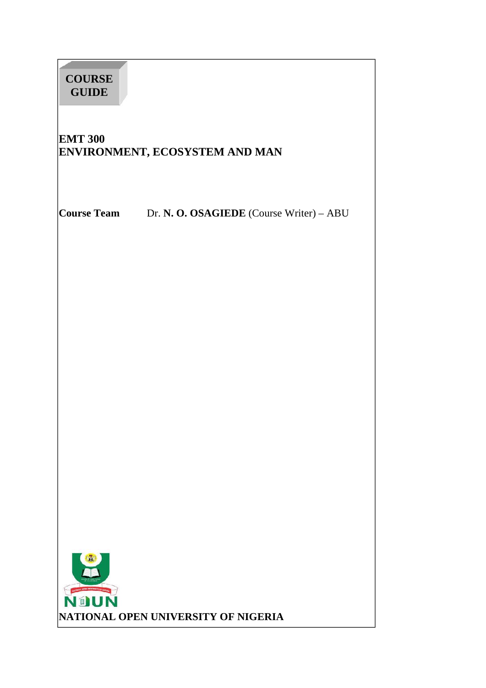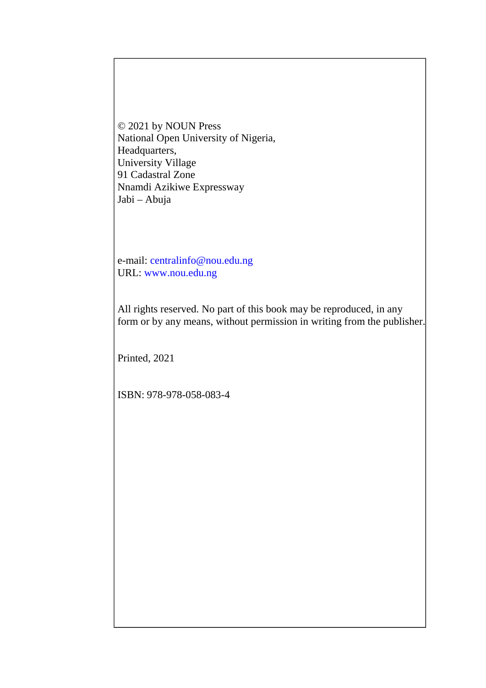© 2021 by NOUN Press National Open University of Nigeria, Headquarters, University Village 91 Cadastral Zone Nnamdi Azikiwe Expressway Jabi – Abuja

e-mail: centralinfo@nou.edu.ng URL: www.nou.edu.ng

All rights reserved. No part of this book may be reproduced, in any form or by any means, without permission in writing from the publisher.

Printed, 2021

ISBN: 978-978-058-083-4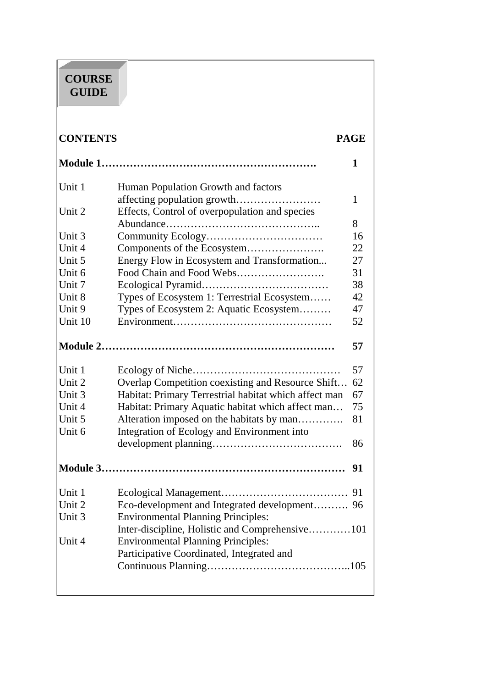# **COURSE GUIDE**

| <b>CONTENTS</b><br><b>PAGE</b> |                                                       |    |
|--------------------------------|-------------------------------------------------------|----|
|                                |                                                       |    |
| Unit 2                         | Effects, Control of overpopulation and species        | 1  |
|                                |                                                       | 8  |
| Unit 3                         |                                                       | 16 |
| Unit 4                         |                                                       | 22 |
| Unit 5                         | Energy Flow in Ecosystem and Transformation           | 27 |
| Unit 6                         |                                                       | 31 |
| Unit 7                         |                                                       | 38 |
| Unit 8                         | Types of Ecosystem 1: Terrestrial Ecosystem           | 42 |
| Unit 9                         | Types of Ecosystem 2: Aquatic Ecosystem               | 47 |
| Unit 10                        |                                                       | 52 |
|                                |                                                       | 57 |
| Unit 1                         |                                                       | 57 |
| Unit 2                         | Overlap Competition coexisting and Resource Shift     | 62 |
| Unit 3                         | Habitat: Primary Terrestrial habitat which affect man | 67 |
| Unit 4                         | Habitat: Primary Aquatic habitat which affect man     | 75 |
| Unit 5                         | Alteration imposed on the habitats by man             | 81 |
| Unit 6                         | Integration of Ecology and Environment into           |    |
|                                |                                                       | 86 |
|                                |                                                       | 91 |
| Unit 1                         |                                                       |    |
| Unit 2                         | Eco-development and Integrated development 96         |    |
| Unit 3                         | <b>Environmental Planning Principles:</b>             |    |
|                                | Inter-discipline, Holistic and Comprehensive101       |    |
| Unit 4                         | <b>Environmental Planning Principles:</b>             |    |
|                                | Participative Coordinated, Integrated and             |    |
|                                |                                                       |    |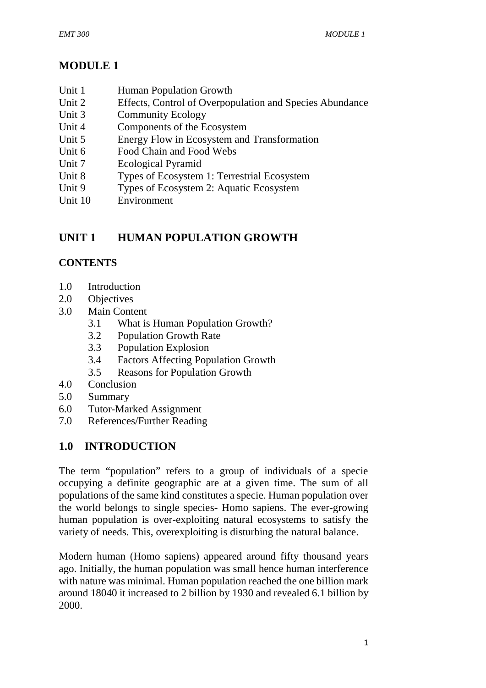# **MODULE 1**

- Unit 1 Human Population Growth
- Unit 2 Effects, Control of Overpopulation and Species Abundance
- Unit 3 Community Ecology
- Unit 4 Components of the Ecosystem
- Unit 5 Energy Flow in Ecosystem and Transformation
- Unit 6 Food Chain and Food Webs
- Unit 7 Ecological Pyramid
- Unit 8 Types of Ecosystem 1: Terrestrial Ecosystem
- Unit 9 Types of Ecosystem 2: Aquatic Ecosystem
- Unit 10 Environment

# **UNIT 1 HUMAN POPULATION GROWTH**

# **CONTENTS**

- 1.0 Introduction
- 2.0 Objectives
- 3.0 Main Content
	- 3.1 What is Human Population Growth?
	- 3.2 Population Growth Rate
	- 3.3 Population Explosion
	- 3.4 Factors Affecting Population Growth
	- 3.5 Reasons for Population Growth
- 4.0 Conclusion
- 5.0 Summary
- 6.0 Tutor-Marked Assignment
- 7.0 References/Further Reading

# **1.0 INTRODUCTION**

The term "population" refers to a group of individuals of a specie occupying a definite geographic are at a given time. The sum of all populations of the same kind constitutes a specie. Human population over the world belongs to single species- Homo sapiens. The ever-growing human population is over-exploiting natural ecosystems to satisfy the variety of needs. This, overexploiting is disturbing the natural balance.

Modern human (Homo sapiens) appeared around fifty thousand years ago. Initially, the human population was small hence human interference with nature was minimal. Human population reached the one billion mark around 18040 it increased to 2 billion by 1930 and revealed 6.1 billion by 2000.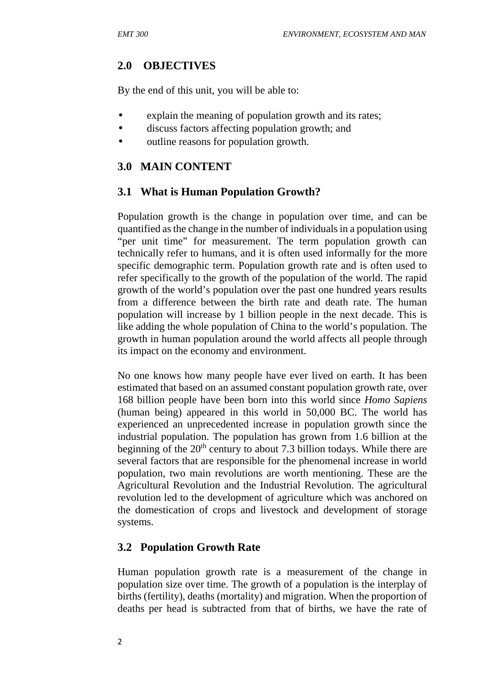# **2.0 OBJECTIVES**

By the end of this unit, you will be able to:

- explain the meaning of population growth and its rates;
- discuss factors affecting population growth; and
- outline reasons for population growth.

### **3.0 MAIN CONTENT**

### **3.1 What is Human Population Growth?**

Population growth is the change in population over time, and can be quantified as the change in the number of individuals in a population using "per unit time" for measurement. The term population growth can technically refer to humans, and it is often used informally for the more specific demographic term. Population growth rate and is often used to refer specifically to the growth of the population of the world. The rapid growth of the world's population over the past one hundred years results from a difference between the birth rate and death rate. The human population will increase by 1 billion people in the next decade. This is like adding the whole population of China to the world's population. The growth in human population around the world affects all people through its impact on the economy and environment.

No one knows how many people have ever lived on earth. It has been estimated that based on an assumed constant population growth rate, over 168 billion people have been born into this world since *Homo Sapiens* (human being) appeared in this world in 50,000 BC. The world has experienced an unprecedented increase in population growth since the industrial population. The population has grown from 1.6 billion at the beginning of the  $20<sup>th</sup>$  century to about 7.3 billion todays. While there are several factors that are responsible for the phenomenal increase in world population, two main revolutions are worth mentioning. These are the Agricultural Revolution and the Industrial Revolution. The agricultural revolution led to the development of agriculture which was anchored on the domestication of crops and livestock and development of storage systems.

## **3.2 Population Growth Rate**

Human population growth rate is a measurement of the change in population size over time. The growth of a population is the interplay of births (fertility), deaths (mortality) and migration. When the proportion of deaths per head is subtracted from that of births, we have the rate of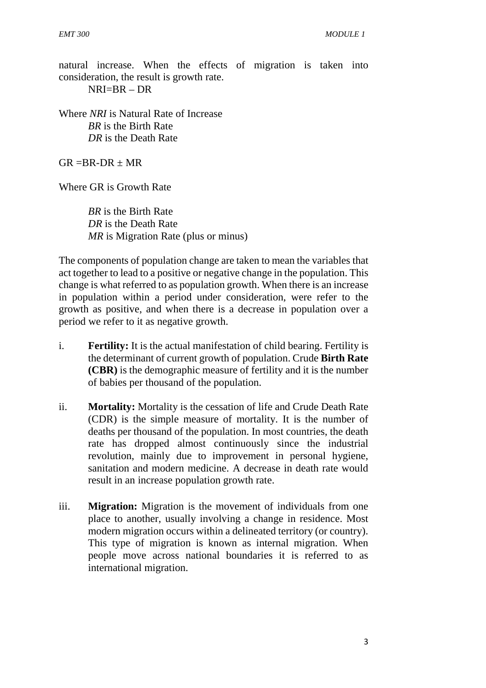natural increase. When the effects of migration is taken into consideration, the result is growth rate.

 $NRI=BR - DR$ 

Where *NRI* is Natural Rate of Increase *BR* is the Birth Rate *DR* is the Death Rate

 $GR = BR-DR + MR$ 

Where GR is Growth Rate

*BR* is the Birth Rate *DR* is the Death Rate *MR* is Migration Rate (plus or minus)

The components of population change are taken to mean the variables that act together to lead to a positive or negative change in the population. This change is what referred to as population growth. When there is an increase in population within a period under consideration, were refer to the growth as positive, and when there is a decrease in population over a period we refer to it as negative growth.

- i. **Fertility:** It is the actual manifestation of child bearing. Fertility is the determinant of current growth of population. Crude **Birth Rate (CBR)** is the demographic measure of fertility and it is the number of babies per thousand of the population.
- ii. **Mortality:** Mortality is the cessation of life and Crude Death Rate (CDR) is the simple measure of mortality. It is the number of deaths per thousand of the population. In most countries, the death rate has dropped almost continuously since the industrial revolution, mainly due to improvement in personal hygiene, sanitation and modern medicine. A decrease in death rate would result in an increase population growth rate.
- iii. **Migration:** Migration is the movement of individuals from one place to another, usually involving a change in residence. Most modern migration occurs within a delineated territory (or country). This type of migration is known as internal migration. When people move across national boundaries it is referred to as international migration.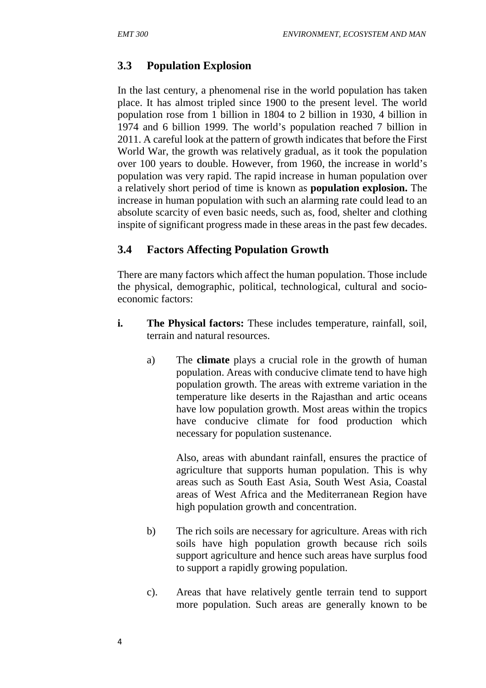### **3.3 Population Explosion**

In the last century, a phenomenal rise in the world population has taken place. It has almost tripled since 1900 to the present level. The world population rose from 1 billion in 1804 to 2 billion in 1930, 4 billion in 1974 and 6 billion 1999. The world's population reached 7 billion in 2011. A careful look at the pattern of growth indicates that before the First World War, the growth was relatively gradual, as it took the population over 100 years to double. However, from 1960, the increase in world's population was very rapid. The rapid increase in human population over a relatively short period of time is known as **population explosion.** The increase in human population with such an alarming rate could lead to an absolute scarcity of even basic needs, such as, food, shelter and clothing inspite of significant progress made in these areas in the past few decades.

#### **3.4 Factors Affecting Population Growth**

There are many factors which affect the human population. Those include the physical, demographic, political, technological, cultural and socio economic factors:

- **i. The Physical factors:** These includes temperature, rainfall, soil, terrain and natural resources.
	- a) The **climate** plays a crucial role in the growth of human population. Areas with conducive climate tend to have high population growth. The areas with extreme variation in the temperature like deserts in the Rajasthan and artic oceans have low population growth. Most areas within the tropics have conducive climate for food production which necessary for population sustenance.

Also, areas with abundant rainfall, ensures the practice of agriculture that supports human population. This is why areas such as South East Asia, South West Asia, Coastal areas of West Africa and the Mediterranean Region have high population growth and concentration.

- b) The rich soils are necessary for agriculture. Areas with rich soils have high population growth because rich soils support agriculture and hence such areas have surplus food to support a rapidly growing population.
- c). Areas that have relatively gentle terrain tend to support more population. Such areas are generally known to be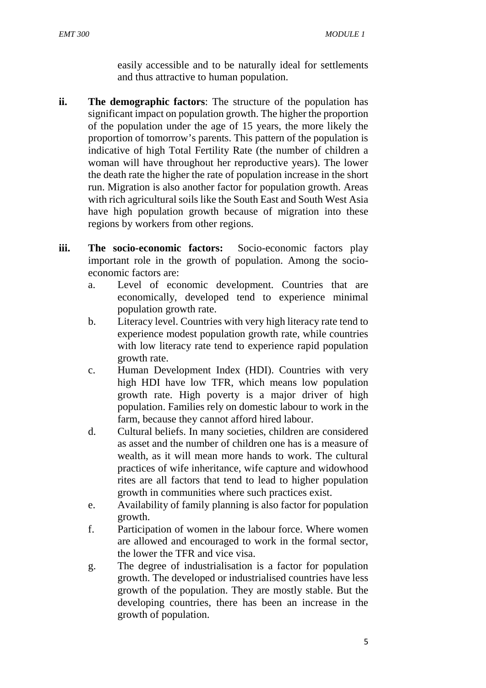easily accessible and to be naturally ideal for settlements and thus attractive to human population.

- **ii. The demographic factors**: The structure of the population has significant impact on population growth. The higher the proportion of the population under the age of 15 years, the more likely the proportion of tomorrow's parents. This pattern of the population is indicative of high Total Fertility Rate (the number of children a woman will have throughout her reproductive years). The lower the death rate the higher the rate of population increase in the short run. Migration is also another factor for population growth. Areas with rich agricultural soils like the South East and South West Asia have high population growth because of migration into these regions by workers from other regions.
- **iii. The socio-economic factors:** Socio-economic factors play important role in the growth of population. Among the socio economic factors are:
	- a. Level of economic development. Countries that are economically, developed tend to experience minimal population growth rate.
	- b. Literacy level. Countries with very high literacy rate tend to experience modest population growth rate, while countries with low literacy rate tend to experience rapid population growth rate.
	- c. Human Development Index (HDI). Countries with very high HDI have low TFR, which means low population growth rate. High poverty is a major driver of high population. Families rely on domestic labour to work in the farm, because they cannot afford hired labour.
	- d. Cultural beliefs. In many societies, children are considered as asset and the number of children one has is a measure of wealth, as it will mean more hands to work. The cultural practices of wife inheritance, wife capture and widowhood rites are all factors that tend to lead to higher population growth in communities where such practices exist.
	- e. Availability of family planning is also factor for population growth.
	- f. Participation of women in the labour force. Where women are allowed and encouraged to work in the formal sector, the lower the TFR and vice visa.
	- g. The degree of industrialisation is a factor for population growth. The developed or industrialised countries have less growth of the population. They are mostly stable. But the developing countries, there has been an increase in the growth of population.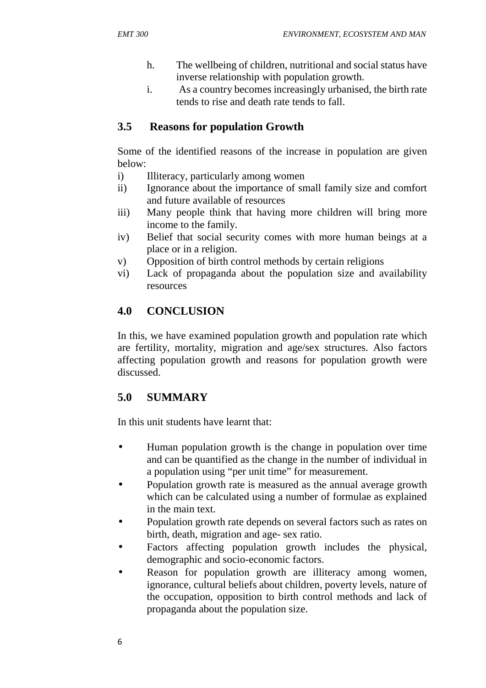- h. The wellbeing of children, nutritional and social status have inverse relationship with population growth.
- i. As a country becomes increasingly urbanised, the birth rate tends to rise and death rate tends to fall.

## **3.5 Reasons for population Growth**

Some of the identified reasons of the increase in population are given below:

- i) Illiteracy, particularly among women
- ii) Ignorance about the importance of small family size and comfort and future available of resources
- iii) Many people think that having more children will bring more income to the family.
- iv) Belief that social security comes with more human beings at a place or in a religion.
- v) Opposition of birth control methods by certain religions
- vi) Lack of propaganda about the population size and availability resources

## **4.0 CONCLUSION**

In this, we have examined population growth and population rate which are fertility, mortality, migration and age/sex structures. Also factors affecting population growth and reasons for population growth were discussed.

# **5.0 SUMMARY**

In this unit students have learnt that:

- Human population growth is the change in population over time and can be quantified as the change in the number of individual in a population using "per unit time" for measurement.
- Population growth rate is measured as the annual average growth which can be calculated using a number of formulae as explained in the main text.
- Population growth rate depends on several factors such as rates on birth, death, migration and age- sex ratio.
- Factors affecting population growth includes the physical, demographic and socio-economic factors.
- Reason for population growth are illiteracy among women, ignorance, cultural beliefs about children, poverty levels, nature of the occupation, opposition to birth control methods and lack of propaganda about the population size.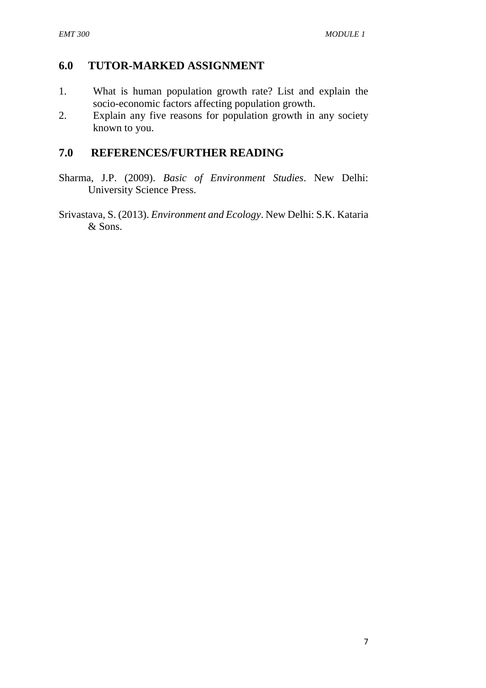#### **6.0 TUTOR-MARKED ASSIGNMENT**

- 1. What is human population growth rate? List and explain the socio-economic factors affecting population growth.
- 2. Explain any five reasons for population growth in any society known to you.

#### **7.0 REFERENCES/FURTHER READING**

- Sharma, J.P. (2009). *Basic of Environment Studies*. New Delhi: University Science Press.
- Srivastava, S. (2013). *Environment and Ecology*. New Delhi: S.K. Kataria & Sons.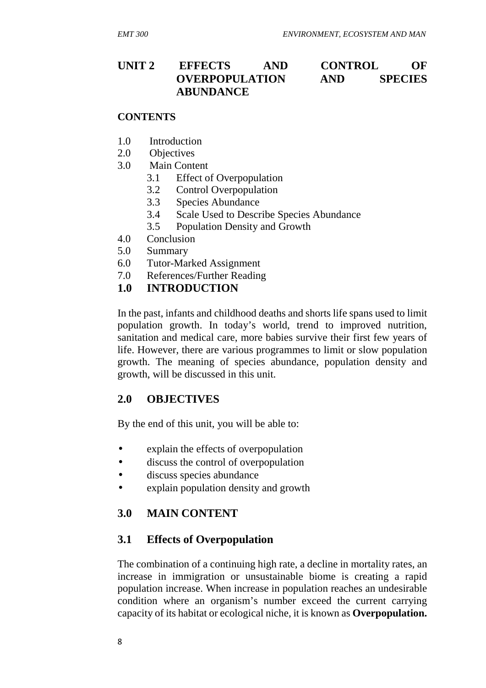#### **UNIT 2 EFFECTS AND CONTROL OF OVERPOPULATION AND SPECIES ABUNDANCE**

#### **CONTENTS**

- 1.0 Introduction
- 2.0 Objectives
- 3.0 Main Content
	- 3.1 Effect of Overpopulation
	- 3.2 Control Overpopulation
	- 3.3 Species Abundance
	- 3.4 Scale Used to Describe Species Abundance
	- 3.5 Population Density and Growth
- 4.0 Conclusion
- 5.0 Summary
- 6.0 Tutor-Marked Assignment
- 7.0 References/Further Reading

#### **1.0 INTRODUCTION**

In the past, infants and childhood deaths and shorts life spans used to limit population growth. In today's world, trend to improved nutrition, sanitation and medical care, more babies survive their first few years of life. However, there are various programmes to limit or slow population growth. The meaning of species abundance, population density and growth, will be discussed in this unit.

#### **2.0 OBJECTIVES**

By the end of this unit, you will be able to:

- explain the effects of overpopulation
- discuss the control of overpopulation
- discuss species abundance
- explain population density and growth

#### **3.0 MAIN CONTENT**

#### **3.1 Effects of Overpopulation**

The combination of a continuing high rate, a decline in mortality rates, an increase in immigration or unsustainable biome is creating a rapid population increase. When increase in population reaches an undesirable condition where an organism's number exceed the current carrying capacity of its habitat or ecological niche, it is known as **Overpopulation.**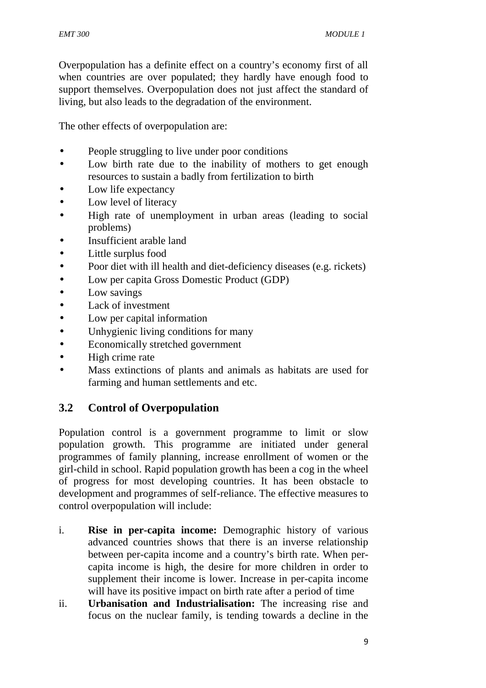Overpopulation has a definite effect on a country's economy first of all when countries are over populated; they hardly have enough food to support themselves. Overpopulation does not just affect the standard of living, but also leads to the degradation of the environment.

The other effects of overpopulation are:

- People struggling to live under poor conditions
- Low birth rate due to the inability of mothers to get enough resources to sustain a badly from fertilization to birth
- Low life expectancy
- Low level of literacy
- High rate of unemployment in urban areas (leading to social problems)
- Insufficient arable land
- Little surplus food
- Poor diet with ill health and diet-deficiency diseases (e.g. rickets)
- Low per capita Gross Domestic Product (GDP)
- Low savings
- Lack of investment
- Low per capital information
- Unhygienic living conditions for many
- Economically stretched government
- High crime rate
- Mass extinctions of plants and animals as habitats are used for farming and human settlements and etc.

## **3.2 Control of Overpopulation**

Population control is a government programme to limit or slow population growth. This programme are initiated under general programmes of family planning, increase enrollment of women or the girl-child in school. Rapid population growth has been a cog in the wheel of progress for most developing countries. It has been obstacle to development and programmes of self-reliance. The effective measures to control overpopulation will include:

- i. **Rise in per-capita income:** Demographic history of various advanced countries shows that there is an inverse relationship between per-capita income and a country's birth rate. When per capita income is high, the desire for more children in order to supplement their income is lower. Increase in per-capita income will have its positive impact on birth rate after a period of time
- ii. **Urbanisation and Industrialisation:** The increasing rise and focus on the nuclear family, is tending towards a decline in the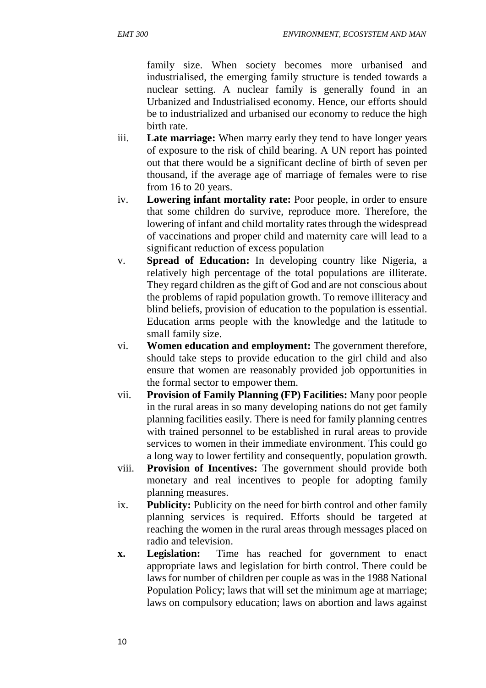family size. When society becomes more urbanised and industrialised, the emerging family structure is tended towards a nuclear setting. A nuclear family is generally found in an Urbanized and Industrialised economy. Hence, our efforts should be to industrialized and urbanised our economy to reduce the high birth rate.

- iii. **Late marriage:** When marry early they tend to have longer years of exposure to the risk of child bearing. A UN report has pointed out that there would be a significant decline of birth of seven per thousand, if the average age of marriage of females were to rise from 16 to 20 years.
- iv. **Lowering infant mortality rate:** Poor people, in order to ensure that some children do survive, reproduce more. Therefore, the lowering of infant and child mortality rates through the widespread of vaccinations and proper child and maternity care will lead to a significant reduction of excess population
- v. **Spread of Education:** In developing country like Nigeria, a relatively high percentage of the total populations are illiterate. They regard children as the gift of God and are not conscious about the problems of rapid population growth. To remove illiteracy and blind beliefs, provision of education to the population is essential. Education arms people with the knowledge and the latitude to small family size.
- vi. **Women education and employment:** The government therefore, should take steps to provide education to the girl child and also ensure that women are reasonably provided job opportunities in the formal sector to empower them.
- vii. **Provision of Family Planning (FP) Facilities:** Many poor people in the rural areas in so many developing nations do not get family planning facilities easily. There is need for family planning centres with trained personnel to be established in rural areas to provide services to women in their immediate environment. This could go a long way to lower fertility and consequently, population growth.
- viii. **Provision of Incentives:** The government should provide both monetary and real incentives to people for adopting family planning measures.
- ix. **Publicity:** Publicity on the need for birth control and other family planning services is required. Efforts should be targeted at reaching the women in the rural areas through messages placed on radio and television.
- **x. Legislation:** Time has reached for government to enact appropriate laws and legislation for birth control. There could be laws for number of children per couple as was in the 1988 National Population Policy; laws that will set the minimum age at marriage; laws on compulsory education; laws on abortion and laws against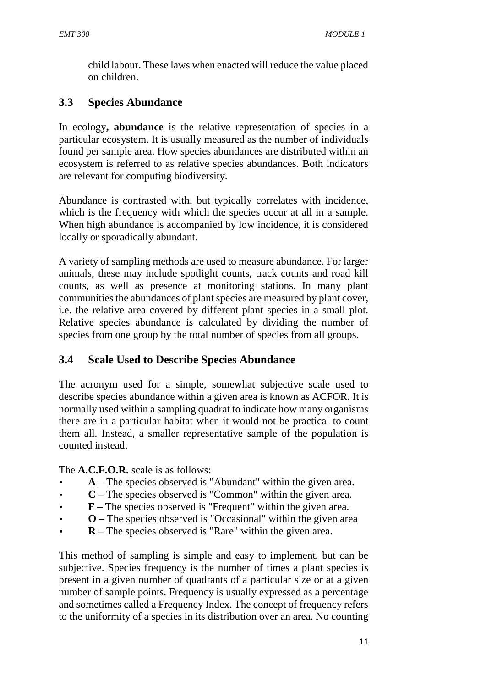child labour. These laws when enacted will reduce the value placed on children.

# **3.3 Species Abundance**

In ecology**, abundance** is the relative representation of species in a particular ecosystem. It is usually measured as the number of individuals found per sample area. How species abundances are distributed within an ecosystem is referred to as relative species abundances. Both indicators are relevant for computing biodiversity.

Abundance is contrasted with, but typically correlates with incidence, which is the frequency with which the species occur at all in a sample. When high abundance is accompanied by low incidence, it is considered locally or sporadically abundant.

A variety of sampling methods are used to measure abundance. For larger animals, these may include spotlight counts, track counts and road kill counts, as well as presence at monitoring stations. In many plant communities the abundances of plant species are measured by plant cover, i.e. the relative area covered by different plant species in a small plot. Relative species abundance is calculated by dividing the number of species from one group by the total number of species from all groups.

## **3.4 Scale Used to Describe Species Abundance**

The acronym used for a simple, somewhat subjective scale used to describe species abundance within a given area is known as ACFOR**.** It is normally used within a sampling quadrat to indicate how many organisms there are in a particular habitat when it would not be practical to count them all. Instead, a smaller representative sample of the population is counted instead.

The **A.C.F.O.R.** scale is as follows:

- **A** The species observed is "Abundant" within the given area.
- **C** The species observed is "Common" within the given area.
- **F** The species observed is "Frequent" within the given area.
- **O** The species observed is "Occasional" within the given area
- **R** The species observed is "Rare" within the given area.

This method of sampling is simple and easy to implement, but can be subjective. Species frequency is the number of times a plant species is present in a given number of quadrants of a particular size or at a given number of sample points. Frequency is usually expressed as a percentage and sometimes called a Frequency Index. The concept of frequency refers to the uniformity of a species in its distribution over an area. No counting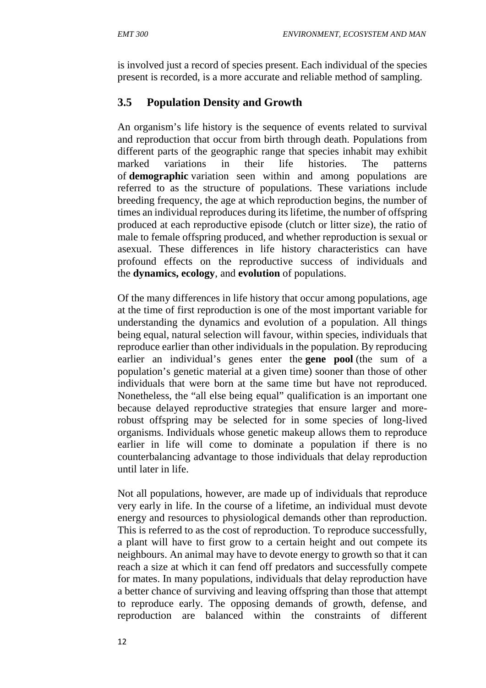is involved just a record of species present. Each individual of the species present is recorded, is a more accurate and reliable method of sampling.

## **3.5 Population Density and Growth**

An organism's life history is the sequence of events related to survival and reproduction that occur from birth through death. Populations from different parts of the geographic range that species inhabit may exhibit marked variations in their life histories. The patterns of **demographic** variation seen within and among populations are referred to as the structure of populations. These variations include breeding frequency, the age at which reproduction begins, the number of times an individual reproduces during its lifetime, the number of offspring produced at each reproductive episode (clutch or litter size), the ratio of male to female offspring produced, and whether reproduction is sexual or asexual. These differences in life history characteristics can have profound effects on the reproductive success of individuals and the **dynamics, ecology**, and **evolution** of populations.

Of the many differences in life history that occur among populations, age at the time of first reproduction is one of the most important variable for understanding the dynamics and evolution of a population. All things being equal, natural selection will favour, within species, individuals that reproduce earlier than other individuals in the population. By reproducing earlier an individual's genes enter the **gene pool** (the sum of a population's genetic material at a given time) sooner than those of other individuals that were born at the same time but have not reproduced. Nonetheless, the "all else being equal" qualification is an important one because delayed reproductive strategies that ensure larger and morerobust offspring may be selected for in some species of long-lived organisms. Individuals whose genetic makeup allows them to reproduce earlier in life will come to dominate a population if there is no counterbalancing advantage to those individuals that delay reproduction until later in life.

Not all populations, however, are made up of individuals that reproduce very early in life. In the course of a lifetime, an individual must devote energy and resources to physiological demands other than reproduction. This is referred to as the cost of reproduction. To reproduce successfully, a plant will have to first grow to a certain height and out compete its neighbours. An animal may have to devote energy to growth so that it can reach a size at which it can fend off predators and successfully compete for mates. In many populations, individuals that delay reproduction have a better chance of surviving and leaving offspring than those that attempt to reproduce early. The opposing demands of growth, defense, and reproduction are balanced within the constraints of different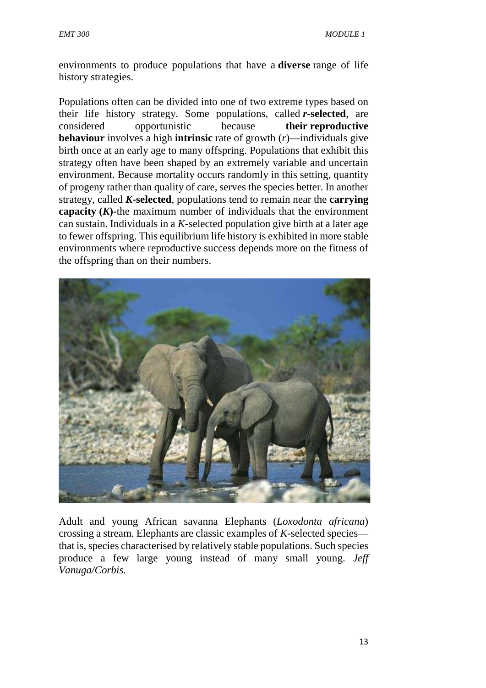environments to produce populations that have a **diverse** range of life history strategies.

Populations often can be divided into one of two extreme types based on their life history strategy. Some populations, called *r***-selected**, are considered opportunistic because **their reproductive behaviour** involves a high **intrinsic** rate of growth (*r*)—individuals give birth once at an early age to many offspring. Populations that exhibit this strategy often have been shaped by an extremely variable and uncertain environment. Because mortality occurs randomly in this setting, quantity of progeny rather than quality of care, serves the species better. In another strategy, called *K***-selected**, populations tend to remain near the **carrying capacity**  $(K)$ -the maximum number of individuals that the environment can sustain. Individuals in a *K*-selected population give birth at a later age to fewer offspring. This equilibrium life history is exhibited in more stable environments where reproductive success depends more on the fitness of the offspring than on their numbers.



Adult and young African savanna Elephants (*Loxodonta africana*) crossing a stream. Elephants are classic examples of *K*-selected species that is, species characterised by relatively stable populations. Such species produce a few large young instead of many small young. *Jeff Vanuga/Corbis.*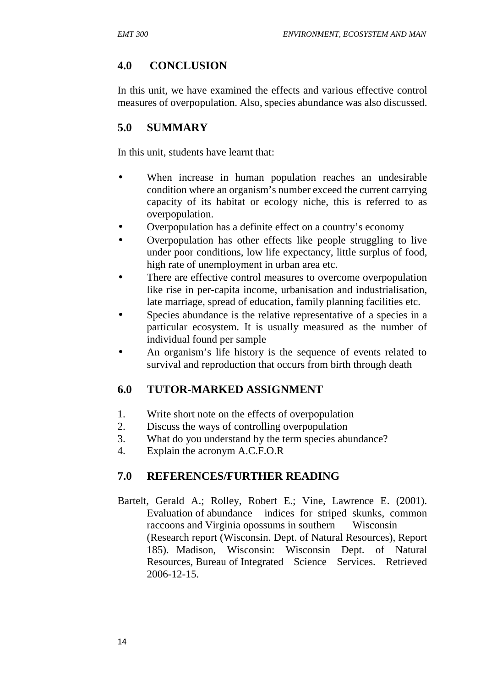# **4.0 CONCLUSION**

In this unit, we have examined the effects and various effective control measures of overpopulation. Also, species abundance was also discussed.

# **5.0 SUMMARY**

In this unit, students have learnt that:

- When increase in human population reaches an undesirable condition where an organism's number exceed the current carrying capacity of its habitat or ecology niche, this is referred to as overpopulation.
- Overpopulation has a definite effect on a country's economy
- Overpopulation has other effects like people struggling to live under poor conditions, low life expectancy, little surplus of food, high rate of unemployment in urban area etc.
- There are effective control measures to overcome overpopulation like rise in per-capita income, urbanisation and industrialisation, late marriage, spread of education, family planning facilities etc.
- Species abundance is the relative representative of a species in a particular ecosystem. It is usually measured as the number of individual found per sample
- An organism's life history is the sequence of events related to survival and reproduction that occurs from birth through death

# **6.0 TUTOR-MARKED ASSIGNMENT**

- 1. Write short note on the effects of overpopulation
- 2. Discuss the ways of controlling overpopulation
- 3. What do you understand by the term species abundance?
- 4. Explain the acronym A.C.F.O.R

## **7.0 REFERENCES/FURTHER READING**

Bartelt, Gerald A.; Rolley, Robert E.; Vine, Lawrence E. (2001). Evaluation of abundance indices for striped skunks, common raccoons and Virginia opossums in southern Wisconsin (Research report (Wisconsin. Dept. of Natural Resources), Report 185). Madison, Wisconsin: Wisconsin Dept. of Natural Resources, Bureau of Integrated Science Services. Retrieved 2006-12-15.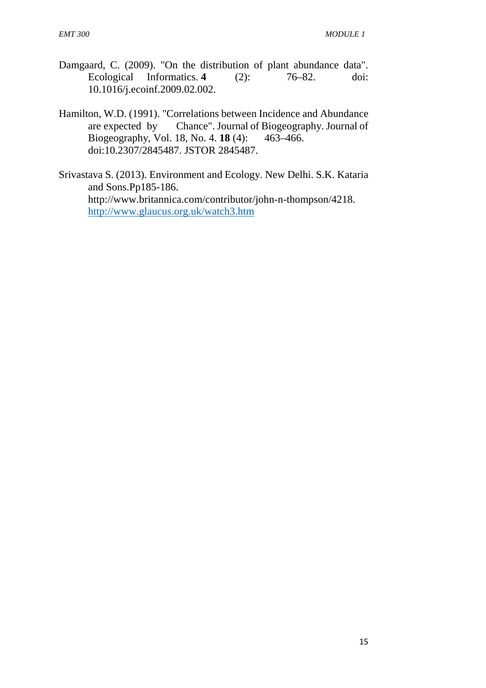- Damgaard, C. (2009). "On the distribution of plant abundance data". Ecological Informatics. **4** (2): 76–82. doi: 10.1016/j.ecoinf.2009.02.002.
- Hamilton, W.D. (1991). "Correlations between Incidence and Abundance are expected by Chance". Journal of Biogeography. Journal of Biogeography, Vol. 18, No. 4. **18** (4): 463–466. doi:10.2307/2845487. JSTOR 2845487.
- Srivastava S. (2013). Environment and Ecology. New Delhi. S.K. Kataria and Sons.Pp185-186. http://www.britannica.com/contributor/john-n-thompson/4218. http://www.glaucus.org.uk/watch3.htm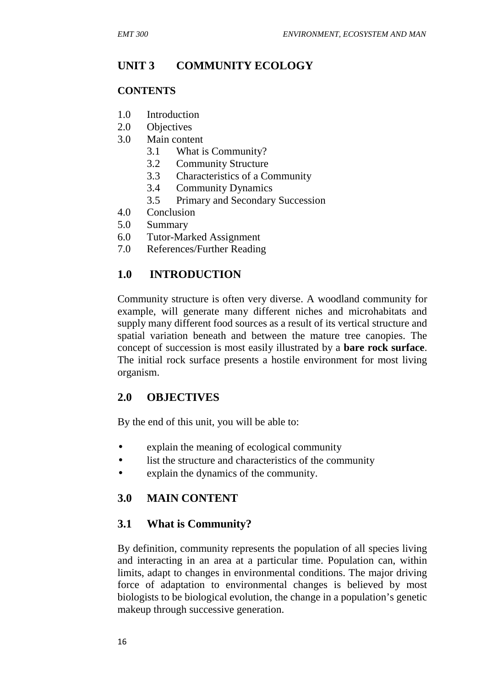## **UNIT 3 COMMUNITY ECOLOGY**

#### **CONTENTS**

- 1.0 Introduction
- 2.0 Objectives
- 3.0 Main content
	- 3.1 What is Community?
	- 3.2 Community Structure
	- 3.3 Characteristics of a Community
	- 3.4 Community Dynamics
	- 3.5 Primary and Secondary Succession
- 4.0 Conclusion
- 5.0 Summary
- 6.0 Tutor-Marked Assignment
- 7.0 References/Further Reading

#### **1.0 INTRODUCTION**

Community structure is often very diverse. A woodland community for example, will generate many different niches and microhabitats and supply many different food sources as a result of its vertical structure and spatial variation beneath and between the mature tree canopies. The concept of succession is most easily illustrated by a **bare rock surface**. The initial rock surface presents a hostile environment for most living organism.

#### **2.0 OBJECTIVES**

By the end of this unit, you will be able to:

- explain the meaning of ecological community
- list the structure and characteristics of the community
- explain the dynamics of the community.

#### **3.0 MAIN CONTENT**

#### **3.1 What is Community?**

By definition, community represents the population of all species living and interacting in an area at a particular time. Population can, within limits, adapt to changes in environmental conditions. The major driving force of adaptation to environmental changes is believed by most biologists to be biological evolution, the change in a population's genetic makeup through successive generation.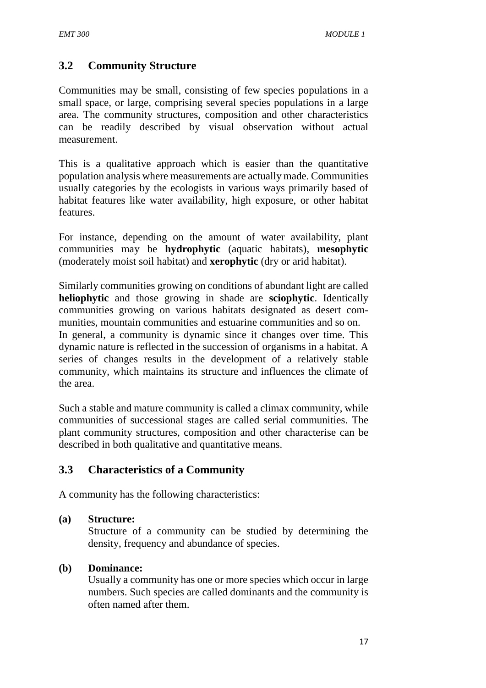#### **3.2 Community Structure**

Communities may be small, consisting of few species populations in a small space, or large, comprising several species populations in a large area. The community structures, composition and other characteristics can be readily described by visual observation without actual measurement.

This is a qualitative approach which is easier than the quantitative population analysis where measurements are actually made. Communities usually categories by the ecologists in various ways primarily based of habitat features like water availability, high exposure, or other habitat features.

For instance, depending on the amount of water availability, plant communities may be **hydrophytic** (aquatic habitats), **mesophytic** (moderately moist soil habitat) and **xerophytic** (dry or arid habitat).

Similarly communities growing on conditions of abundant light are called **heliophytic** and those growing in shade are **sciophytic**. Identically communities growing on various habitats designated as desert com munities, mountain communities and estuarine communities and so on. In general, a community is dynamic since it changes over time. This dynamic nature is reflected in the succession of organisms in a habitat. A series of changes results in the development of a relatively stable community, which maintains its structure and influences the climate of the area.

Such a stable and mature community is called a climax community, while communities of successional stages are called serial communities. The plant community structures, composition and other characterise can be described in both qualitative and quantitative means.

#### **3.3 Characteristics of a Community**

A community has the following characteristics:

#### **(a) Structure:**

Structure of a community can be studied by determining the density, frequency and abundance of species.

#### **(b) Dominance:**

Usually a community has one or more species which occur in large numbers. Such species are called dominants and the community is often named after them.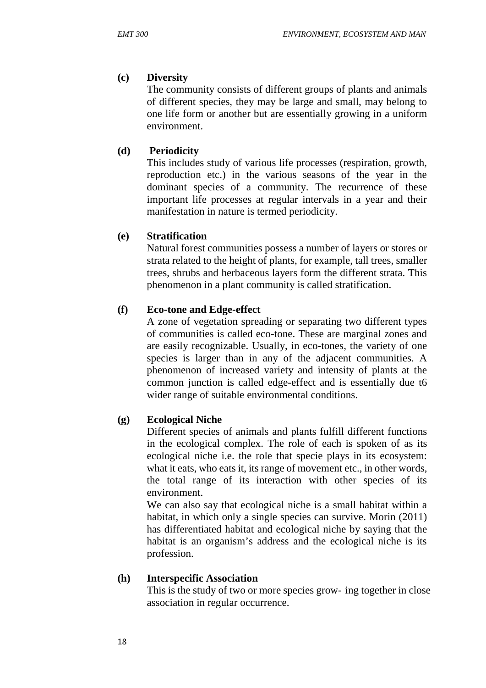#### **(c) Diversity**

The community consists of different groups of plants and animals of different species, they may be large and small, may belong to one life form or another but are essentially growing in a uniform environment.

#### **(d) Periodicity**

This includes study of various life processes (respiration, growth, reproduction etc.) in the various seasons of the year in the dominant species of a community. The recurrence of these important life processes at regular intervals in a year and their manifestation in nature is termed periodicity.

### **(e) Stratification**

Natural forest communities possess a number of layers or stores or strata related to the height of plants, for example, tall trees, smaller trees, shrubs and herbaceous layers form the different strata. This phenomenon in a plant community is called stratification.

#### **(f) Eco-tone and Edge-effect**

A zone of vegetation spreading or separating two different types of communities is called eco-tone. These are marginal zones and are easily recognizable. Usually, in eco-tones, the variety of one species is larger than in any of the adjacent communities. A phenomenon of increased variety and intensity of plants at the common junction is called edge-effect and is essentially due t6 wider range of suitable environmental conditions.

#### **(g) Ecological Niche**

Different species of animals and plants fulfill different functions in the ecological complex. The role of each is spoken of as its ecological niche i.e. the role that specie plays in its ecosystem: what it eats, who eats it, its range of movement etc., in other words, the total range of its interaction with other species of its environment.

We can also say that ecological niche is a small habitat within a habitat, in which only a single species can survive. Morin (2011) has differentiated habitat and ecological niche by saying that the habitat is an organism's address and the ecological niche is its profession. has differentiated habitat and ecological niche by saying that the<br>habitat is an organism's address and the ecological niche is its<br>profession.<br>**Interspecific Association**<br>This is the study of two or more species grow- ing

#### **(h) Interspecific Association**

association in regular occurrence.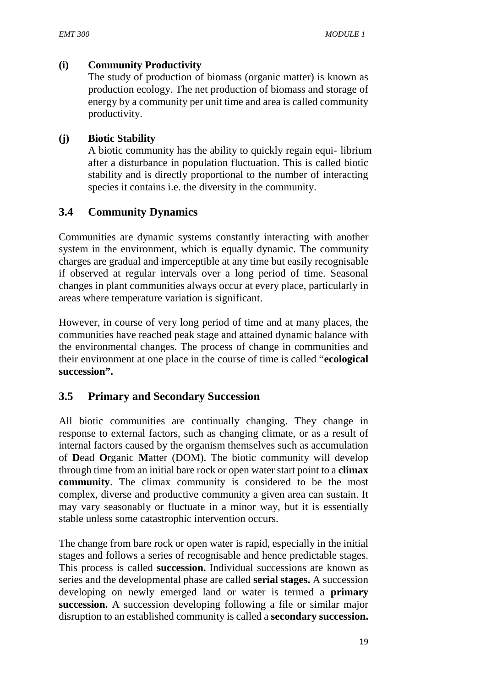#### **(i) Community Productivity**

The study of production of biomass (organic matter) is known as production ecology. The net production of biomass and storage of energy by a community per unit time and area is called community productivity. production ecology. The net production of biomass and storage of<br>energy by a community per unit time and area is called community<br>productivity.<br>**Biotic Stability**<br>A biotic community has the ability to quickly regain equi-

#### **(j) Biotic Stability**

after a disturbance in population fluctuation. This is called biotic stability and is directly proportional to the number of interacting species it contains i.e. the diversity in the community.

### **3.4 Community Dynamics**

Communities are dynamic systems constantly interacting with another system in the environment, which is equally dynamic. The community charges are gradual and imperceptible at any time but easily recognisable if observed at regular intervals over a long period of time. Seasonal changes in plant communities always occur at every place, particularly in areas where temperature variation is significant.

However, in course of very long period of time and at many places, the communities have reached peak stage and attained dynamic balance with the environmental changes. The process of change in communities and their environment at one place in the course of time is called "**ecological succession".**

## **3.5 Primary and Secondary Succession**

All biotic communities are continually changing. They change in response to external factors, such as changing climate, or as a result of internal factors caused by the organism themselves such as accumulation of **D**ead **O**rganic **M**atter (DOM). The biotic community will develop through time from an initial bare rock or open water start point to a **climax community**. The climax community is considered to be the most complex, diverse and productive community a given area can sustain. It may vary seasonably or fluctuate in a minor way, but it is essentially stable unless some catastrophic intervention occurs.

The change from bare rock or open water is rapid, especially in the initial stages and follows a series of recognisable and hence predictable stages. This process is called **succession.** Individual successions are known as series and the developmental phase are called **serial stages.** A succession developing on newly emerged land or water is termed a **primary succession.** A succession developing following a file or similar major disruption to an established community is called a **secondary succession.**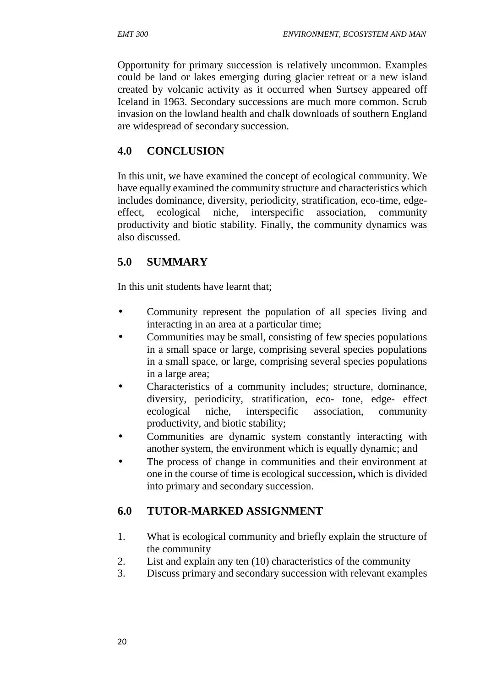Opportunity for primary succession is relatively uncommon. Examples could be land or lakes emerging during glacier retreat or a new island created by volcanic activity as it occurred when Surtsey appeared off Iceland in 1963. Secondary successions are much more common. Scrub invasion on the lowland health and chalk downloads of southern England are widespread of secondary succession.

### **4.0 CONCLUSION**

In this unit, we have examined the concept of ecological community. We have equally examined the community structure and characteristics which includes dominance, diversity, periodicity, stratification, eco-time, edge effect, ecological niche, interspecific association, community productivity and biotic stability. Finally, the community dynamics was also discussed.

### **5.0 SUMMARY**

In this unit students have learnt that;

- Community represent the population of all species living and interacting in an area at a particular time;
- Communities may be small, consisting of few species populations in a small space or large, comprising several species populations in a small space, or large, comprising several species populations in a large area;
- Characteristics of a community includes; structure, dominance, diversity, periodicity, stratification, eco- tone, edge- effect ecological niche, interspecific association, community productivity, and biotic stability;
- Communities are dynamic system constantly interacting with another system, the environment which is equally dynamic; and
- The process of change in communities and their environment at one in the course of time is ecological succession**,** which is divided into primary and secondary succession.

## **6.0 TUTOR-MARKED ASSIGNMENT**

- 1. What is ecological community and briefly explain the structure of the community
- 2. List and explain any ten (10) characteristics of the community
- 3. Discuss primary and secondary succession with relevant examples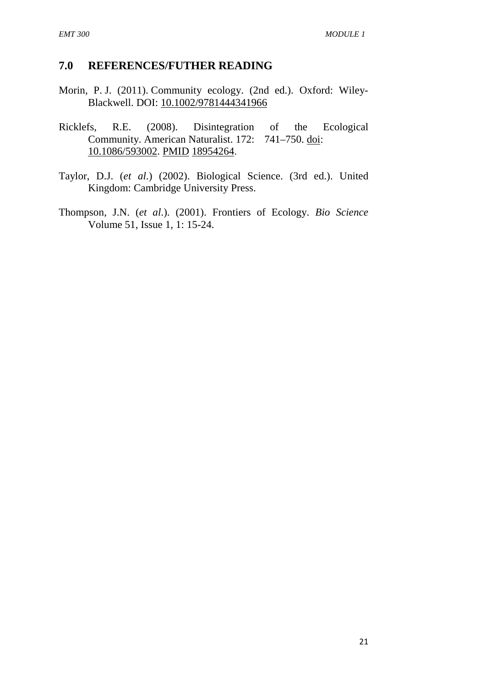#### **7.0 REFERENCES/FUTHER READING**

Morin, P. J. (2011). Community ecology. (2nd ed.). Oxford: Wiley- Blackwell. DOI: 10.1002/9781444341966

#### Ricklefs, R.E. (2008). Disintegration of the Ecological Community. American Naturalist. 172: 741–750. doi: 10.1086/593002. PMID 18954264.

- Taylor, D.J. (*et al*.) (2002). Biological Science. (3rd ed.). United Kingdom: Cambridge University Press.
- Thompson, J.N. (*et al*.). (2001). Frontiers of Ecology. *Bio Science* Volume 51, Issue 1, 1: 15-24.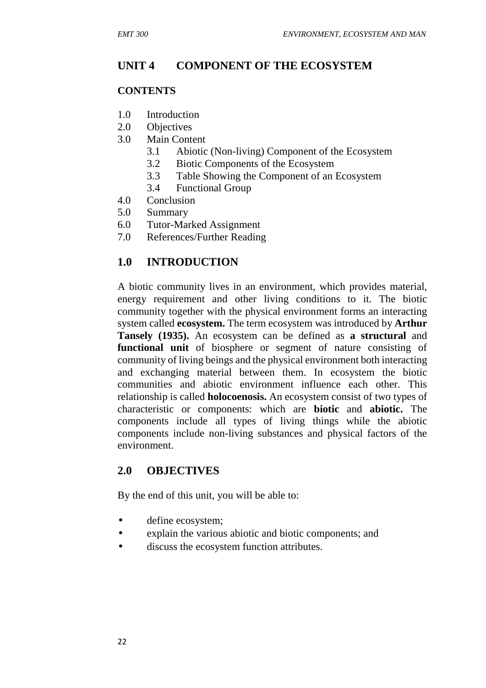# **UNIT 4 COMPONENT OF THE ECOSYSTEM**

#### **CONTENTS**

- 1.0 Introduction
- 2.0 Objectives
- 3.0 Main Content
	- 3.1 Abiotic (Non-living) Component of the Ecosystem
	- 3.2 Biotic Components of the Ecosystem
	- 3.3 Table Showing the Component of an Ecosystem
	- 3.4 Functional Group
- 4.0 Conclusion
- 5.0 Summary
- 6.0 Tutor-Marked Assignment
- 7.0 References/Further Reading

## **1.0 INTRODUCTION**

A biotic community lives in an environment, which provides material, energy requirement and other living conditions to it. The biotic community together with the physical environment forms an interacting system called **ecosystem.** The term ecosystem was introduced by **Arthur Tansely (1935).** An ecosystem can be defined as **a structural** and **functional unit** of biosphere or segment of nature consisting of community of living beings and the physical environment both interacting and exchanging material between them. In ecosystem the biotic communities and abiotic environment influence each other. This relationship is called **holocoenosis.** An ecosystem consist of two types of characteristic or components: which are **biotic** and **abiotic.** The components include all types of living things while the abiotic components include non-living substances and physical factors of the environment.

#### **2.0 OBJECTIVES**

By the end of this unit, you will be able to:

- define ecosystem;
- explain the various abiotic and biotic components; and
- discuss the ecosystem function attributes.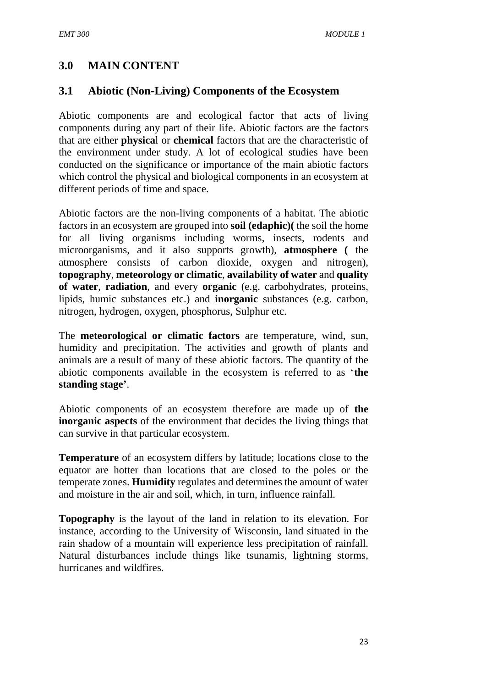## **3.0 MAIN CONTENT**

#### **3.1 Abiotic (Non-Living) Components of the Ecosystem**

Abiotic components are and ecological factor that acts of living components during any part of their life. Abiotic factors are the factors that are either **physica**l or **chemical** factors that are the characteristic of the environment under study. A lot of ecological studies have been conducted on the significance or importance of the main abiotic factors which control the physical and biological components in an ecosystem at different periods of time and space.

Abiotic factors are the non-living components of a habitat. The abiotic factors in an ecosystem are grouped into **soil (edaphic)(** the soil the home for all living organisms including worms, insects, rodents and microorganisms, and it also supports growth), **atmosphere (** the atmosphere consists of carbon dioxide, oxygen and nitrogen), **topography**, **meteorology or climatic**, **availability of water** and **quality of water**, **radiation**, and every **organic** (e.g. carbohydrates, proteins, lipids, humic substances etc.) and **inorganic** substances (e.g. carbon, nitrogen, hydrogen, oxygen, phosphorus, Sulphur etc.

The **meteorological or climatic factors** are temperature, wind, sun, humidity and precipitation. The activities and growth of plants and animals are a result of many of these abiotic factors. The quantity of the abiotic components available in the ecosystem is referred to as '**the standing stage'**.

Abiotic components of an ecosystem therefore are made up of **the inorganic aspects** of the environment that decides the living things that can survive in that particular ecosystem.

**Temperature** of an ecosystem differs by latitude; locations close to the equator are hotter than locations that are closed to the poles or the temperate zones. **Humidity** regulates and determines the amount of water and moisture in the air and soil, which, in turn, influence rainfall.

**Topography** is the layout of the land in relation to its elevation. For instance, according to the University of Wisconsin, land situated in the rain shadow of a mountain will experience less precipitation of rainfall. Natural disturbances include things like tsunamis, lightning storms, hurricanes and wildfires.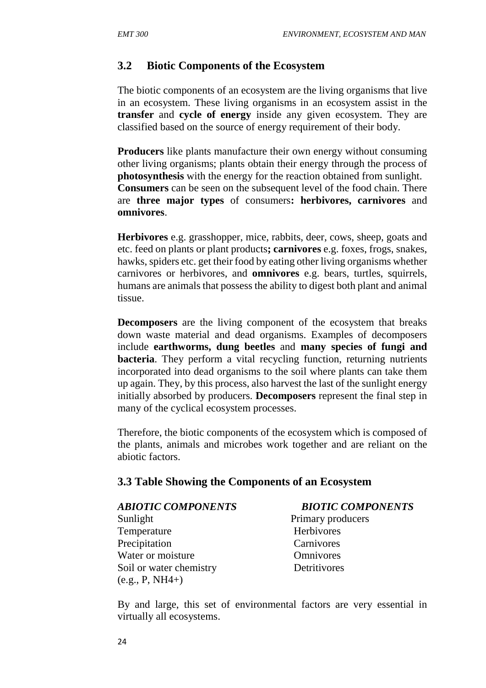## **3.2 Biotic Components of the Ecosystem**

The biotic components of an ecosystem are the living organisms that live in an ecosystem. These living organisms in an ecosystem assist in the **transfer** and **cycle of energy** inside any given ecosystem. They are classified based on the source of energy requirement of their body.

**Producers** like plants manufacture their own energy without consuming other living organisms; plants obtain their energy through the process of **photosynthesis** with the energy for the reaction obtained from sunlight. **Consumers** can be seen on the subsequent level of the food chain. There are **three major types** of consumers**: herbivores, carnivores** and **omnivores**.

**Herbivores** e.g. grasshopper, mice, rabbits, deer, cows, sheep, goats and etc. feed on plants or plant products**; carnivores** e.g. foxes, frogs, snakes, hawks, spiders etc. get their food by eating other living organisms whether carnivores or herbivores, and **omnivores** e.g. bears, turtles, squirrels, humans are animals that possess the ability to digest both plant and animal tissue.

**Decomposers** are the living component of the ecosystem that breaks down waste material and dead organisms. Examples of decomposers include **earthworms, dung beetles** and **many species of fungi and bacteria**. They perform a vital recycling function, returning nutrients incorporated into dead organisms to the soil where plants can take them up again. They, by this process, also harvest the last of the sunlight energy initially absorbed by producers. **Decomposers** represent the final step in many of the cyclical ecosystem processes.

Therefore, the biotic components of the ecosystem which is composed of the plants, animals and microbes work together and are reliant on the abiotic factors.

#### **3.3 Table Showing the Components of an Ecosystem**

| <b>ABIOTIC COMPONENTS</b> | <b>BIOTIC COMPONENTS</b> |
|---------------------------|--------------------------|
| Sunlight                  | Primary producers        |
| Temperature               | Herbivores               |
| Precipitation             | Carnivores               |
| Water or moisture         | Omnivores                |
| Soil or water chemistry   | Detritivores             |
| $(e.g., P, NH4+)$         |                          |

By and large, this set of environmental factors are very essential in virtually all ecosystems.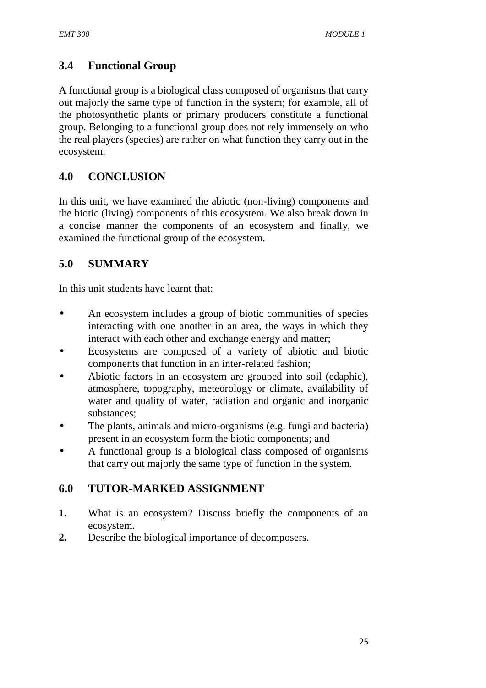# **3.4 Functional Group**

A functional group is a biological class composed of organisms that carry out majorly the same type of function in the system; for example, all of the photosynthetic plants or primary producers constitute a functional group. Belonging to a functional group does not rely immensely on who the real players (species) are rather on what function they carry out in the ecosystem.

# **4.0 CONCLUSION**

In this unit, we have examined the abiotic (non-living) components and the biotic (living) components of this ecosystem. We also break down in a concise manner the components of an ecosystem and finally, we examined the functional group of the ecosystem.

# **5.0 SUMMARY**

In this unit students have learnt that:

- An ecosystem includes a group of biotic communities of species interacting with one another in an area, the ways in which they interact with each other and exchange energy and matter;
- Ecosystems are composed of a variety of abiotic and biotic components that function in an inter-related fashion;
- Abiotic factors in an ecosystem are grouped into soil (edaphic), atmosphere, topography, meteorology or climate, availability of water and quality of water, radiation and organic and inorganic substances;
- The plants, animals and micro-organisms (e.g. fungi and bacteria) present in an ecosystem form the biotic components; and
- A functional group is a biological class composed of organisms that carry out majorly the same type of function in the system.

# **6.0 TUTOR-MARKED ASSIGNMENT**

- **1.** What is an ecosystem? Discuss briefly the components of an ecosystem.
- **2.** Describe the biological importance of decomposers.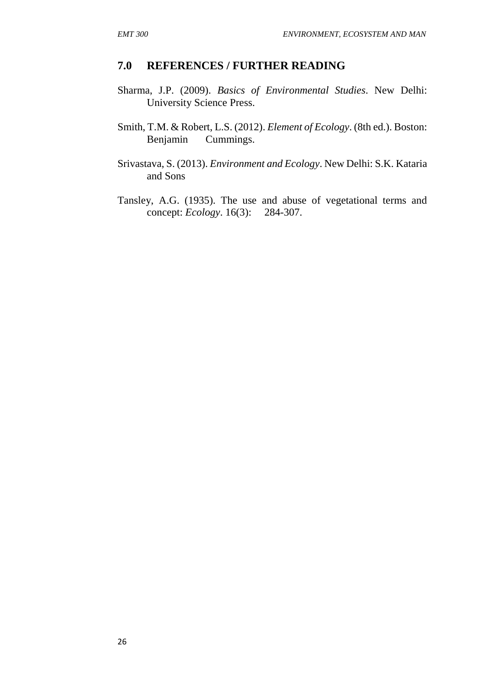#### **7.0 REFERENCES / FURTHER READING**

- Sharma, J.P. (2009). *Basics of Environmental Studies*. New Delhi: University Science Press.
- Smith, T.M. & Robert, L.S. (2012). *Element of Ecology*. (8th ed.). Boston: Benjamin Cummings.
- Srivastava, S. (2013). *Environment and Ecology*. New Delhi: S.K. Kataria and Sons
- Tansley, A.G. (1935). The use and abuse of vegetational terms and concept: *Ecology*. 16(3): 284-307.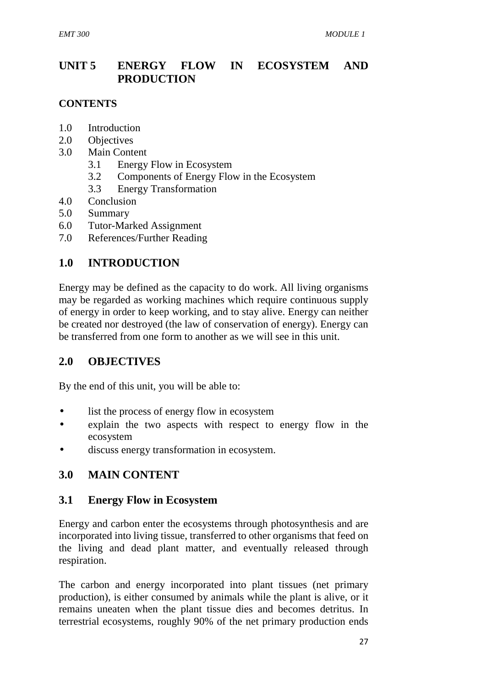## **UNIT 5 ENERGY FLOW IN ECOSYSTEM AND PRODUCTION**

#### **CONTENTS**

- 1.0 Introduction
- 2.0 Objectives
- 3.0 Main Content
	- 3.1 Energy Flow in Ecosystem
	- 3.2 Components of Energy Flow in the Ecosystem
	- 3.3 Energy Transformation
- 4.0 Conclusion
- 5.0 Summary
- 6.0 Tutor-Marked Assignment
- 7.0 References/Further Reading

### **1.0 INTRODUCTION**

Energy may be defined as the capacity to do work. All living organisms may be regarded as working machines which require continuous supply of energy in order to keep working, and to stay alive. Energy can neither be created nor destroyed (the law of conservation of energy). Energy can be transferred from one form to another as we will see in this unit.

#### **2.0 OBJECTIVES**

By the end of this unit, you will be able to:

- list the process of energy flow in ecosystem
- explain the two aspects with respect to energy flow in the ecosystem
- discuss energy transformation in ecosystem.

## **3.0 MAIN CONTENT**

#### **3.1 Energy Flow in Ecosystem**

Energy and carbon enter the ecosystems through photosynthesis and are incorporated into living tissue, transferred to other organisms that feed on the living and dead plant matter, and eventually released through respiration.

The carbon and energy incorporated into plant tissues (net primary production), is either consumed by animals while the plant is alive, or it remains uneaten when the plant tissue dies and becomes detritus. In terrestrial ecosystems, roughly 90% of the net primary production ends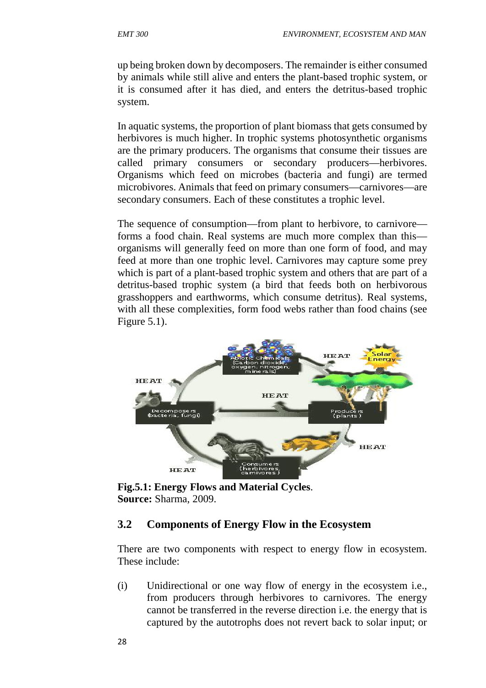up being broken down by decomposers. The remainder is either consumed by animals while still alive and enters the plant-based trophic system, or it is consumed after it has died, and enters the detritus-based trophic system.

In aquatic systems, the proportion of plant biomass that gets consumed by herbivores is much higher. In trophic systems photosynthetic organisms are the primary producers. The organisms that consume their tissues are called primary consumers or secondary producers—herbivores. Organisms which feed on microbes (bacteria and fungi) are termed microbivores. Animals that feed on primary consumers—carnivores—are secondary consumers. Each of these constitutes a trophic level.

The sequence of consumption—from plant to herbivore, to carnivore forms a food chain. Real systems are much more complex than this organisms will generally feed on more than one form of food, and may feed at more than one trophic level. Carnivores may capture some prey which is part of a plant-based trophic system and others that are part of a detritus-based trophic system (a bird that feeds both on herbivorous grasshoppers and earthworms, which consume detritus). Real systems, with all these complexities, form food webs rather than food chains (see Figure 5.1).



**Fig.5.1: Energy Flows and Material Cycles**. **Source:** Sharma, 2009.

#### **3.2 Components of Energy Flow in the Ecosystem**

There are two components with respect to energy flow in ecosystem. These include:

(i) Unidirectional or one way flow of energy in the ecosystem i.e., from producers through herbivores to carnivores. The energy cannot be transferred in the reverse direction i.e. the energy that is captured by the autotrophs does not revert back to solar input; or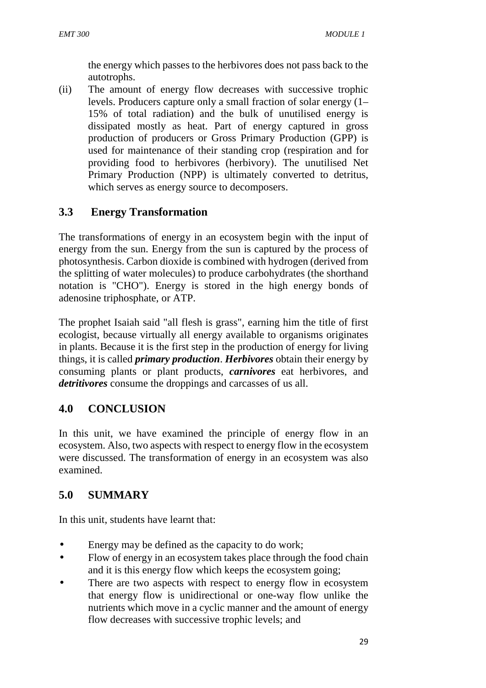the energy which passes to the herbivores does not pass back to the autotrophs.

(ii) The amount of energy flow decreases with successive trophic levels. Producers capture only a small fraction of solar energy (1– 15% of total radiation) and the bulk of unutilised energy is dissipated mostly as heat. Part of energy captured in gross production of producers or Gross Primary Production (GPP) is used for maintenance of their standing crop (respiration and for providing food to herbivores (herbivory). The unutilised Net Primary Production (NPP) is ultimately converted to detritus, which serves as energy source to decomposers.

## **3.3 Energy Transformation**

The transformations of energy in an ecosystem begin with the input of energy from the sun. Energy from the sun is captured by the process of photosynthesis. Carbon dioxide is combined with hydrogen (derived from the splitting of water molecules) to produce carbohydrates (the shorthand notation is "CHO"). Energy is stored in the high energy bonds of adenosine triphosphate, or ATP.

The prophet Isaiah said "all flesh is grass", earning him the title of first ecologist, because virtually all energy available to organisms originates in plants. Because it is the first step in the production of energy for living things, it is called *primary production*. *Herbivores* obtain their energy by consuming plants or plant products, *carnivores* eat herbivores, and *detritivores* consume the droppings and carcasses of us all.

## **4.0 CONCLUSION**

In this unit, we have examined the principle of energy flow in an ecosystem. Also, two aspects with respect to energy flow in the ecosystem were discussed. The transformation of energy in an ecosystem was also examined.

## **5.0 SUMMARY**

In this unit, students have learnt that:

- Energy may be defined as the capacity to do work;
- Flow of energy in an ecosystem takes place through the food chain and it is this energy flow which keeps the ecosystem going;
- There are two aspects with respect to energy flow in ecosystem that energy flow is unidirectional or one-way flow unlike the nutrients which move in a cyclic manner and the amount of energy flow decreases with successive trophic levels; and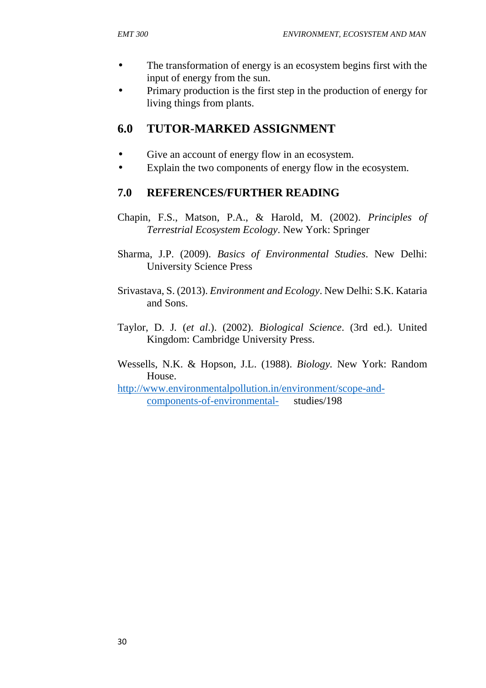- The transformation of energy is an ecosystem begins first with the input of energy from the sun.
- Primary production is the first step in the production of energy for living things from plants.

### **6.0 TUTOR-MARKED ASSIGNMENT**

- Give an account of energy flow in an ecosystem.
- Explain the two components of energy flow in the ecosystem.

#### **7.0 REFERENCES/FURTHER READING**

- Chapin, F.S., Matson, P.A., & Harold, M. (2002). *Principles of Terrestrial Ecosystem Ecology*. New York: Springer
- Sharma, J.P. (2009). *Basics of Environmental Studies*. New Delhi: University Science Press
- Srivastava, S. (2013). *Environment and Ecology*. New Delhi: S.K. Kataria and Sons.
- Taylor, D. J*.* (*et al*.). (2002). *Biological Science*. (3rd ed.). United Kingdom: Cambridge University Press.
- Wessells, N.K. & Hopson, J.L. (1988). *Biology.* New York: Random House.

http://www.environmentalpollution.in/environment/scope-and components-of-environmental- studies/198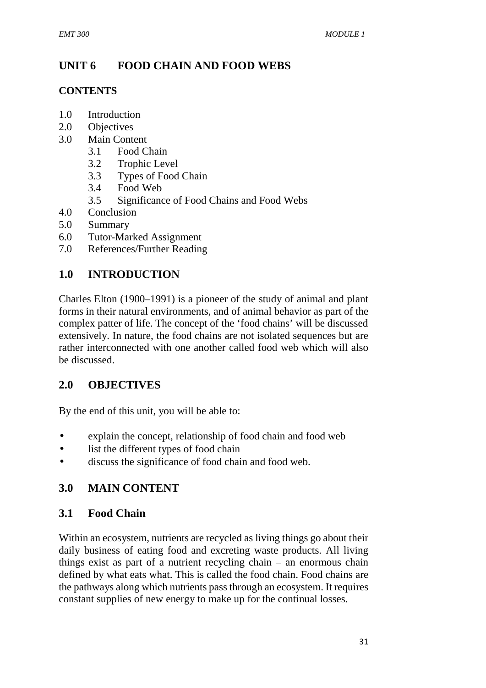## **UNIT 6 FOOD CHAIN AND FOOD WEBS**

#### **CONTENTS**

- 1.0 Introduction
- 2.0 Objectives
- 3.0 Main Content
	- 3.1 Food Chain
	- 3.2 Trophic Level
	- 3.3 Types of Food Chain
	- 3.4 Food Web
	- 3.5 Significance of Food Chains and Food Webs
- 4.0 Conclusion
- 5.0 Summary
- 6.0 Tutor-Marked Assignment
- 7.0 References/Further Reading

## **1.0 INTRODUCTION**

Charles Elton (1900–1991) is a pioneer of the study of animal and plant forms in their natural environments, and of animal behavior as part of the complex patter of life. The concept of the 'food chains' will be discussed extensively. In nature, the food chains are not isolated sequences but are rather interconnected with one another called food web which will also be discussed.

#### **2.0 OBJECTIVES**

By the end of this unit, you will be able to:

- explain the concept, relationship of food chain and food web
- list the different types of food chain
- discuss the significance of food chain and food web.

#### **3.0 MAIN CONTENT**

#### **3.1 Food Chain**

Within an ecosystem, nutrients are recycled as living things go about their daily business of eating food and excreting waste products. All living things exist as part of a nutrient recycling chain – an enormous chain defined by what eats what. This is called the food chain. Food chains are the pathways along which nutrients pass through an ecosystem. It requires constant supplies of new energy to make up for the continual losses.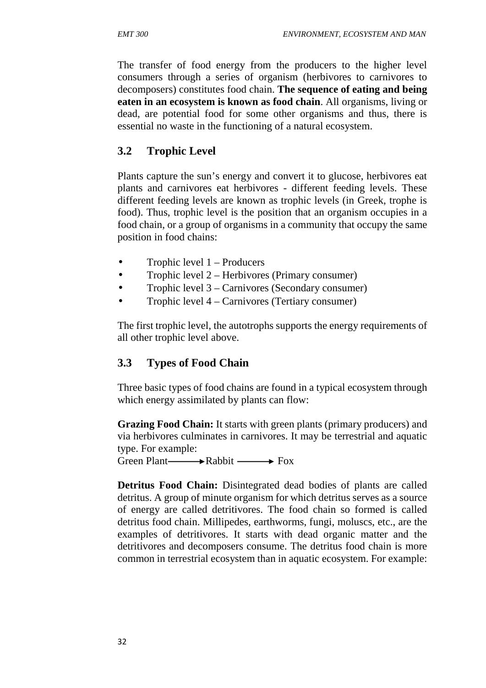The transfer of food energy from the producers to the higher level consumers through a series of organism (herbivores to carnivores to decomposers) constitutes food chain. **The sequence of eating and being eaten in an ecosystem is known as food chain**. All organisms, living or dead, are potential food for some other organisms and thus, there is essential no waste in the functioning of a natural ecosystem.

# **3.2 Trophic Level**

Plants capture the sun's energy and convert it to glucose, herbivores eat plants and carnivores eat herbivores - different feeding levels. These different feeding levels are known as trophic levels (in Greek, trophe is food). Thus, trophic level is the position that an organism occupies in a food chain, or a group of organisms in a community that occupy the same position in food chains:

- Trophic level  $1 -$  Producers
- Trophic level 2 Herbivores (Primary consumer)
- Trophic level 3 Carnivores (Secondary consumer)
- Trophic level 4 Carnivores (Tertiary consumer)

The first trophic level, the autotrophs supports the energy requirements of all other trophic level above.

# **3.3 Types of Food Chain**

Three basic types of food chains are found in a typical ecosystem through which energy assimilated by plants can flow:

**Grazing Food Chain:** It starts with green plants (primary producers) and via herbivores culminates in carnivores. It may be terrestrial and aquatic type. For example:

Green Plant—**Rabbit** Fox

**Detritus Food Chain:** Disintegrated dead bodies of plants are called detritus. A group of minute organism for which detritus serves as a source of energy are called detritivores. The food chain so formed is called detritus food chain. Millipedes, earthworms, fungi, moluscs, etc., are the examples of detritivores. It starts with dead organic matter and the detritivores and decomposers consume. The detritus food chain is more common in terrestrial ecosystem than in aquatic ecosystem. For example: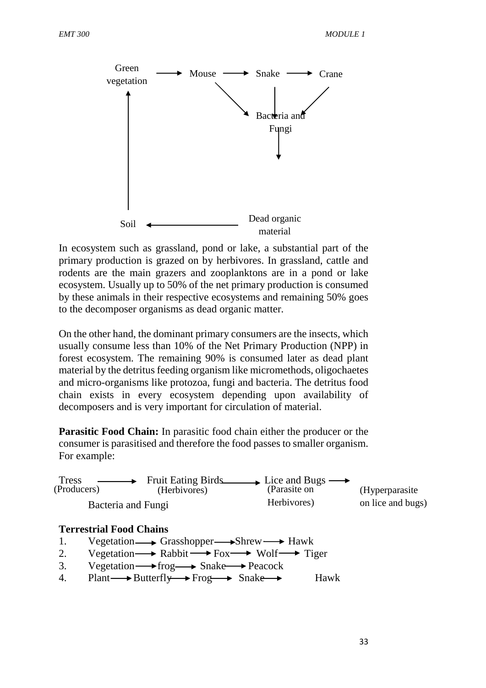

In ecosystem such as grassland, pond or lake, a substantial part of the primary production is grazed on by herbivores. In grassland, cattle and rodents are the main grazers and zooplanktons are in a pond or lake ecosystem. Usually up to 50% of the net primary production is consumed by these animals in their respective ecosystems and remaining 50% goes to the decomposer organisms as dead organic matter.

On the other hand, the dominant primary consumers are the insects, which usually consume less than 10% of the Net Primary Production (NPP) in forest ecosystem. The remaining 90% is consumed later as dead plant material by the detritus feeding organism like micromethods, oligochaetes and micro-organisms like protozoa, fungi and bacteria. The detritus food chain exists in every ecosystem depending upon availability of decomposers and is very important for circulation of material.

**Parasitic Food Chain:** In parasitic food chain either the producer or the consumer is parasitised and therefore the food passes to smaller organism. For example:

| Tress<br>$\overbrace{\hspace{2.5cm}}^{ }$<br>(Producers) | (Herbivores) | Fruit Eating Birds $\longrightarrow$ Lice and Bugs $\longrightarrow$<br>(Parasite on | (Hyperparasite)   |  |
|----------------------------------------------------------|--------------|--------------------------------------------------------------------------------------|-------------------|--|
| Bacteria and Fungi                                       |              | Herbivores)                                                                          | on lice and bugs) |  |

#### **Terrestrial Food Chains**

- 1. Vegetation  $\longrightarrow$  Grasshopper  $\longrightarrow$  Shrew  $\longrightarrow$  Hawk
- 2. Vegetation  $\longrightarrow$  Rabbit  $\longrightarrow$  Fox  $\longrightarrow$  Wolf  $\longrightarrow$  Tiger
- 3. Vegetation  $\longrightarrow$  frog  $\longrightarrow$  Snake  $\longrightarrow$  Peacock
- 4. Plant  $\rightarrow$  Butterfly  $\rightarrow$  Frog  $\rightarrow$  Snake  $\rightarrow$  Hawk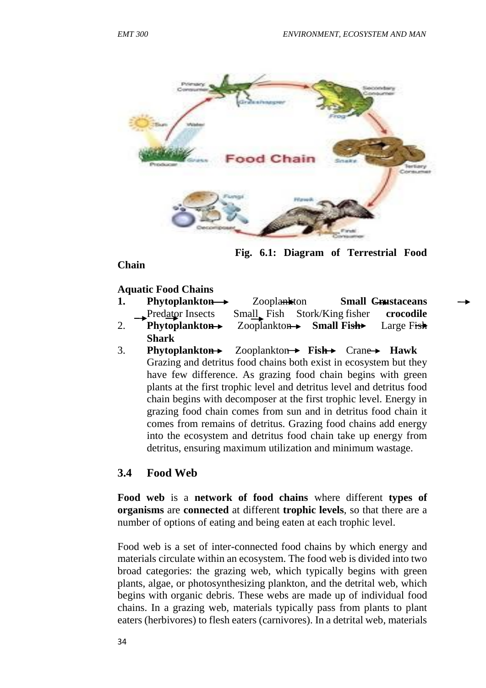

**Fig. 6.1: Diagram of Terrestrial Food**

**Chain**

## **Aquatic Food Chains**

- **1. Phytoplankton** Zooplankton **Small Crustaceans** Predator Insects Small Fish Stork/King fisher **crocodile** 2. **Phytoplankton >** Zooplankton > Small Fish Large Fish **Shark**
- 3. **Phytoplankton >** Zooplankton > Fish > Crane > Hawk Grazing and detritus food chains both exist in ecosystem but they have few difference. As grazing food chain begins with green plants at the first trophic level and detritus level and detritus food chain begins with decomposer at the first trophic level. Energy in grazing food chain comes from sun and in detritus food chain it comes from remains of detritus. Grazing food chains add energy into the ecosystem and detritus food chain take up energy from detritus, ensuring maximum utilization and minimum wastage.

## **3.4 Food Web**

**Food web** is a **network of food chains** where different **types of organisms** are **connected** at different **trophic levels**, so that there are a number of options of eating and being eaten at each trophic level.

Food web is a set of inter-connected food chains by which energy and materials circulate within an ecosystem. The food web is divided into two broad categories: the grazing web, which typically begins with green plants, algae, or photosynthesizing plankton, and the detrital web, which begins with organic debris. These webs are made up of individual food chains. In a grazing web, materials typically pass from plants to plant eaters (herbivores) to flesh eaters (carnivores). In a detrital web, materials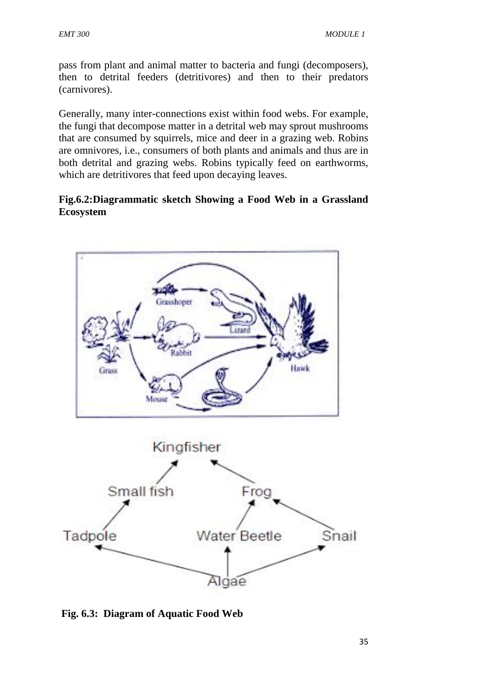pass from plant and animal matter to bacteria and fungi (decomposers), then to detrital feeders (detritivores) and then to their predators (carnivores).

Generally, many inter-connections exist within food webs. For example, the fungi that decompose matter in a detrital web may sprout mushrooms that are consumed by squirrels, mice and deer in a grazing web. Robins are omnivores, i.e., consumers of both plants and animals and thus are in both detrital and grazing webs. Robins typically feed on earthworms, which are detritivores that feed upon decaying leaves.

## **Fig.6.2:Diagrammatic sketch Showing a Food Web in a Grassland Ecosystem**



**Fig. 6.3: Diagram of Aquatic Food Web**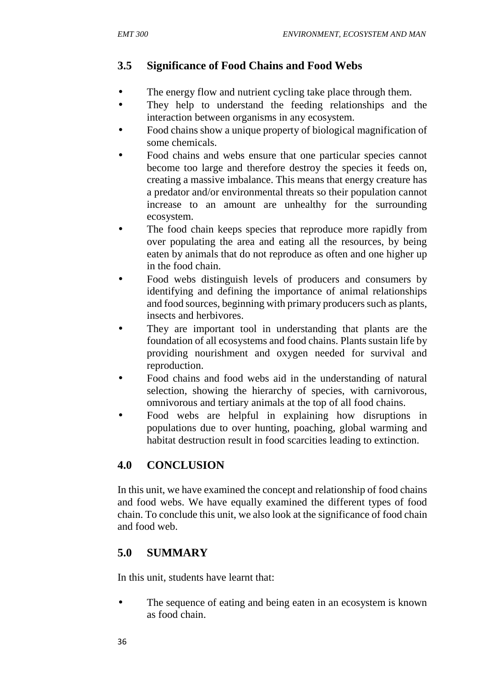# **3.5 Significance of Food Chains and Food Webs**

- The energy flow and nutrient cycling take place through them.
- They help to understand the feeding relationships and the interaction between organisms in any ecosystem.
- Food chains show a unique property of biological magnification of some chemicals.
- Food chains and webs ensure that one particular species cannot become too large and therefore destroy the species it feeds on, creating a massive imbalance. This means that energy creature has a predator and/or environmental threats so their population cannot increase to an amount are unhealthy for the surrounding ecosystem.
- The food chain keeps species that reproduce more rapidly from over populating the area and eating all the resources, by being eaten by animals that do not reproduce as often and one higher up in the food chain.
- Food webs distinguish levels of producers and consumers by identifying and defining the importance of animal relationships and food sources, beginning with primary producers such as plants, insects and herbivores.
- They are important tool in understanding that plants are the foundation of all ecosystems and food chains. Plants sustain life by providing nourishment and oxygen needed for survival and reproduction.
- Food chains and food webs aid in the understanding of natural selection, showing the hierarchy of species, with carnivorous, omnivorous and tertiary animals at the top of all food chains.
- Food webs are helpful in explaining how disruptions in populations due to over hunting, poaching, global warming and habitat destruction result in food scarcities leading to extinction.

# **4.0 CONCLUSION**

In this unit, we have examined the concept and relationship of food chains and food webs. We have equally examined the different types of food chain. To conclude this unit, we also look at the significance of food chain and food web.

# **5.0 SUMMARY**

In this unit, students have learnt that:

• The sequence of eating and being eaten in an ecosystem is known as food chain.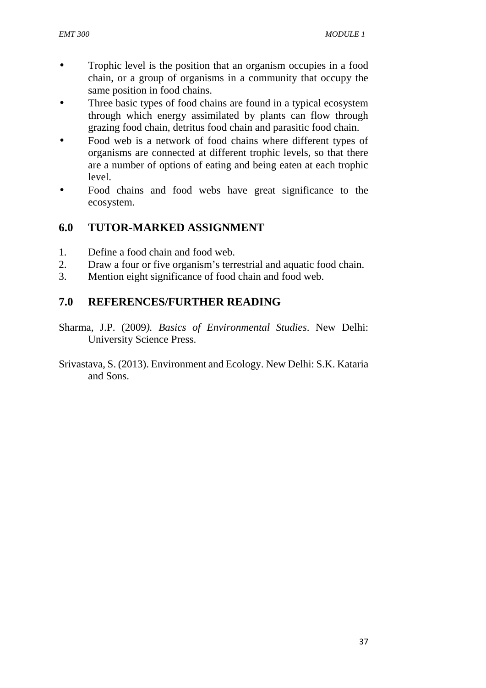- Trophic level is the position that an organism occupies in a food chain, or a group of organisms in a community that occupy the same position in food chains.
- Three basic types of food chains are found in a typical ecosystem through which energy assimilated by plants can flow through grazing food chain, detritus food chain and parasitic food chain.
- Food web is a network of food chains where different types of organisms are connected at different trophic levels, so that there are a number of options of eating and being eaten at each trophic level.
- Food chains and food webs have great significance to the ecosystem.

# **6.0 TUTOR-MARKED ASSIGNMENT**

- 1. Define a food chain and food web.
- 2. Draw a four or five organism's terrestrial and aquatic food chain.
- 3. Mention eight significance of food chain and food web.

# **7.0 REFERENCES/FURTHER READING**

- Sharma, J.P. (2009*). Basics of Environmental Studies*. New Delhi: University Science Press.
- Srivastava, S. (2013). Environment and Ecology. New Delhi: S.K. Kataria and Sons.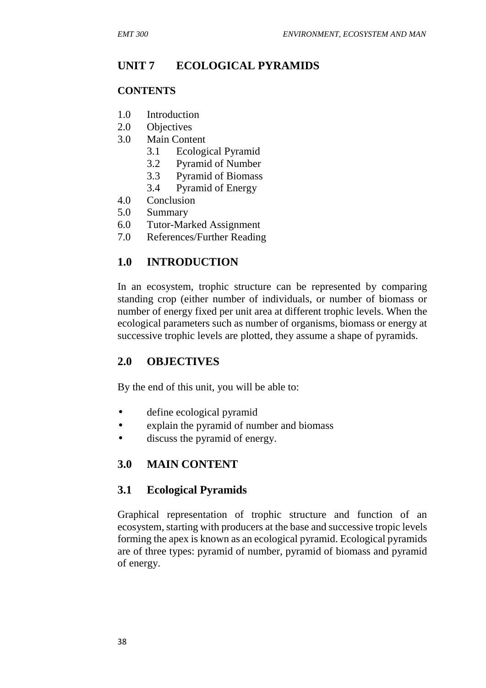## **UNIT 7 ECOLOGICAL PYRAMIDS**

#### **CONTENTS**

- 1.0 Introduction
- 2.0 Objectives
- 3.0 Main Content
	- 3.1 Ecological Pyramid
	- 3.2 Pyramid of Number
	- 3.3 Pyramid of Biomass
	- 3.4 Pyramid of Energy
- 4.0 Conclusion
- 5.0 Summary
- 6.0 Tutor-Marked Assignment
- 7.0 References/Further Reading

## **1.0 INTRODUCTION**

In an ecosystem, trophic structure can be represented by comparing standing crop (either number of individuals, or number of biomass or number of energy fixed per unit area at different trophic levels. When the ecological parameters such as number of organisms, biomass or energy at successive trophic levels are plotted, they assume a shape of pyramids.

#### **2.0 OBJECTIVES**

By the end of this unit, you will be able to:

- define ecological pyramid
- explain the pyramid of number and biomass
- discuss the pyramid of energy.

#### **3.0 MAIN CONTENT**

#### **3.1 Ecological Pyramids**

Graphical representation of trophic structure and function of an ecosystem, starting with producers at the base and successive tropic levels forming the apex is known as an ecological pyramid. Ecological pyramids are of three types: pyramid of number, pyramid of biomass and pyramid of energy.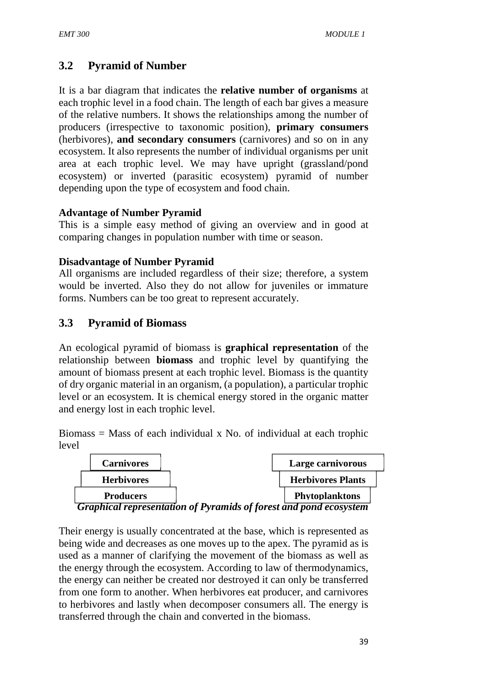# **3.2 Pyramid of Number**

It is a bar diagram that indicates the **relative number of organisms** at each trophic level in a food chain. The length of each bar gives a measure of the relative numbers. It shows the relationships among the number of producers (irrespective to taxonomic position), **primary consumers** (herbivores), **and secondary consumers** (carnivores) and so on in any ecosystem. It also represents the number of individual organisms per unit area at each trophic level. We may have upright (grassland/pond ecosystem) or inverted (parasitic ecosystem) pyramid of number depending upon the type of ecosystem and food chain.

## **Advantage of Number Pyramid**

This is a simple easy method of giving an overview and in good at comparing changes in population number with time or season.

## **Disadvantage of Number Pyramid**

All organisms are included regardless of their size; therefore, a system would be inverted. Also they do not allow for juveniles or immature forms. Numbers can be too great to represent accurately.

# **3.3 Pyramid of Biomass**

An ecological pyramid of biomass is **graphical representation** of the relationship between **biomass** and trophic level by quantifying the amount of biomass present at each trophic level. Biomass is the quantity of dry organic material in an organism, (a population), a particular trophic level or an ecosystem. It is chemical energy stored in the organic matter and energy lost in each trophic level.

Biomass  $=$  Mass of each individual x No. of individual at each trophic level



Their energy is usually concentrated at the base, which is represented as being wide and decreases as one moves up to the apex. The pyramid as is used as a manner of clarifying the movement of the biomass as well as the energy through the ecosystem. According to law of thermodynamics, the energy can neither be created nor destroyed it can only be transferred from one form to another. When herbivores eat producer, and carnivores to herbivores and lastly when decomposer consumers all. The energy is transferred through the chain and converted in the biomass.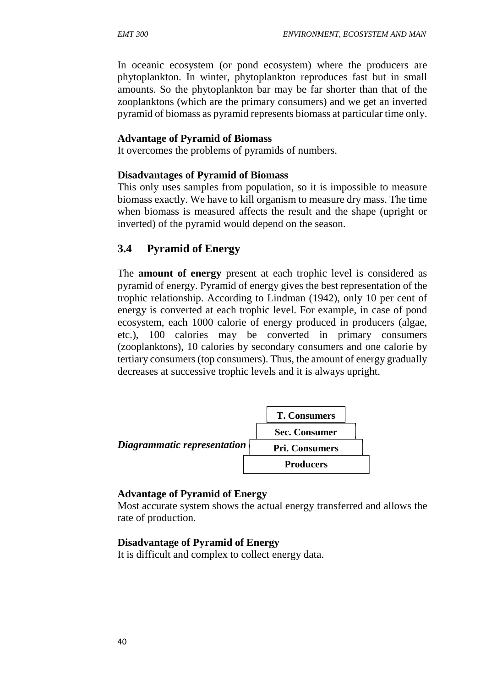In oceanic ecosystem (or pond ecosystem) where the producers are phytoplankton. In winter, phytoplankton reproduces fast but in small amounts. So the phytoplankton bar may be far shorter than that of the zooplanktons (which are the primary consumers) and we get an inverted pyramid of biomass as pyramid represents biomass at particular time only.

#### **Advantage of Pyramid of Biomass**

It overcomes the problems of pyramids of numbers.

#### **Disadvantages of Pyramid of Biomass**

This only uses samples from population, so it is impossible to measure biomass exactly. We have to kill organism to measure dry mass. The time when biomass is measured affects the result and the shape (upright or inverted) of the pyramid would depend on the season.

## **3.4 Pyramid of Energy**

The **amount of energy** present at each trophic level is considered as pyramid of energy. Pyramid of energy gives the best representation of the trophic relationship. According to Lindman (1942), only 10 per cent of energy is converted at each trophic level. For example, in case of pond ecosystem, each 1000 calorie of energy produced in producers (algae, etc.), 100 calories may be converted in primary consumers (zooplanktons), 10 calories by secondary consumers and one calorie by tertiary consumers (top consumers). Thus, the amount of energy gradually decreases at successive trophic levels and it is always upright.



#### **Advantage of Pyramid of Energy**

Most accurate system shows the actual energy transferred and allows the rate of production.

## **Disadvantage of Pyramid of Energy**

It is difficult and complex to collect energy data.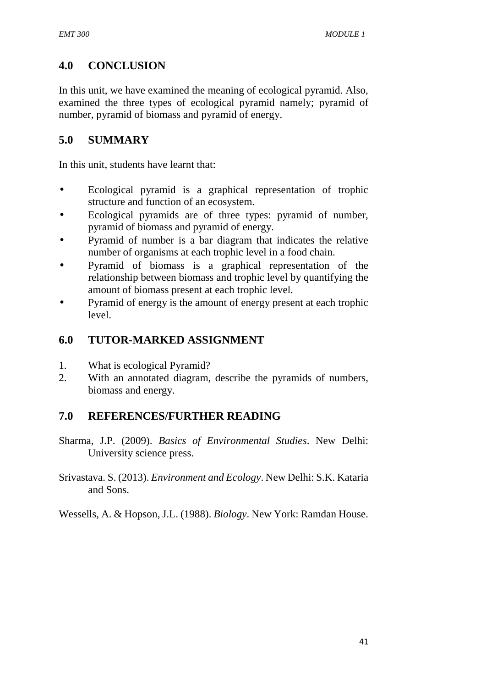# **4.0 CONCLUSION**

In this unit, we have examined the meaning of ecological pyramid. Also, examined the three types of ecological pyramid namely; pyramid of number, pyramid of biomass and pyramid of energy.

# **5.0 SUMMARY**

In this unit, students have learnt that:

- Ecological pyramid is a graphical representation of trophic structure and function of an ecosystem.
- Ecological pyramids are of three types: pyramid of number, pyramid of biomass and pyramid of energy.
- Pyramid of number is a bar diagram that indicates the relative number of organisms at each trophic level in a food chain.
- Pyramid of biomass is a graphical representation of the relationship between biomass and trophic level by quantifying the amount of biomass present at each trophic level.
- Pyramid of energy is the amount of energy present at each trophic level.

# **6.0 TUTOR-MARKED ASSIGNMENT**

- 1. What is ecological Pyramid?
- 2. With an annotated diagram, describe the pyramids of numbers, biomass and energy.

# **7.0 REFERENCES/FURTHER READING**

- Sharma, J.P. (2009). *Basics of Environmental Studies*. New Delhi: University science press.
- Srivastava. S. (2013). *Environment and Ecology*. New Delhi: S.K. Kataria and Sons.

Wessells, A. & Hopson, J.L. (1988). *Biology*. New York: Ramdan House.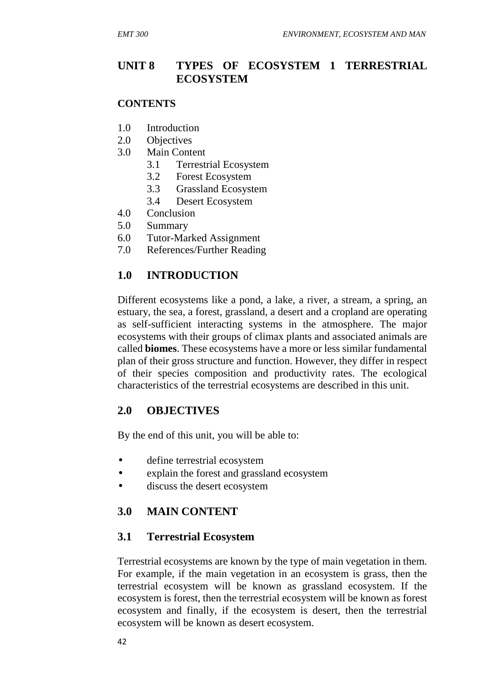# **UNIT 8 TYPES OF ECOSYSTEM 1 TERRESTRIAL ECOSYSTEM**

#### **CONTENTS**

- 1.0 Introduction
- 2.0 Objectives
- 3.0 Main Content
	- 3.1 Terrestrial Ecosystem
	- 3.2 Forest Ecosystem
	- 3.3 Grassland Ecosystem
	- 3.4 Desert Ecosystem
- 4.0 Conclusion
- 5.0 Summary
- 6.0 Tutor-Marked Assignment
- 7.0 References/Further Reading

## **1.0 INTRODUCTION**

Different ecosystems like a pond, a lake, a river, a stream, a spring, an estuary, the sea, a forest, grassland, a desert and a cropland are operating as self-sufficient interacting systems in the atmosphere. The major ecosystems with their groups of climax plants and associated animals are called **biomes**. These ecosystems have a more or less similar fundamental plan of their gross structure and function. However, they differ in respect of their species composition and productivity rates. The ecological characteristics of the terrestrial ecosystems are described in this unit.

## **2.0 OBJECTIVES**

By the end of this unit, you will be able to:

- define terrestrial ecosystem
- explain the forest and grassland ecosystem
- discuss the desert ecosystem

## **3.0 MAIN CONTENT**

## **3.1 Terrestrial Ecosystem**

Terrestrial ecosystems are known by the type of main vegetation in them. For example, if the main vegetation in an ecosystem is grass, then the terrestrial ecosystem will be known as grassland ecosystem. If the ecosystem is forest, then the terrestrial ecosystem will be known as forest ecosystem and finally, if the ecosystem is desert, then the terrestrial ecosystem will be known as desert ecosystem.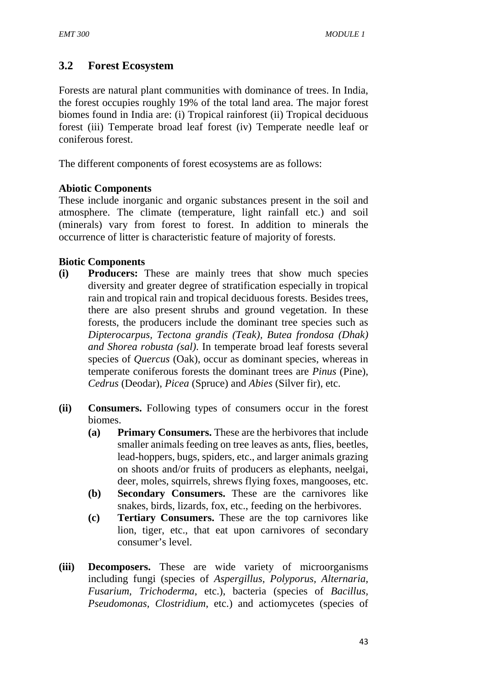## **3.2 Forest Ecosystem**

Forests are natural plant communities with dominance of trees. In India, the forest occupies roughly 19% of the total land area. The major forest biomes found in India are: (i) Tropical rainforest (ii) Tropical deciduous forest (iii) Temperate broad leaf forest (iv) Temperate needle leaf or coniferous forest.

The different components of forest ecosystems are as follows:

#### **Abiotic Components**

These include inorganic and organic substances present in the soil and atmosphere. The climate (temperature, light rainfall etc.) and soil (minerals) vary from forest to forest. In addition to minerals the occurrence of litter is characteristic feature of majority of forests.

#### **Biotic Components**

- **(i) Producers:** These are mainly trees that show much species diversity and greater degree of stratification especially in tropical rain and tropical rain and tropical deciduous forests. Besides trees, there are also present shrubs and ground vegetation. In these forests, the producers include the dominant tree species such as *Dipterocarpus, Tectona grandis (Teak), Butea frondosa (Dhak) and Shorea robusta (sal)*. In temperate broad leaf forests several species of *Quercus* (Oak), occur as dominant species, whereas in temperate coniferous forests the dominant trees are *Pinus* (Pine), *Cedrus* (Deodar), *Picea* (Spruce) and *Abies* (Silver fir), etc.
- **(ii) Consumers.** Following types of consumers occur in the forest biomes.
	- **(a) Primary Consumers.** These are the herbivores that include smaller animals feeding on tree leaves as ants, flies, beetles, lead-hoppers, bugs, spiders, etc., and larger animals grazing on shoots and/or fruits of producers as elephants, neelgai, deer, moles, squirrels, shrews flying foxes, mangooses, etc.
	- **(b) Secondary Consumers.** These are the carnivores like snakes, birds, lizards, fox, etc., feeding on the herbivores.
	- **(c) Tertiary Consumers.** These are the top carnivores like lion, tiger, etc., that eat upon carnivores of secondary consumer's level.
- **(iii) Decomposers.** These are wide variety of microorganisms including fungi (species of *Aspergillus, Polyporus, Alternaria, Fusarium, Trichoderma*, etc.), bacteria (species of *Bacillus, Pseudomonas, Clostridium*, etc.) and actiomycetes (species of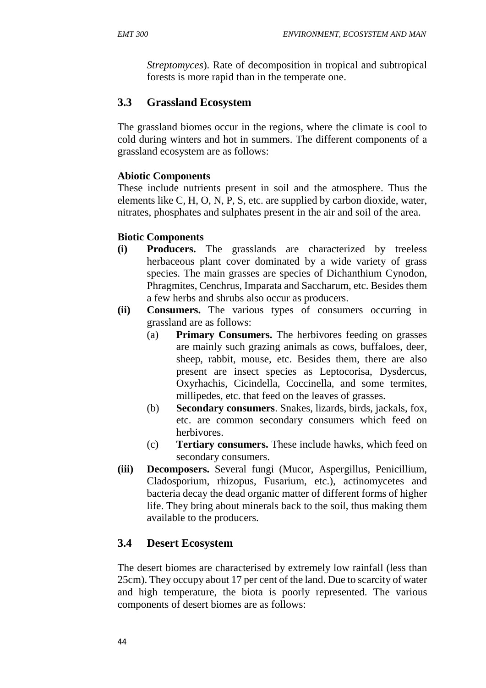*Streptomyces*). Rate of decomposition in tropical and subtropical forests is more rapid than in the temperate one.

# **3.3 Grassland Ecosystem**

The grassland biomes occur in the regions, where the climate is cool to cold during winters and hot in summers. The different components of a grassland ecosystem are as follows:

## **Abiotic Components**

These include nutrients present in soil and the atmosphere. Thus the elements like C, H, O, N, P, S, etc. are supplied by carbon dioxide, water, nitrates, phosphates and sulphates present in the air and soil of the area.

## **Biotic Components**

- **(i) Producers.** The grasslands are characterized by treeless herbaceous plant cover dominated by a wide variety of grass species. The main grasses are species of Dichanthium Cynodon, Phragmites, Cenchrus, Imparata and Saccharum, etc. Besides them a few herbs and shrubs also occur as producers.
- **(ii) Consumers.** The various types of consumers occurring in grassland are as follows:
	- (a) **Primary Consumers.** The herbivores feeding on grasses are mainly such grazing animals as cows, buffaloes, deer, sheep, rabbit, mouse, etc. Besides them, there are also present are insect species as Leptocorisa, Dysdercus, Oxyrhachis, Cicindella, Coccinella, and some termites, millipedes, etc. that feed on the leaves of grasses.
	- (b) **Secondary consumers**. Snakes, lizards, birds, jackals, fox, etc. are common secondary consumers which feed on herbivores.
	- (c) **Tertiary consumers.** These include hawks, which feed on secondary consumers.
- **(iii) Decomposers.** Several fungi (Mucor, Aspergillus, Penicillium, Cladosporium, rhizopus, Fusarium, etc.), actinomycetes and bacteria decay the dead organic matter of different forms of higher life. They bring about minerals back to the soil, thus making them available to the producers.

# **3.4 Desert Ecosystem**

The desert biomes are characterised by extremely low rainfall (less than 25cm). They occupy about 17 per cent of the land. Due to scarcity of water and high temperature, the biota is poorly represented. The various components of desert biomes are as follows: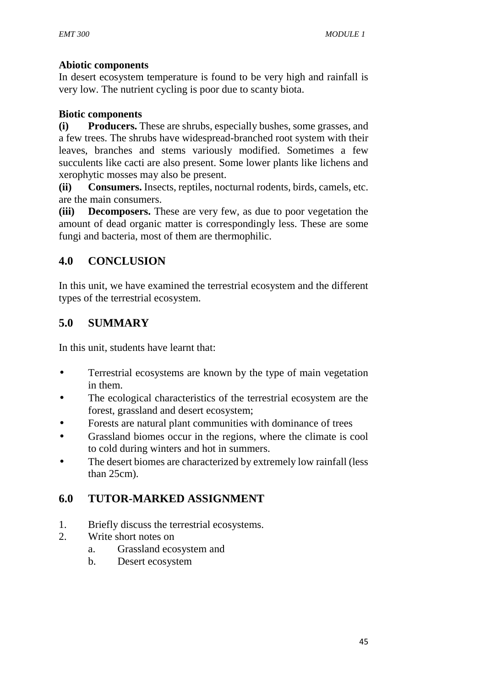## **Abiotic components**

In desert ecosystem temperature is found to be very high and rainfall is very low. The nutrient cycling is poor due to scanty biota.

## **Biotic components**

**(i) Producers.** These are shrubs, especially bushes, some grasses, and a few trees. The shrubs have widespread-branched root system with their leaves, branches and stems variously modified. Sometimes a few succulents like cacti are also present. Some lower plants like lichens and xerophytic mosses may also be present.

**(ii) Consumers.** Insects, reptiles, nocturnal rodents, birds, camels, etc. are the main consumers.

**(iii) Decomposers.** These are very few, as due to poor vegetation the amount of dead organic matter is correspondingly less. These are some fungi and bacteria, most of them are thermophilic.

# **4.0 CONCLUSION**

In this unit, we have examined the terrestrial ecosystem and the different types of the terrestrial ecosystem.

# **5.0 SUMMARY**

In this unit, students have learnt that:

- Terrestrial ecosystems are known by the type of main vegetation in them.
- The ecological characteristics of the terrestrial ecosystem are the forest, grassland and desert ecosystem;
- Forests are natural plant communities with dominance of trees
- Grassland biomes occur in the regions, where the climate is cool to cold during winters and hot in summers.
- The desert biomes are characterized by extremely low rainfall (less than 25cm).

# **6.0 TUTOR-MARKED ASSIGNMENT**

- 1. Briefly discuss the terrestrial ecosystems.
- 2. Write short notes on
	- a. Grassland ecosystem and
	- b. Desert ecosystem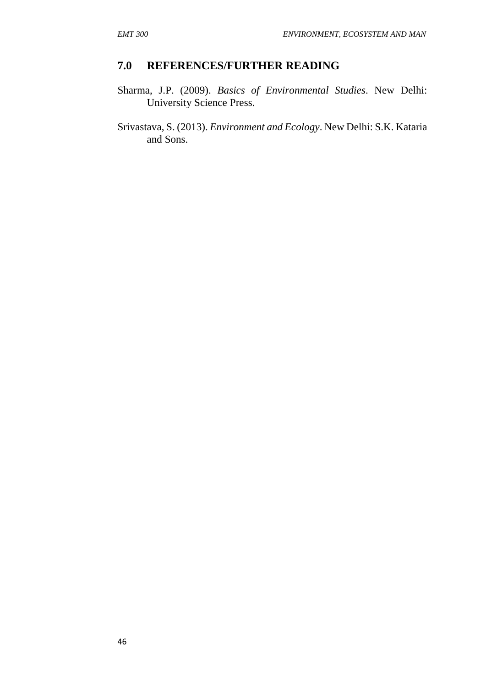## **7.0 REFERENCES/FURTHER READING**

- Sharma, J.P. (2009). *Basics of Environmental Studies*. New Delhi: University Science Press.
- Srivastava, S. (2013). *Environment and Ecology*. New Delhi: S.K. Kataria and Sons.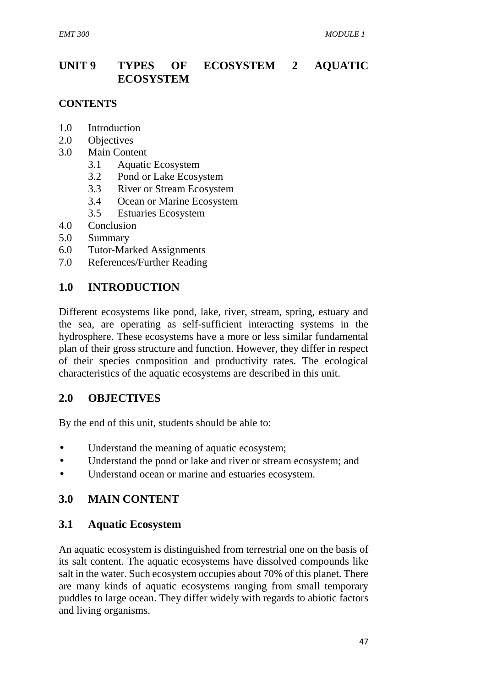# **UNIT 9 TYPES OF ECOSYSTEM 2 AQUATIC ECOSYSTEM**

#### **CONTENTS**

- 1.0 Introduction
- 2.0 Objectives
- 3.0 Main Content
	- 3.1 Aquatic Ecosystem
	- 3.2 Pond or Lake Ecosystem
	- 3.3 River or Stream Ecosystem
	- 3.4 Ocean or Marine Ecosystem
	- 3.5 Estuaries Ecosystem
- 4.0 Conclusion
- 5.0 Summary
- 6.0 Tutor-Marked Assignments
- 7.0 References/Further Reading

## **1.0 INTRODUCTION**

Different ecosystems like pond, lake, river, stream, spring, estuary and the sea, are operating as self-sufficient interacting systems in the hydrosphere. These ecosystems have a more or less similar fundamental plan of their gross structure and function. However, they differ in respect of their species composition and productivity rates. The ecological characteristics of the aquatic ecosystems are described in this unit.

## **2.0 OBJECTIVES**

By the end of this unit, students should be able to:

- Understand the meaning of aquatic ecosystem;
- Understand the pond or lake and river or stream ecosystem; and
- Understand ocean or marine and estuaries ecosystem.

## **3.0 MAIN CONTENT**

## **3.1 Aquatic Ecosystem**

An aquatic ecosystem is distinguished from terrestrial one on the basis of its salt content. The aquatic ecosystems have dissolved compounds like salt in the water. Such ecosystem occupies about 70% of this planet. There are many kinds of aquatic ecosystems ranging from small temporary puddles to large ocean. They differ widely with regards to abiotic factors and living organisms.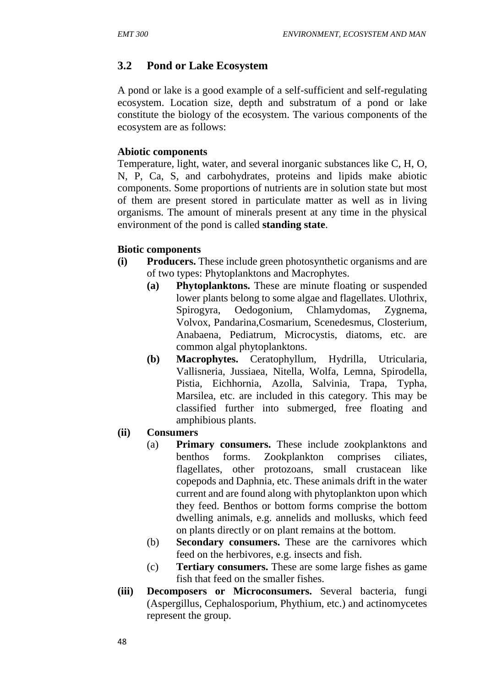## **3.2 Pond or Lake Ecosystem**

A pond or lake is a good example of a self-sufficient and self-regulating ecosystem. Location size, depth and substratum of a pond or lake constitute the biology of the ecosystem. The various components of the ecosystem are as follows:

#### **Abiotic components**

Temperature, light, water, and several inorganic substances like C, H, O, N, P, Ca, S, and carbohydrates, proteins and lipids make abiotic components. Some proportions of nutrients are in solution state but most of them are present stored in particulate matter as well as in living organisms. The amount of minerals present at any time in the physical environment of the pond is called **standing state**.

#### **Biotic components**

- **(i) Producers.** These include green photosynthetic organisms and are of two types: Phytoplanktons and Macrophytes.
	- **(a) Phytoplanktons.** These are minute floating or suspended lower plants belong to some algae and flagellates. Ulothrix, Spirogyra, Oedogonium, Chlamydomas, Zygnema, Volvox, Pandarina,Cosmarium, Scenedesmus, Closterium, Anabaena, Pediatrum, Microcystis, diatoms, etc. are common algal phytoplanktons.
	- **(b) Macrophytes.** Ceratophyllum, Hydrilla, Utricularia, Vallisneria, Jussiaea, Nitella, Wolfa, Lemna, Spirodella, Pistia, Eichhornia, Azolla, Salvinia, Trapa, Typha, Marsilea, etc. are included in this category. This may be classified further into submerged, free floating and amphibious plants.

#### **(ii) Consumers**

- (a) **Primary consumers.** These include zookplanktons and benthos forms. Zookplankton comprises ciliates, flagellates, other protozoans, small crustacean like copepods and Daphnia, etc. These animals drift in the water current and are found along with phytoplankton upon which they feed. Benthos or bottom forms comprise the bottom dwelling animals, e.g. annelids and mollusks, which feed on plants directly or on plant remains at the bottom.
- (b) **Secondary consumers.** These are the carnivores which feed on the herbivores, e.g. insects and fish.
- (c) **Tertiary consumers.** These are some large fishes as game fish that feed on the smaller fishes.
- **(iii) Decomposers or Microconsumers.** Several bacteria, fungi (Aspergillus, Cephalosporium, Phythium, etc.) and actinomycetes represent the group.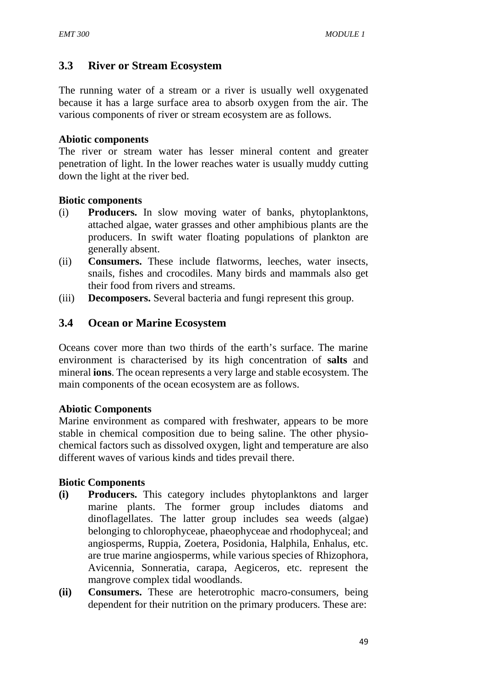## **3.3 River or Stream Ecosystem**

The running water of a stream or a river is usually well oxygenated because it has a large surface area to absorb oxygen from the air. The various components of river or stream ecosystem are as follows.

#### **Abiotic components**

The river or stream water has lesser mineral content and greater penetration of light. In the lower reaches water is usually muddy cutting down the light at the river bed.

#### **Biotic components**

- (i) **Producers.** In slow moving water of banks, phytoplanktons, attached algae, water grasses and other amphibious plants are the producers. In swift water floating populations of plankton are generally absent.
- (ii) **Consumers.** These include flatworms, leeches, water insects, snails, fishes and crocodiles. Many birds and mammals also get their food from rivers and streams.
- (iii) **Decomposers.** Several bacteria and fungi represent this group.

#### **3.4 Ocean or Marine Ecosystem**

Oceans cover more than two thirds of the earth's surface. The marine environment is characterised by its high concentration of **salts** and mineral **ions**. The ocean represents a very large and stable ecosystem. The main components of the ocean ecosystem are as follows.

#### **Abiotic Components**

Marine environment as compared with freshwater, appears to be more stable in chemical composition due to being saline. The other physio chemical factors such as dissolved oxygen, light and temperature are also different waves of various kinds and tides prevail there.

#### **Biotic Components**

- **(i) Producers.** This category includes phytoplanktons and larger marine plants. The former group includes diatoms and dinoflagellates. The latter group includes sea weeds (algae) belonging to chlorophyceae, phaeophyceae and rhodophyceal; and angiosperms, Ruppia, Zoetera, Posidonia, Halphila, Enhalus, etc. are true marine angiosperms, while various species of Rhizophora, Avicennia, Sonneratia, carapa, Aegiceros, etc. represent the mangrove complex tidal woodlands.
- **(ii) Consumers.** These are heterotrophic macro-consumers, being dependent for their nutrition on the primary producers. These are: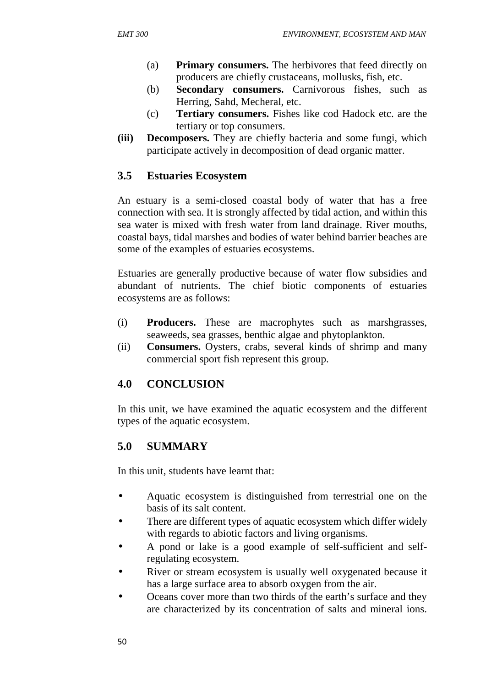- (a) **Primary consumers.** The herbivores that feed directly on producers are chiefly crustaceans, mollusks, fish, etc.
- (b) **Secondary consumers.** Carnivorous fishes, such as Herring, Sahd, Mecheral, etc.
- (c) **Tertiary consumers.** Fishes like cod Hadock etc. are the tertiary or top consumers.
- **(iii) Decomposers.** They are chiefly bacteria and some fungi, which participate actively in decomposition of dead organic matter.

# **3.5 Estuaries Ecosystem**

An estuary is a semi-closed coastal body of water that has a free connection with sea. It is strongly affected by tidal action, and within this sea water is mixed with fresh water from land drainage. River mouths, coastal bays, tidal marshes and bodies of water behind barrier beaches are some of the examples of estuaries ecosystems.

Estuaries are generally productive because of water flow subsidies and abundant of nutrients. The chief biotic components of estuaries ecosystems are as follows:

- (i) **Producers.** These are macrophytes such as marshgrasses, seaweeds, sea grasses, benthic algae and phytoplankton.
- (ii) **Consumers.** Oysters, crabs, several kinds of shrimp and many commercial sport fish represent this group.

# **4.0 CONCLUSION**

In this unit, we have examined the aquatic ecosystem and the different types of the aquatic ecosystem.

# **5.0 SUMMARY**

In this unit, students have learnt that:

- Aquatic ecosystem is distinguished from terrestrial one on the basis of its salt content.
- There are different types of aquatic ecosystem which differ widely with regards to abiotic factors and living organisms.
- A pond or lake is a good example of self-sufficient and selfregulating ecosystem.
- River or stream ecosystem is usually well oxygenated because it has a large surface area to absorb oxygen from the air.
- Oceans cover more than two thirds of the earth's surface and they are characterized by its concentration of salts and mineral ions.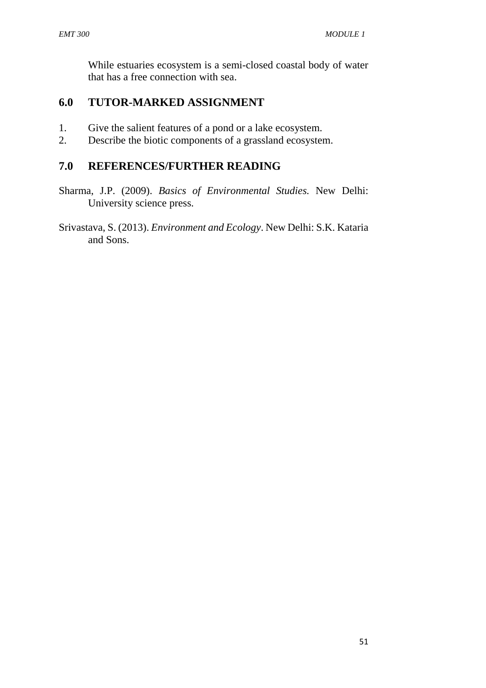While estuaries ecosystem is a semi-closed coastal body of water that has a free connection with sea.

## **6.0 TUTOR-MARKED ASSIGNMENT**

- 1. Give the salient features of a pond or a lake ecosystem.<br>2. Describe the biotic components of a grassland ecosystem
- Describe the biotic components of a grassland ecosystem.

# **7.0 REFERENCES/FURTHER READING**

- Sharma, J.P. (2009). *Basics of Environmental Studies.* New Delhi: University science press.
- Srivastava, S. (2013). *Environment and Ecology*. New Delhi: S.K. Kataria and Sons.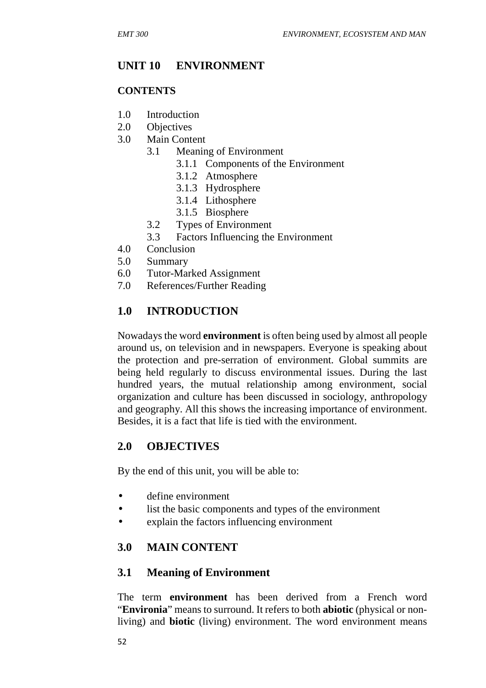## **UNIT 10 ENVIRONMENT**

#### **CONTENTS**

- 1.0 Introduction
- 2.0 Objectives
- 3.0 Main Content
	- 3.1 Meaning of Environment
		- 3.1.1 Components of the Environment
		- 3.1.2 Atmosphere
		- 3.1.3 Hydrosphere
		- 3.1.4 Lithosphere
		- 3.1.5 Biosphere
	- 3.2 Types of Environment
	- 3.3 Factors Influencing the Environment
- 4.0 Conclusion
- 5.0 Summary
- 6.0 Tutor-Marked Assignment
- 7.0 References/Further Reading

## **1.0 INTRODUCTION**

Nowadays the word **environment** is often being used by almost all people around us, on television and in newspapers. Everyone is speaking about the protection and pre-serration of environment. Global summits are being held regularly to discuss environmental issues. During the last hundred years, the mutual relationship among environment, social organization and culture has been discussed in sociology, anthropology and geography. All this shows the increasing importance of environment. Besides, it is a fact that life is tied with the environment.

## **2.0 OBJECTIVES**

By the end of this unit, you will be able to:

- define environment
- list the basic components and types of the environment
- explain the factors influencing environment

## **3.0 MAIN CONTENT**

## **3.1 Meaning of Environment**

The term **environment** has been derived from a French word "**Environia**" means to surround. It refers to both **abiotic** (physical or nonliving) and **biotic** (living) environment. The word environment means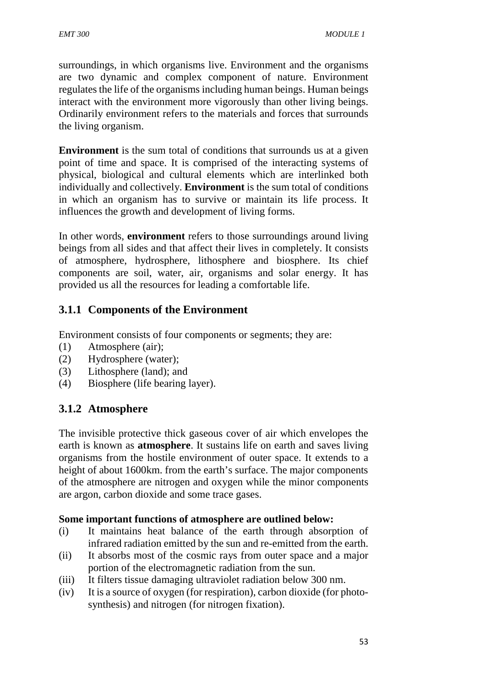surroundings, in which organisms live. Environment and the organisms are two dynamic and complex component of nature. Environment regulates the life of the organisms including human beings. Human beings interact with the environment more vigorously than other living beings. Ordinarily environment refers to the materials and forces that surrounds the living organism.

**Environment** is the sum total of conditions that surrounds us at a given point of time and space. It is comprised of the interacting systems of physical, biological and cultural elements which are interlinked both individually and collectively. **Environment** is the sum total of conditions in which an organism has to survive or maintain its life process. It influences the growth and development of living forms.

In other words, **environment** refers to those surroundings around living beings from all sides and that affect their lives in completely. It consists of atmosphere, hydrosphere, lithosphere and biosphere. Its chief components are soil, water, air, organisms and solar energy. It has provided us all the resources for leading a comfortable life.

## **3.1.1 Components of the Environment**

Environment consists of four components or segments; they are:

- (1) Atmosphere (air);
- (2) Hydrosphere (water);
- (3) Lithosphere (land); and
- (4) Biosphere (life bearing layer).

## **3.1.2 Atmosphere**

The invisible protective thick gaseous cover of air which envelopes the earth is known as **atmosphere**. It sustains life on earth and saves living organisms from the hostile environment of outer space. It extends to a height of about 1600km. from the earth's surface. The major components of the atmosphere are nitrogen and oxygen while the minor components are argon, carbon dioxide and some trace gases.

#### **Some important functions of atmosphere are outlined below:**

- (i) It maintains heat balance of the earth through absorption of infrared radiation emitted by the sun and re-emitted from the earth.
- (ii) It absorbs most of the cosmic rays from outer space and a major portion of the electromagnetic radiation from the sun.
- (iii) It filters tissue damaging ultraviolet radiation below 300 nm.
- (iv) It is a source of oxygen (for respiration), carbon dioxide (for photo synthesis) and nitrogen (for nitrogen fixation).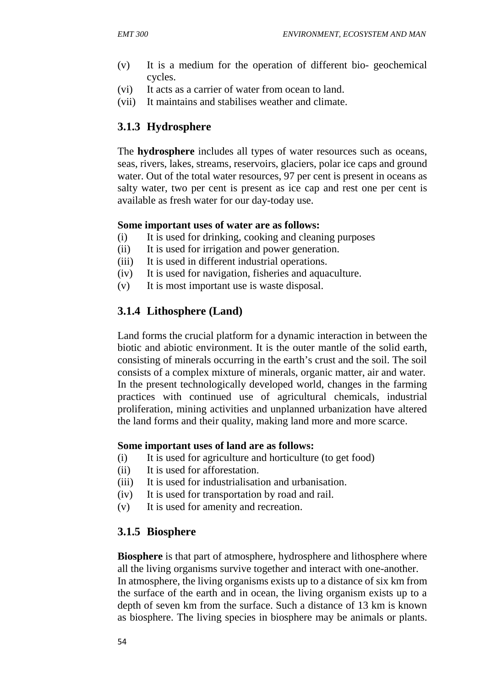- (v) It is a medium for the operation of different bio- geochemical cycles.
- (vi) It acts as a carrier of water from ocean to land.
- (vii) It maintains and stabilises weather and climate.

# **3.1.3 Hydrosphere**

The **hydrosphere** includes all types of water resources such as oceans, seas, rivers, lakes, streams, reservoirs, glaciers, polar ice caps and ground water. Out of the total water resources, 97 per cent is present in oceans as salty water, two per cent is present as ice cap and rest one per cent is available as fresh water for our day-today use.

## **Some important uses of water are as follows:**

- (i) It is used for drinking, cooking and cleaning purposes
- (ii) It is used for irrigation and power generation.
- (iii) It is used in different industrial operations.
- (iv) It is used for navigation, fisheries and aquaculture.
- (v) It is most important use is waste disposal.

# **3.1.4 Lithosphere (Land)**

Land forms the crucial platform for a dynamic interaction in between the biotic and abiotic environment. It is the outer mantle of the solid earth, consisting of minerals occurring in the earth's crust and the soil. The soil consists of a complex mixture of minerals, organic matter, air and water. In the present technologically developed world, changes in the farming practices with continued use of agricultural chemicals, industrial proliferation, mining activities and unplanned urbanization have altered the land forms and their quality, making land more and more scarce.

#### **Some important uses of land are as follows:**

- (i) It is used for agriculture and horticulture (to get food)
- (ii) It is used for afforestation.
- (iii) It is used for industrialisation and urbanisation.
- (iv) It is used for transportation by road and rail.
- (v) It is used for amenity and recreation.

## **3.1.5 Biosphere**

**Biosphere** is that part of atmosphere, hydrosphere and lithosphere where all the living organisms survive together and interact with one-another. In atmosphere, the living organisms exists up to a distance of six km from the surface of the earth and in ocean, the living organism exists up to a depth of seven km from the surface. Such a distance of 13 km is known as biosphere. The living species in biosphere may be animals or plants.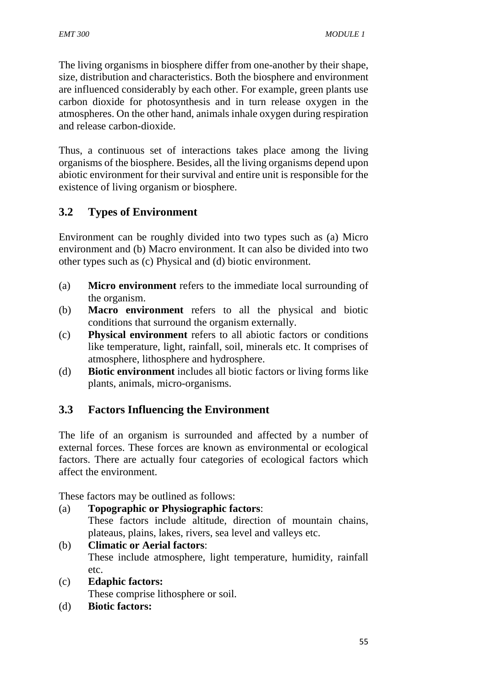The living organisms in biosphere differ from one-another by their shape, size, distribution and characteristics. Both the biosphere and environment are influenced considerably by each other. For example, green plants use carbon dioxide for photosynthesis and in turn release oxygen in the atmospheres. On the other hand, animals inhale oxygen during respiration and release carbon-dioxide.

Thus, a continuous set of interactions takes place among the living organisms of the biosphere. Besides, all the living organisms depend upon abiotic environment for their survival and entire unit is responsible for the existence of living organism or biosphere.

# **3.2 Types of Environment**

Environment can be roughly divided into two types such as (a) Micro environment and (b) Macro environment. It can also be divided into two other types such as (c) Physical and (d) biotic environment.

- (a) **Micro environment** refers to the immediate local surrounding of the organism.
- (b) **Macro environment** refers to all the physical and biotic conditions that surround the organism externally.
- (c) **Physical environment** refers to all abiotic factors or conditions like temperature, light, rainfall, soil, minerals etc. It comprises of atmosphere, lithosphere and hydrosphere.
- (d) **Biotic environment** includes all biotic factors or living forms like plants, animals, micro-organisms.

# **3.3 Factors Influencing the Environment**

The life of an organism is surrounded and affected by a number of external forces. These forces are known as environmental or ecological factors. There are actually four categories of ecological factors which affect the environment.

These factors may be outlined as follows:

(a) **Topographic or Physiographic factors**:

These factors include altitude, direction of mountain chains, plateaus, plains, lakes, rivers, sea level and valleys etc.

- (b) **Climatic or Aerial factors**: These include atmosphere, light temperature, humidity, rainfall etc.
- (c) **Edaphic factors:**

These comprise lithosphere or soil.

(d) **Biotic factors:**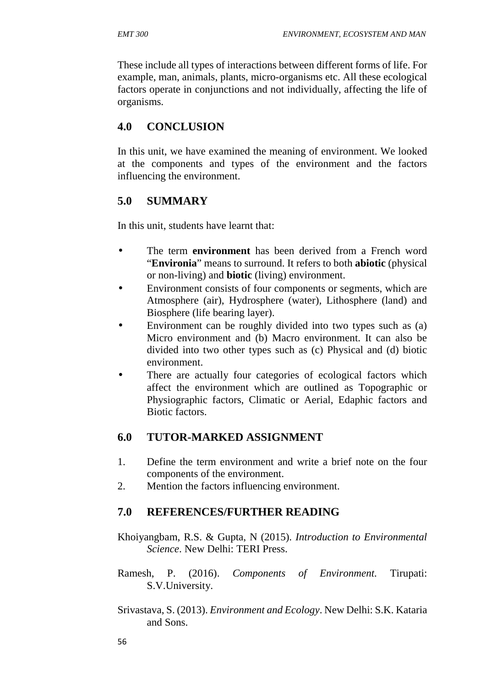These include all types of interactions between different forms of life. For example, man, animals, plants, micro-organisms etc. All these ecological factors operate in conjunctions and not individually, affecting the life of organisms.

# **4.0 CONCLUSION**

In this unit, we have examined the meaning of environment. We looked at the components and types of the environment and the factors influencing the environment.

# **5.0 SUMMARY**

In this unit, students have learnt that:

- The term **environment** has been derived from a French word "**Environia**" means to surround. It refers to both **abiotic** (physical or non-living) and **biotic** (living) environment.
- Environment consists of four components or segments, which are Atmosphere (air), Hydrosphere (water), Lithosphere (land) and Biosphere (life bearing layer).
- Environment can be roughly divided into two types such as (a) Micro environment and (b) Macro environment. It can also be divided into two other types such as (c) Physical and (d) biotic environment.
- There are actually four categories of ecological factors which affect the environment which are outlined as Topographic or Physiographic factors, Climatic or Aerial, Edaphic factors and Biotic factors.

# **6.0 TUTOR-MARKED ASSIGNMENT**

- 1. Define the term environment and write a brief note on the four components of the environment.
- 2. Mention the factors influencing environment.

## **7.0 REFERENCES/FURTHER READING**

Khoiyangbam, R.S. & Gupta, N (2015). *Introduction to Environmental Science*. New Delhi: TERI Press.

- Ramesh, P. (2016). *Components of Environment.* Tirupati: S.V.University.
- Srivastava, S. (2013). *Environment and Ecology*. New Delhi: S.K. Kataria and Sons.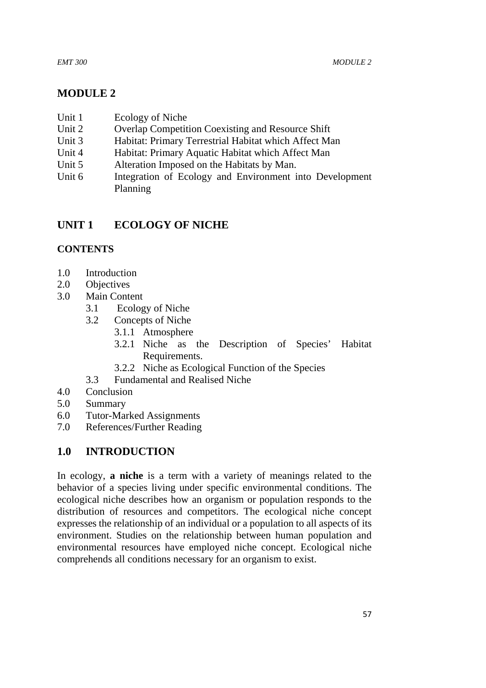## **MODULE 2**

| Unit 1 | Ecology of Niche |  |
|--------|------------------|--|
|--------|------------------|--|

- Unit 2 Overlap Competition Coexisting and Resource Shift
- Unit 3 Habitat: Primary Terrestrial Habitat which Affect Man
- Unit 4 Habitat: Primary Aquatic Habitat which Affect Man
- Unit 5 Alteration Imposed on the Habitats by Man.
- Unit 6 Integration of Ecology and Environment into Development Planning

## **UNIT 1 ECOLOGY OF NICHE**

## **CONTENTS**

- 1.0 Introduction
- 2.0 Objectives
- 3.0 Main Content
	- 3.1 Ecology of Niche
	- 3.2 Concepts of Niche
		- 3.1.1 Atmosphere
		- 3.2.1 Niche as the Description of Species' Habitat Requirements.
		- 3.2.2 Niche as Ecological Function of the Species
	- 3.3 Fundamental and Realised Niche
- 4.0 Conclusion
- 5.0 Summary
- 6.0 Tutor-Marked Assignments
- 7.0 References/Further Reading

## **1.0 INTRODUCTION**

In ecology, **a niche** is a term with a variety of meanings related to the behavior of a species living under specific environmental conditions. The ecological niche describes how an organism or population responds to the distribution of resources and competitors. The ecological niche concept expresses the relationship of an individual or a population to all aspects of its environment. Studies on the relationship between human population and environmental resources have employed niche concept. Ecological niche comprehends all conditions necessary for an organism to exist.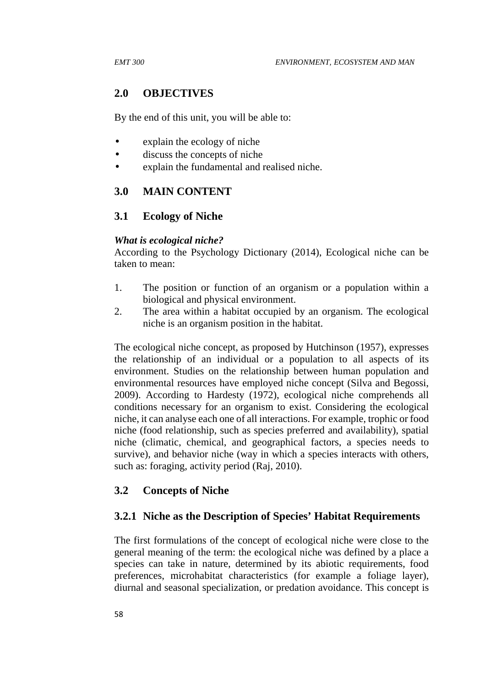## **2.0 OBJECTIVES**

By the end of this unit, you will be able to:

- explain the ecology of niche
- discuss the concepts of niche
- explain the fundamental and realised niche.

## **3.0 MAIN CONTENT**

## **3.1 Ecology of Niche**

#### *What is ecological niche?*

According to the Psychology Dictionary (2014), Ecological niche can be taken to mean:

- 1. The position or function of an organism or a population within a biological and physical environment.
- 2. The area within a habitat occupied by an organism. The ecological niche is an organism position in the habitat.

The ecological niche concept, as proposed by Hutchinson (1957), expresses the relationship of an individual or a population to all aspects of its environment. Studies on the relationship between human population and environmental resources have employed niche concept (Silva and Begossi, 2009). According to Hardesty (1972), ecological niche comprehends all conditions necessary for an organism to exist. Considering the ecological niche, it can analyse each one of all interactions. For example, trophic or food niche (food relationship, such as species preferred and availability), spatial niche (climatic, chemical, and geographical factors, a species needs to survive), and behavior niche (way in which a species interacts with others, such as: foraging, activity period (Raj, 2010).

## **3.2 Concepts of Niche**

## **3.2.1 Niche as the Description of Species' Habitat Requirements**

The first formulations of the concept of ecological niche were close to the general meaning of the term: the ecological niche was defined by a place a species can take in nature, determined by its abiotic requirements, food preferences, microhabitat characteristics (for example a foliage layer), diurnal and seasonal specialization, or predation avoidance. This concept is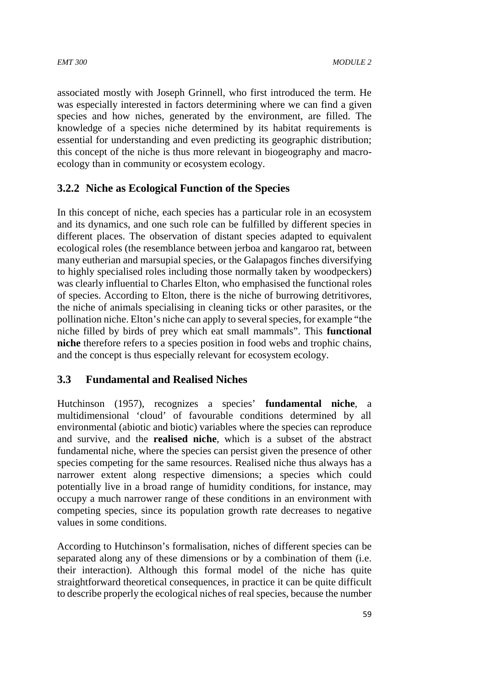associated mostly with Joseph Grinnell, who first introduced the term. He was especially interested in factors determining where we can find a given species and how niches, generated by the environment, are filled. The knowledge of a species niche determined by its habitat requirements is essential for understanding and even predicting its geographic distribution; this concept of the niche is thus more relevant in biogeography and macro ecology than in community or ecosystem ecology.

## **3.2.2 Niche as Ecological Function of the Species**

In this concept of niche, each species has a particular role in an ecosystem and its dynamics, and one such role can be fulfilled by different species in different places. The observation of distant species adapted to equivalent ecological roles (the resemblance between jerboa and kangaroo rat, between many eutherian and marsupial species, or the Galapagos finches diversifying to highly specialised roles including those normally taken by woodpeckers) was clearly influential to Charles Elton, who emphasised the functional roles of species. According to Elton, there is the niche of burrowing detritivores, the niche of animals specialising in cleaning ticks or other parasites, or the pollination niche. Elton's niche can apply to several species, for example "the niche filled by birds of prey which eat small mammals". This **functional niche** therefore refers to a species position in food webs and trophic chains, and the concept is thus especially relevant for ecosystem ecology.

## **3.3 Fundamental and Realised Niches**

Hutchinson (1957), recognizes a species' **fundamental niche**, a multidimensional 'cloud' of favourable conditions determined by all environmental (abiotic and biotic) variables where the species can reproduce and survive, and the **realised niche**, which is a subset of the abstract fundamental niche, where the species can persist given the presence of other species competing for the same resources. Realised niche thus always has a narrower extent along respective dimensions; a species which could potentially live in a broad range of humidity conditions, for instance, may occupy a much narrower range of these conditions in an environment with competing species, since its population growth rate decreases to negative values in some conditions.

According to Hutchinson's formalisation, niches of different species can be separated along any of these dimensions or by a combination of them (i.e. their interaction). Although this formal model of the niche has quite straightforward theoretical consequences, in practice it can be quite difficult to describe properly the ecological niches of real species, because the number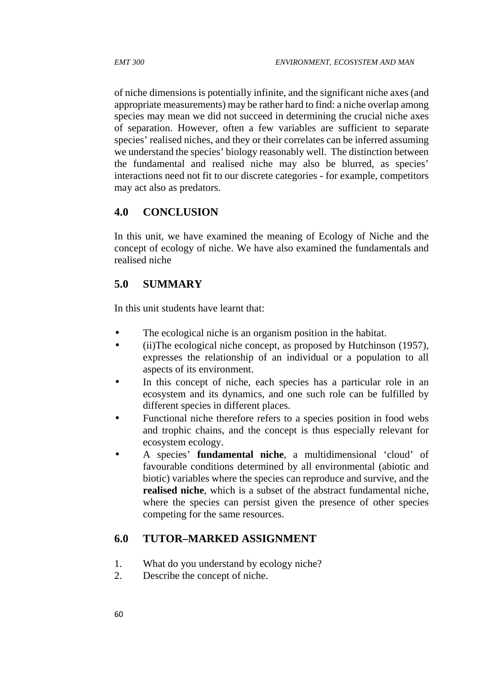of niche dimensions is potentially infinite, and the significant niche axes (and appropriate measurements) may be rather hard to find: a niche overlap among species may mean we did not succeed in determining the crucial niche axes of separation. However, often a few variables are sufficient to separate species' realised niches, and they or their correlates can be inferred assuming we understand the species' biology reasonably well. The distinction between the fundamental and realised niche may also be blurred, as species' interactions need not fit to our discrete categories - for example, competitors may act also as predators.

## **4.0 CONCLUSION**

In this unit, we have examined the meaning of Ecology of Niche and the concept of ecology of niche. We have also examined the fundamentals and realised niche

# **5.0 SUMMARY**

In this unit students have learnt that:

- The ecological niche is an organism position in the habitat.
- (ii)The ecological niche concept, as proposed by Hutchinson (1957), expresses the relationship of an individual or a population to all aspects of its environment.
- In this concept of niche, each species has a particular role in an ecosystem and its dynamics, and one such role can be fulfilled by different species in different places.
- Functional niche therefore refers to a species position in food webs and trophic chains, and the concept is thus especially relevant for ecosystem ecology.
- A species' **fundamental niche**, a multidimensional 'cloud' of favourable conditions determined by all environmental (abiotic and biotic) variables where the species can reproduce and survive, and the **realised niche**, which is a subset of the abstract fundamental niche, where the species can persist given the presence of other species competing for the same resources.

## **6.0 TUTOR–MARKED ASSIGNMENT**

- 1. What do you understand by ecology niche?
- 2. Describe the concept of niche.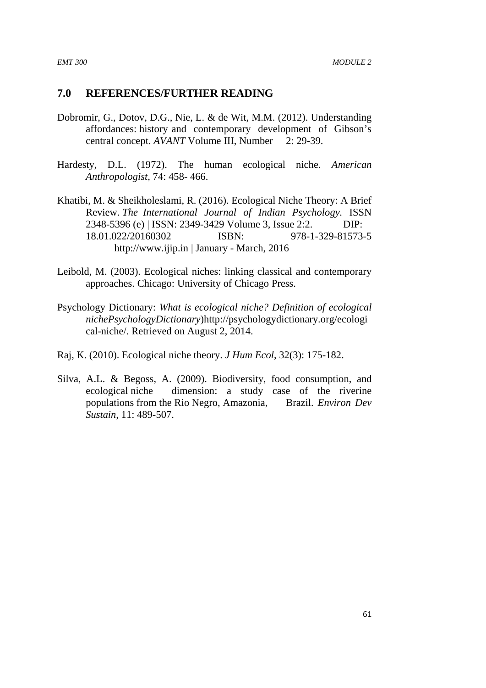#### **7.0 REFERENCES/FURTHER READING**

- Dobromir, G., Dotov, D.G., Nie, L. & de Wit, M.M. (2012). Understanding affordances: history and contemporary development of Gibson's central concept. *AVANT* Volume III, Number 2: 29-39.
- Hardesty, D.L. (1972). The human ecological niche. *American Anthropologist,* 74: 458- 466.
- Khatibi, M. & Sheikholeslami, R. (2016). Ecological Niche Theory: A Brief Review. *The International Journal of Indian Psychology.* ISSN 2348-5396 (e) | ISSN: 2349-3429 Volume 3, Issue 2:2. DIP: 18.01.022/20160302 ISBN: 978-1-329-81573-5 http://www.ijip.in | January - March, 2016
- Leibold, M. (2003). Ecological niches: linking classical and contemporary approaches. Chicago: University of Chicago Press.
- Psychology Dictionary: *What is ecological niche? Definition of ecological nichePsychologyDictionary*)http://psychologydictionary.org/ecologi cal-niche/. Retrieved on August 2, 2014.
- Raj, K. (2010). Ecological niche theory. *J Hum Ecol*, 32(3): 175-182.
- Silva, A.L. & Begoss, A. (2009). Biodiversity, food consumption, and ecological niche dimension: a study case of the riverine populations from the Rio Negro, Amazonia, Brazil. *Environ Dev Sustain,* 11: 489-507.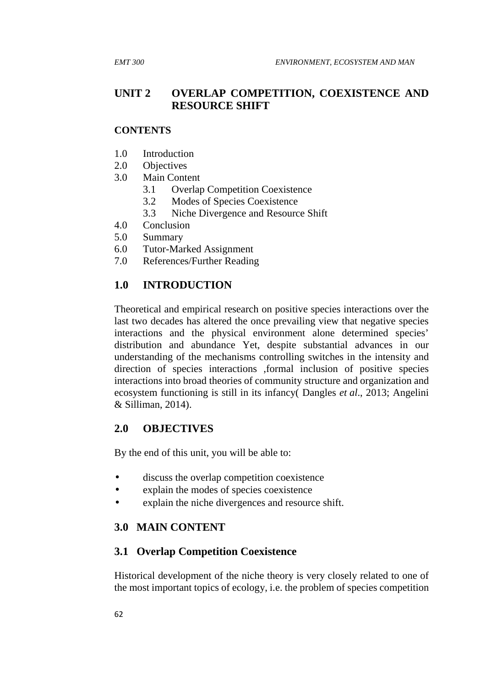## **UNIT 2 OVERLAP COMPETITION, COEXISTENCE AND RESOURCE SHIFT**

#### **CONTENTS**

- 1.0 Introduction
- 2.0 Objectives
- 3.0 Main Content
	- 3.1 Overlap Competition Coexistence
	- 3.2 Modes of Species Coexistence
	- 3.3 Niche Divergence and Resource Shift
- 4.0 Conclusion
- 5.0 Summary
- 6.0 Tutor-Marked Assignment
- 7.0 References/Further Reading

## **1.0 INTRODUCTION**

Theoretical and empirical research on positive species interactions over the last two decades has altered the once prevailing view that negative species interactions and the physical environment alone determined species' distribution and abundance Yet, despite substantial advances in our understanding of the mechanisms controlling switches in the intensity and direction of species interactions ,formal inclusion of positive species interactions into broad theories of community structure and organization and ecosystem functioning is still in its infancy( Dangles *et al*., 2013; Angelini & Silliman, 2014).

## **2.0 OBJECTIVES**

By the end of this unit, you will be able to:

- discuss the overlap competition coexistence
- explain the modes of species coexistence
- explain the niche divergences and resource shift.

## **3.0 MAIN CONTENT**

## **3.1 Overlap Competition Coexistence**

Historical development of the niche theory is very closely related to one of the most important topics of ecology, i.e. the problem of species competition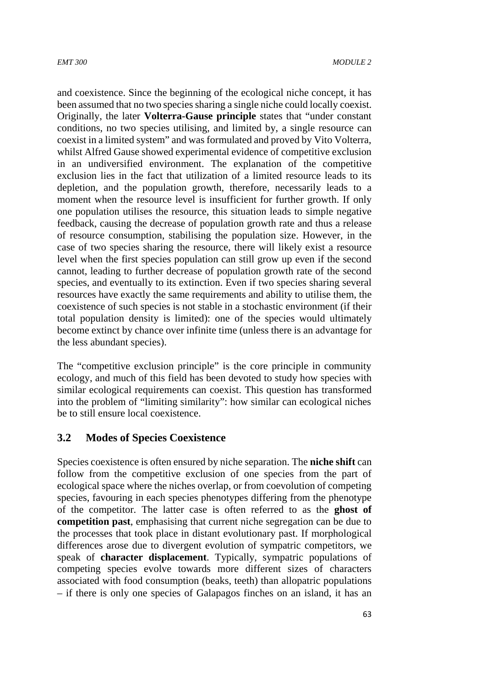and coexistence. Since the beginning of the ecological niche concept, it has been assumed that no two species sharing a single niche could locally coexist. Originally, the later **Volterra-Gause principle** states that "under constant conditions, no two species utilising, and limited by, a single resource can coexist in a limited system" and was formulated and proved by Vito Volterra, whilst Alfred Gause showed experimental evidence of competitive exclusion in an undiversified environment. The explanation of the competitive exclusion lies in the fact that utilization of a limited resource leads to its depletion, and the population growth, therefore, necessarily leads to a moment when the resource level is insufficient for further growth. If only one population utilises the resource, this situation leads to simple negative feedback, causing the decrease of population growth rate and thus a release of resource consumption, stabilising the population size. However, in the case of two species sharing the resource, there will likely exist a resource level when the first species population can still grow up even if the second cannot, leading to further decrease of population growth rate of the second species, and eventually to its extinction. Even if two species sharing several resources have exactly the same requirements and ability to utilise them, the coexistence of such species is not stable in a stochastic environment (if their total population density is limited): one of the species would ultimately become extinct by chance over infinite time (unless there is an advantage for the less abundant species).

The "competitive exclusion principle" is the core principle in community ecology, and much of this field has been devoted to study how species with similar ecological requirements can coexist. This question has transformed into the problem of "limiting similarity": how similar can ecological niches be to still ensure local coexistence.

#### **3.2 Modes of Species Coexistence**

Species coexistence is often ensured by niche separation. The **niche shift** can follow from the competitive exclusion of one species from the part of ecological space where the niches overlap, or from coevolution of competing species, favouring in each species phenotypes differing from the phenotype of the competitor. The latter case is often referred to as the **ghost of competition past**, emphasising that current niche segregation can be due to the processes that took place in distant evolutionary past. If morphological differences arose due to divergent evolution of sympatric competitors, we speak of **character displacement**. Typically, sympatric populations of competing species evolve towards more different sizes of characters associated with food consumption (beaks, teeth) than allopatric populations – if there is only one species of Galapagos finches on an island, it has an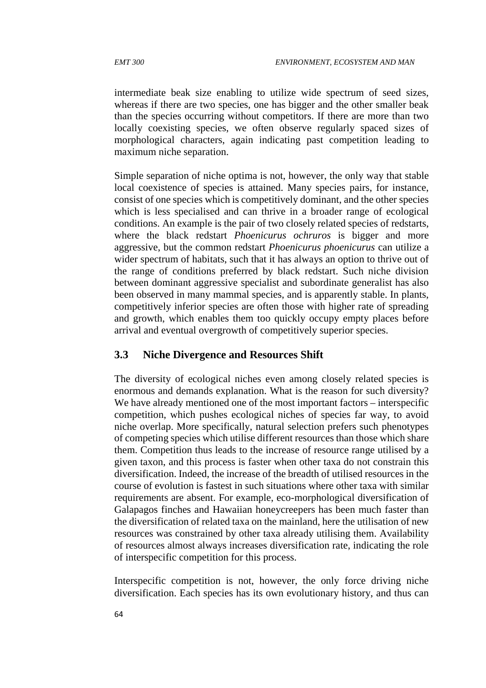intermediate beak size enabling to utilize wide spectrum of seed sizes, whereas if there are two species, one has bigger and the other smaller beak than the species occurring without competitors. If there are more than two locally coexisting species, we often observe regularly spaced sizes of morphological characters, again indicating past competition leading to maximum niche separation.

Simple separation of niche optima is not, however, the only way that stable local coexistence of species is attained. Many species pairs, for instance, consist of one species which is competitively dominant, and the other species which is less specialised and can thrive in a broader range of ecological conditions. An example is the pair of two closely related species of redstarts, where the black redstart *Phoenicurus ochruros* is bigger and more aggressive, but the common redstart *Phoenicurus phoenicurus* can utilize a wider spectrum of habitats, such that it has always an option to thrive out of the range of conditions preferred by black redstart. Such niche division between dominant aggressive specialist and subordinate generalist has also been observed in many mammal species, and is apparently stable. In plants, competitively inferior species are often those with higher rate of spreading and growth, which enables them too quickly occupy empty places before arrival and eventual overgrowth of competitively superior species.

#### **3.3 Niche Divergence and Resources Shift**

The diversity of ecological niches even among closely related species is enormous and demands explanation. What is the reason for such diversity? We have already mentioned one of the most important factors – interspecific competition, which pushes ecological niches of species far way, to avoid niche overlap. More specifically, natural selection prefers such phenotypes of competing species which utilise different resources than those which share them. Competition thus leads to the increase of resource range utilised by a given taxon, and this process is faster when other taxa do not constrain this diversification. Indeed, the increase of the breadth of utilised resources in the course of evolution is fastest in such situations where other taxa with similar requirements are absent. For example, eco-morphological diversification of Galapagos finches and Hawaiian honeycreepers has been much faster than the diversification of related taxa on the mainland, here the utilisation of new resources was constrained by other taxa already utilising them. Availability of resources almost always increases diversification rate, indicating the role of interspecific competition for this process.

Interspecific competition is not, however, the only force driving niche diversification. Each species has its own evolutionary history, and thus can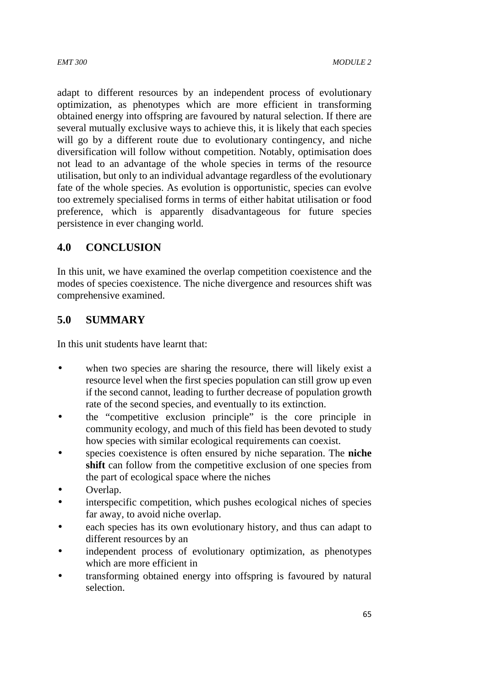adapt to different resources by an independent process of evolutionary optimization, as phenotypes which are more efficient in transforming obtained energy into offspring are favoured by natural selection. If there are several mutually exclusive ways to achieve this, it is likely that each species will go by a different route due to evolutionary contingency, and niche diversification will follow without competition. Notably, optimisation does not lead to an advantage of the whole species in terms of the resource utilisation, but only to an individual advantage regardless of the evolutionary fate of the whole species. As evolution is opportunistic, species can evolve too extremely specialised forms in terms of either habitat utilisation or food preference, which is apparently disadvantageous for future species persistence in ever changing world.

## **4.0 CONCLUSION**

In this unit, we have examined the overlap competition coexistence and the modes of species coexistence. The niche divergence and resources shift was comprehensive examined.

## **5.0 SUMMARY**

In this unit students have learnt that:

- when two species are sharing the resource, there will likely exist a resource level when the first species population can still grow up even if the second cannot, leading to further decrease of population growth rate of the second species, and eventually to its extinction.
- the "competitive exclusion principle" is the core principle in community ecology, and much of this field has been devoted to study how species with similar ecological requirements can coexist.
- species coexistence is often ensured by niche separation. The **niche shift** can follow from the competitive exclusion of one species from the part of ecological space where the niches
- Overlap.
- interspecific competition, which pushes ecological niches of species far away, to avoid niche overlap.
- each species has its own evolutionary history, and thus can adapt to different resources by an
- independent process of evolutionary optimization, as phenotypes which are more efficient in
- transforming obtained energy into offspring is favoured by natural selection.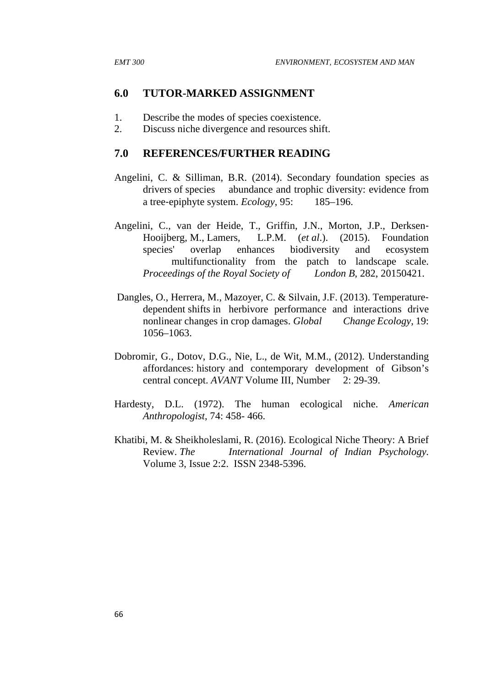#### **6.0 TUTOR-MARKED ASSIGNMENT**

- 1. Describe the modes of species coexistence.
- 2. Discuss niche divergence and resources shift.

#### **7.0 REFERENCES/FURTHER READING**

- Angelini, C. & Silliman, B.R. (2014). Secondary foundation species as drivers of species abundance and trophic diversity: evidence from a tree‐epiphyte system. *Ecology*, 95: 185–196.
- Angelini, C., van der Heide, T., Griffin, J.N., Morton, J.P., Derksen‐ Hooijberg, M., Lamers, L.P.M. (*et al*.). (2015). Foundation species' overlap enhances biodiversity and ecosystem multifunctionality from the patch to landscape scale. *Proceedings of the Royal Society of London B*, 282, 20150421.
- Dangles, O., Herrera, M., Mazoyer, C. & Silvain, J.F. (2013). Temperature-<br>dependent shifts in herbivore performance and interactions drive nonlinear changes in crop damages. *Global Change Ecology*, 19: 1056–1063.
- Dobromir, G., Dotov, D.G., Nie, L., de Wit, M.M., (2012). Understanding affordances: history and contemporary development of Gibson's central concept. *AVANT* Volume III, Number 2: 29-39.
- Hardesty, D.L. (1972). The human ecological niche. *American Anthropologist,* 74: 458- 466.
- Khatibi, M. & Sheikholeslami, R. (2016). Ecological Niche Theory: A Brief Review. *The International Journal of Indian Psychology.* Volume 3, Issue 2:2. ISSN 2348-5396.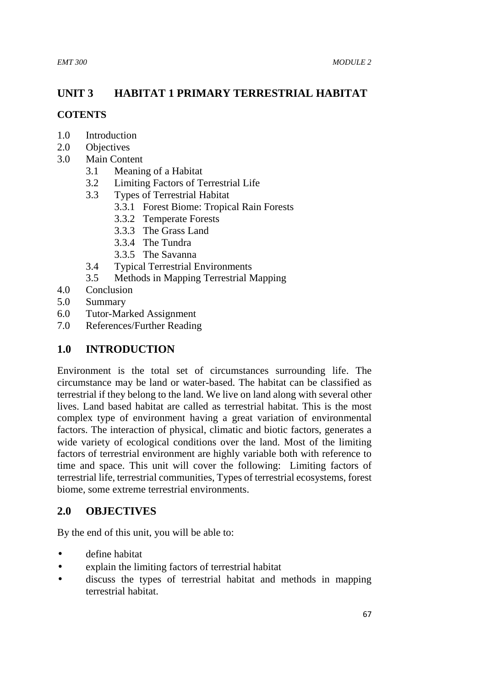# **UNIT 3 HABITAT 1 PRIMARY TERRESTRIAL HABITAT**

#### **COTENTS**

- 1.0 Introduction
- 2.0 Objectives
- 3.0 Main Content
	- 3.1 Meaning of a Habitat
	- 3.2 Limiting Factors of Terrestrial Life
	- 3.3 Types of Terrestrial Habitat
		- 3.3.1 Forest Biome: Tropical Rain Forests
		- 3.3.2 Temperate Forests
		- 3.3.3 The Grass Land
		- 3.3.4 The Tundra
		- 3.3.5 The Savanna
	- 3.4 Typical Terrestrial Environments
	- 3.5 Methods in Mapping Terrestrial Mapping
- 4.0 Conclusion
- 5.0 Summary
- 6.0 Tutor-Marked Assignment
- 7.0 References/Further Reading

## **1.0 INTRODUCTION**

Environment is the total set of circumstances surrounding life. The circumstance may be land or water-based. The habitat can be classified as terrestrial if they belong to the land. We live on land along with several other lives. Land based habitat are called as terrestrial habitat. This is the most complex type of environment having a great variation of environmental factors. The interaction of physical, climatic and biotic factors, generates a wide variety of ecological conditions over the land. Most of the limiting factors of terrestrial environment are highly variable both with reference to time and space. This unit will cover the following: Limiting factors of terrestrial life, terrestrial communities, Types of terrestrial ecosystems, forest biome, some extreme terrestrial environments.

## **2.0 OBJECTIVES**

By the end of this unit, you will be able to:

- define habitat
- explain the limiting factors of terrestrial habitat
- discuss the types of terrestrial habitat and methods in mapping terrestrial habitat.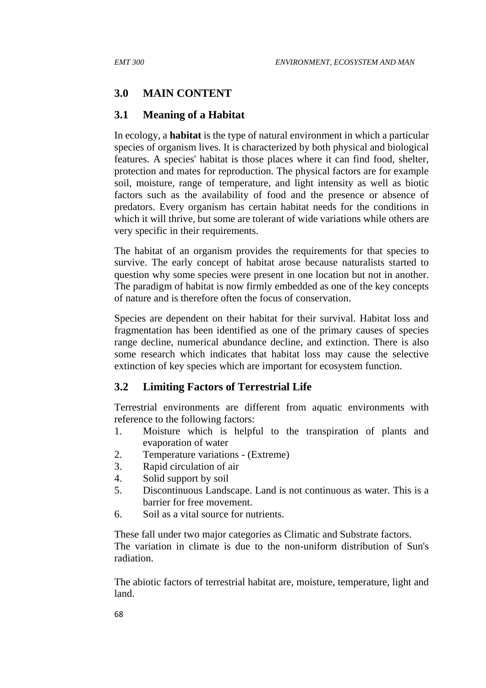#### **3.0 MAIN CONTENT**

#### **3.1 Meaning of a Habitat**

In ecology, a **habitat** is the type of natural environment in which a particular species of organism lives. It is characterized by both physical and biological features. A species' habitat is those places where it can find food, shelter, protection and mates for reproduction. The physical factors are for example soil, moisture, range of temperature, and light intensity as well as biotic factors such as the availability of food and the presence or absence of predators. Every organism has certain habitat needs for the conditions in which it will thrive, but some are tolerant of wide variations while others are very specific in their requirements.

The habitat of an organism provides the requirements for that species to survive. The early concept of habitat arose because naturalists started to question why some species were present in one location but not in another. The paradigm of habitat is now firmly embedded as one of the key concepts of nature and is therefore often the focus of conservation.

Species are dependent on their habitat for their survival. Habitat loss and fragmentation has been identified as one of the primary causes of species range decline, numerical abundance decline, and extinction. There is also some research which indicates that habitat loss may cause the selective extinction of key species which are important for ecosystem function.

## **3.2 Limiting Factors of Terrestrial Life**

Terrestrial environments are different from aquatic environments with reference to the following factors:

- 1. Moisture which is helpful to the transpiration of plants and evaporation of water
- 2. Temperature variations (Extreme)
- 3. Rapid circulation of air
- 4. Solid support by soil
- 5. Discontinuous Landscape. Land is not continuous as water. This is a barrier for free movement.
- 6. Soil as a vital source for nutrients.

These fall under two major categories as Climatic and Substrate factors. The variation in climate is due to the non-uniform distribution of Sun's radiation.

The abiotic factors of terrestrial habitat are, moisture, temperature, light and land.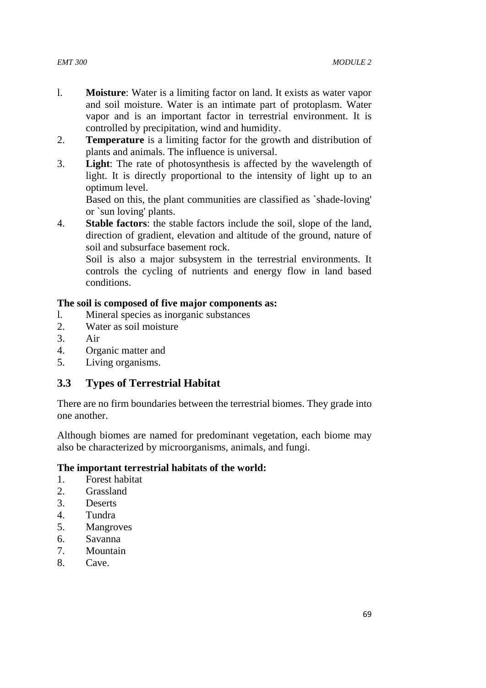- l. **Moisture**: Water is a limiting factor on land. It exists as water vapor and soil moisture. Water is an intimate part of protoplasm. Water vapor and is an important factor in terrestrial environment. It is controlled by precipitation, wind and humidity.
- 2. **Temperature** is a limiting factor for the growth and distribution of plants and animals. The influence is universal.
- 3. **Light**: The rate of photosynthesis is affected by the wavelength of light. It is directly proportional to the intensity of light up to an optimum level.

Based on this, the plant communities are classified as `shade-loving' or `sun loving' plants.

4. **Stable factors**: the stable factors include the soil, slope of the land, direction of gradient, elevation and altitude of the ground, nature of soil and subsurface basement rock.

Soil is also a major subsystem in the terrestrial environments. It controls the cycling of nutrients and energy flow in land based conditions.

## **The soil is composed of five major components as:**

- l. Mineral species as inorganic substances
- 2. Water as soil moisture
- 3. Air
- 4. Organic matter and
- 5. Living organisms.

# **3.3 Types of Terrestrial Habitat**

There are no firm boundaries between the terrestrial biomes. They grade into one another.

Although biomes are named for predominant vegetation, each biome may also be characterized by microorganisms, animals, and fungi.

## **The important terrestrial habitats of the world:**

- 1. Forest habitat
- 2. Grassland
- 3. Deserts
- 4. Tundra
- 5. Mangroves
- 6. Savanna
- 7. Mountain
- 8. Cave.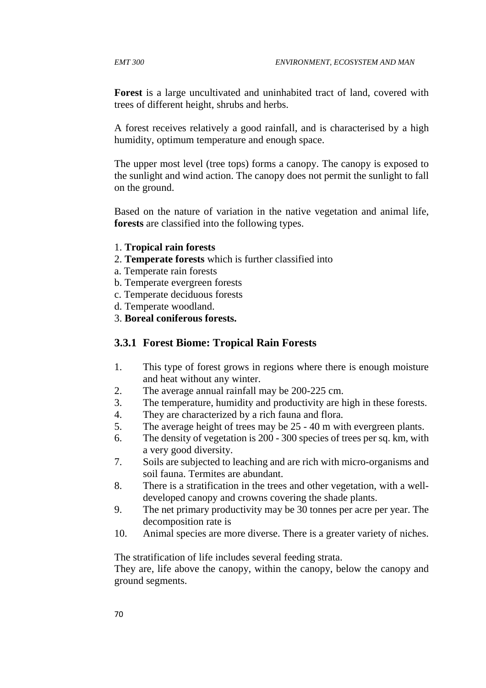**Forest** is a large uncultivated and uninhabited tract of land, covered with trees of different height, shrubs and herbs.

A forest receives relatively a good rainfall, and is characterised by a high humidity, optimum temperature and enough space.

The upper most level (tree tops) forms a canopy. The canopy is exposed to the sunlight and wind action. The canopy does not permit the sunlight to fall on the ground.

Based on the nature of variation in the native vegetation and animal life, **forests** are classified into the following types.

#### 1. **Tropical rain forests**

- 2. **Temperate forests** which is further classified into
- a. Temperate rain forests
- b. Temperate evergreen forests
- c. Temperate deciduous forests
- d. Temperate woodland.
- 3. **Boreal coniferous forests.**

### **3.3.1 Forest Biome: Tropical Rain Forests**

- 1. This type of forest grows in regions where there is enough moisture and heat without any winter.
- 2. The average annual rainfall may be 200-225 cm.
- 3. The temperature, humidity and productivity are high in these forests.
- 4. They are characterized by a rich fauna and flora.
- 5. The average height of trees may be 25 40 m with evergreen plants.
- 6. The density of vegetation is 200 300 species of trees per sq. km, with a very good diversity.
- 7. Soils are subjected to leaching and are rich with micro-organisms and soil fauna. Termites are abundant.
- 8. There is a stratification in the trees and other vegetation, with a well developed canopy and crowns covering the shade plants.
- 9. The net primary productivity may be 30 tonnes per acre per year. The decomposition rate is
- 10. Animal species are more diverse. There is a greater variety of niches.

The stratification of life includes several feeding strata.

They are, life above the canopy, within the canopy, below the canopy and ground segments.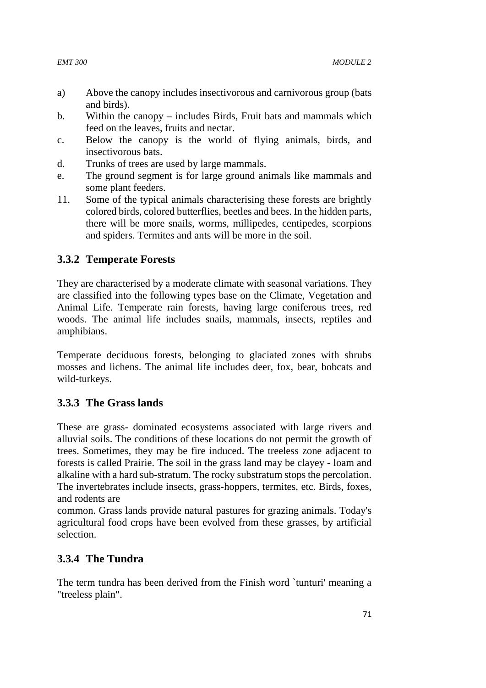- a) Above the canopy includes insectivorous and carnivorous group (bats and birds).
- b. Within the canopy includes Birds, Fruit bats and mammals which feed on the leaves, fruits and nectar.
- c. Below the canopy is the world of flying animals, birds, and insectivorous bats.
- d. Trunks of trees are used by large mammals.
- e. The ground segment is for large ground animals like mammals and some plant feeders.
- 11. Some of the typical animals characterising these forests are brightly colored birds, colored butterflies, beetles and bees. In the hidden parts, there will be more snails, worms, millipedes, centipedes, scorpions and spiders. Termites and ants will be more in the soil.

## **3.3.2 Temperate Forests**

They are characterised by a moderate climate with seasonal variations. They are classified into the following types base on the Climate, Vegetation and Animal Life. Temperate rain forests, having large coniferous trees, red woods. The animal life includes snails, mammals, insects, reptiles and amphibians.

Temperate deciduous forests, belonging to glaciated zones with shrubs mosses and lichens. The animal life includes deer, fox, bear, bobcats and wild-turkeys.

## **3.3.3 The Grass lands**

These are grass- dominated ecosystems associated with large rivers and alluvial soils. The conditions of these locations do not permit the growth of trees. Sometimes, they may be fire induced. The treeless zone adjacent to forests is called Prairie. The soil in the grass land may be clayey - loam and alkaline with a hard sub-stratum. The rocky substratum stops the percolation. The invertebrates include insects, grass-hoppers, termites, etc. Birds, foxes, and rodents are

common. Grass lands provide natural pastures for grazing animals. Today's agricultural food crops have been evolved from these grasses, by artificial selection.

## **3.3.4 The Tundra**

The term tundra has been derived from the Finish word `tunturi' meaning a "treeless plain".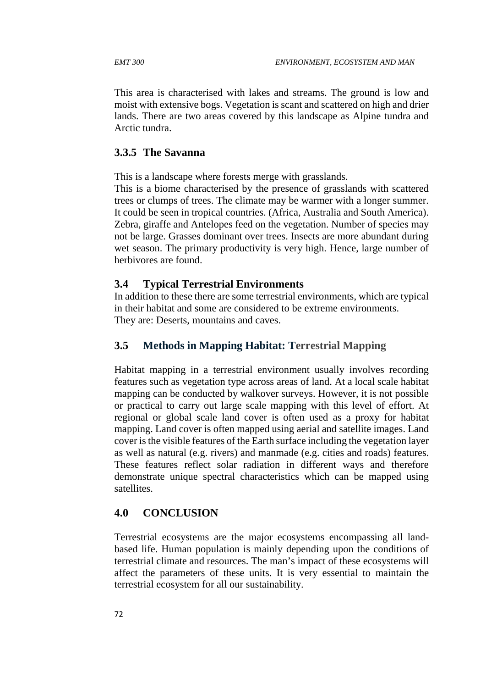This area is characterised with lakes and streams. The ground is low and moist with extensive bogs. Vegetation is scant and scattered on high and drier lands. There are two areas covered by this landscape as Alpine tundra and Arctic tundra.

## **3.3.5 The Savanna**

This is a landscape where forests merge with grasslands.

This is a biome characterised by the presence of grasslands with scattered trees or clumps of trees. The climate may be warmer with a longer summer. It could be seen in tropical countries. (Africa, Australia and South America). Zebra, giraffe and Antelopes feed on the vegetation. Number of species may not be large. Grasses dominant over trees. Insects are more abundant during wet season. The primary productivity is very high. Hence, large number of herbivores are found.

## **3.4 Typical Terrestrial Environments**

In addition to these there are some terrestrial environments, which are typical in their habitat and some are considered to be extreme environments. They are: Deserts, mountains and caves.

## **3.5 Methods in Mapping Habitat: Terrestrial Mapping**

Habitat mapping in a terrestrial environment usually involves recording features such as vegetation type across areas of land. At a local scale habitat mapping can be conducted by walkover surveys. However, it is not possible or practical to carry out large scale mapping with this level of effort. At regional or global scale land cover is often used as a proxy for habitat mapping. Land cover is often mapped using aerial and satellite images. Land cover is the visible features of the Earth surface including the vegetation layer as well as natural (e.g. rivers) and manmade (e.g. cities and roads) features. These features reflect solar radiation in different ways and therefore demonstrate unique spectral characteristics which can be mapped using satellites.

# **4.0 CONCLUSION**

Terrestrial ecosystems are the major ecosystems encompassing all land based life. Human population is mainly depending upon the conditions of terrestrial climate and resources. The man's impact of these ecosystems will affect the parameters of these units. It is very essential to maintain the terrestrial ecosystem for all our sustainability.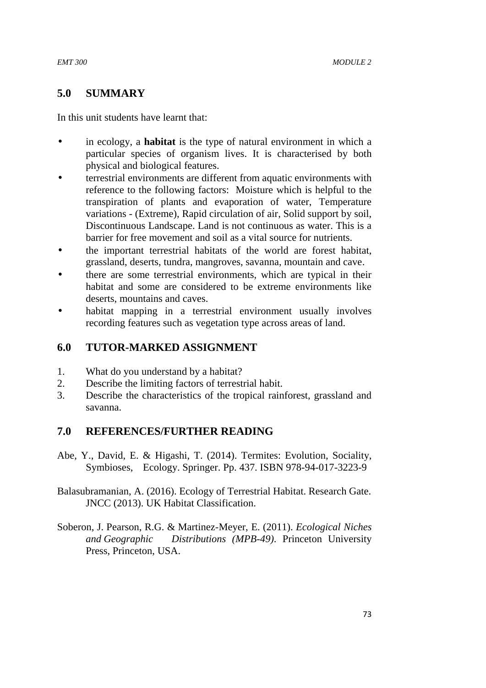## **5.0 SUMMARY**

In this unit students have learnt that:

- in ecology, a **habitat** is the type of natural environment in which a particular species of organism lives. It is characterised by both physical and biological features.
- terrestrial environments are different from aquatic environments with reference to the following factors: Moisture which is helpful to the transpiration of plants and evaporation of water, Temperature variations - (Extreme), Rapid circulation of air, Solid support by soil, Discontinuous Landscape. Land is not continuous as water. This is a barrier for free movement and soil as a vital source for nutrients.
- the important terrestrial habitats of the world are forest habitat, grassland, deserts, tundra, mangroves, savanna, mountain and cave.
- there are some terrestrial environments, which are typical in their habitat and some are considered to be extreme environments like deserts, mountains and caves.
- habitat mapping in a terrestrial environment usually involves recording features such as vegetation type across areas of land.

## **6.0 TUTOR-MARKED ASSIGNMENT**

- 1. What do you understand by a habitat?
- 2. Describe the limiting factors of terrestrial habit.
- 3. Describe the characteristics of the tropical rainforest, grassland and savanna.

# **7.0 REFERENCES/FURTHER READING**

- Abe, Y., David, E. & Higashi, T. (2014). Termites: Evolution, Sociality, Symbioses, Ecology. Springer. Pp. 437. ISBN 978-94-017-3223-9
- Balasubramanian, A. (2016). Ecology of Terrestrial Habitat. Research Gate. JNCC (2013). UK Habitat Classification.
- Soberon, J. Pearson, R.G. & Martinez-Meyer, E. (2011). *Ecological Niches and Geographic Distributions (MPB-49)*. Princeton University Press, Princeton, USA.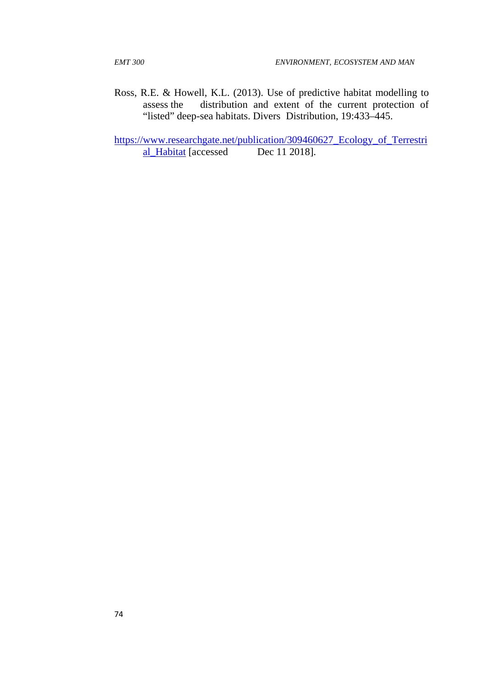Ross, R.E. & Howell, K.L. (2013). Use of predictive habitat modelling to assess the distribution and extent of the current protection of "listed" deep-sea habitats. Divers Distribution, 19:433–445.

https://www.researchgate.net/publication/309460627\_Ecology\_of\_Terrestri al\_Habitat [accessed Dec 11 2018].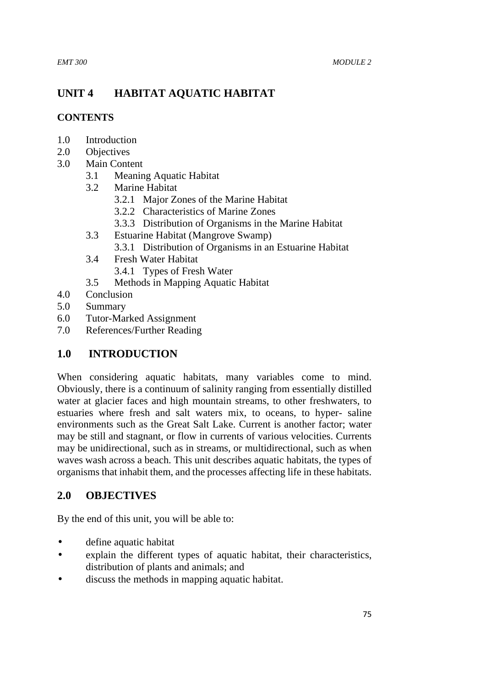# **UNIT 4 HABITAT AQUATIC HABITAT**

## **CONTENTS**

- 1.0 Introduction
- 2.0 Objectives
- 3.0 Main Content
	- 3.1 Meaning Aquatic Habitat
	- 3.2 Marine Habitat
		- 3.2.1 Major Zones of the Marine Habitat
		- 3.2.2 Characteristics of Marine Zones
		- 3.3.3 Distribution of Organisms in the Marine Habitat
	- 3.3 Estuarine Habitat (Mangrove Swamp)
		- 3.3.1 Distribution of Organisms in an Estuarine Habitat
	- 3.4 Fresh Water Habitat
		- 3.4.1 Types of Fresh Water
	- 3.5 Methods in Mapping Aquatic Habitat
- 4.0 Conclusion
- 5.0 Summary
- 6.0 Tutor-Marked Assignment
- 7.0 References/Further Reading

## **1.0 INTRODUCTION**

When considering aquatic habitats, many variables come to mind. Obviously, there is a continuum of salinity ranging from essentially distilled water at glacier faces and high mountain streams, to other freshwaters, to estuaries where fresh and salt waters mix, to oceans, to hyper- saline environments such as the Great Salt Lake. Current is another factor; water may be still and stagnant, or flow in currents of various velocities. Currents may be unidirectional, such as in streams, or multidirectional, such as when waves wash across a beach. This unit describes aquatic habitats, the types of organisms that inhabit them, and the processes affecting life in these habitats.

## **2.0 OBJECTIVES**

By the end of this unit, you will be able to:

- define aquatic habitat
- explain the different types of aquatic habitat, their characteristics, distribution of plants and animals; and
- discuss the methods in mapping aquatic habitat.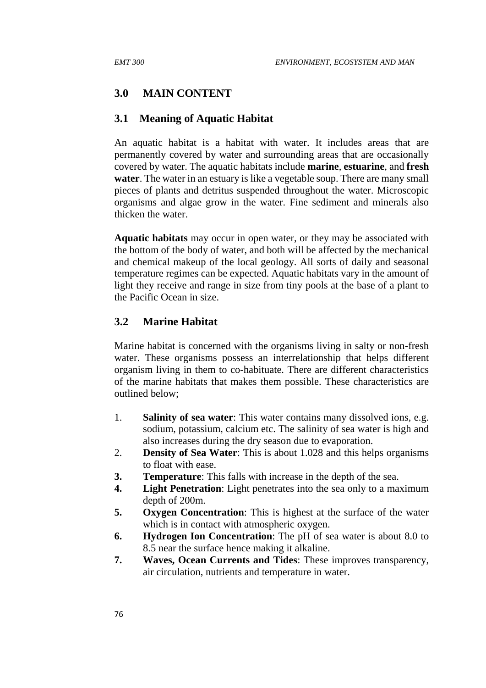## **3.0 MAIN CONTENT**

## **3.1 Meaning of Aquatic Habitat**

An aquatic habitat is a habitat with water. It includes areas that are permanently covered by water and surrounding areas that are occasionally covered by water. The aquatic habitats include **marine**, **estuarine**, and **fresh water**. The water in an estuary is like a vegetable soup. There are many small pieces of plants and detritus suspended throughout the water. Microscopic organisms and algae grow in the water. Fine sediment and minerals also thicken the water.

**Aquatic habitats** may occur in open water, or they may be associated with the bottom of the body of water, and both will be affected by the mechanical and chemical makeup of the local geology. All sorts of daily and seasonal temperature regimes can be expected. Aquatic habitats vary in the amount of light they receive and range in size from tiny pools at the base of a plant to the Pacific Ocean in size.

## **3.2 Marine Habitat**

Marine habitat is concerned with the organisms living in salty or non-fresh water. These organisms possess an interrelationship that helps different organism living in them to co-habituate. There are different characteristics of the marine habitats that makes them possible. These characteristics are outlined below;

- 1. **Salinity of sea water**: This water contains many dissolved ions, e.g. sodium, potassium, calcium etc. The salinity of sea water is high and also increases during the dry season due to evaporation.
- 2. **Density of Sea Water**: This is about 1.028 and this helps organisms to float with ease.
- **3. Temperature**: This falls with increase in the depth of the sea.
- **4. Light Penetration**: Light penetrates into the sea only to a maximum depth of 200m.
- **5. Oxygen Concentration**: This is highest at the surface of the water which is in contact with atmospheric oxygen.
- **6. Hydrogen Ion Concentration**: The pH of sea water is about 8.0 to 8.5 near the surface hence making it alkaline.
- **7. Waves, Ocean Currents and Tides**: These improves transparency, air circulation, nutrients and temperature in water.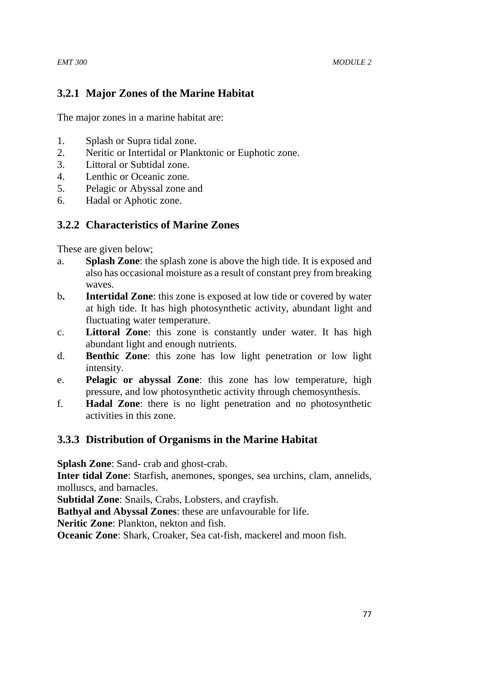## **3.2.1 Major Zones of the Marine Habitat**

The major zones in a marine habitat are:

- 1. Splash or Supra tidal zone.
- 2. Neritic or Intertidal or Planktonic or Euphotic zone.
- 3. Littoral or Subtidal zone.
- 4. Lenthic or Oceanic zone.
- 5. Pelagic or Abyssal zone and
- 6. Hadal or Aphotic zone.

## **3.2.2 Characteristics of Marine Zones**

These are given below;

- a. **Splash Zone**: the splash zone is above the high tide. It is exposed and also has occasional moisture as a result of constant prey from breaking waves.
- b**. Intertidal Zone**: this zone is exposed at low tide or covered by water at high tide. It has high photosynthetic activity, abundant light and fluctuating water temperature.
- c. **Littoral Zone**: this zone is constantly under water. It has high abundant light and enough nutrients.
- d. **Benthic Zone**: this zone has low light penetration or low light intensity.
- e. **Pelagic or abyssal Zone**: this zone has low temperature, high pressure, and low photosynthetic activity through chemosynthesis.
- f. **Hadal Zone**: there is no light penetration and no photosynthetic activities in this zone.

## **3.3.3 Distribution of Organisms in the Marine Habitat**

**Splash Zone**: Sand- crab and ghost-crab.

**Inter tidal Zone**: Starfish, anemones, sponges, sea urchins, clam, annelids, molluscs, and barnacles.

**Subtidal Zone**: Snails, Crabs, Lobsters, and crayfish.

**Bathyal and Abyssal Zones**: these are unfavourable for life.

**Neritic Zone**: Plankton, nekton and fish.

**Oceanic Zone**: Shark, Croaker, Sea cat-fish, mackerel and moon fish.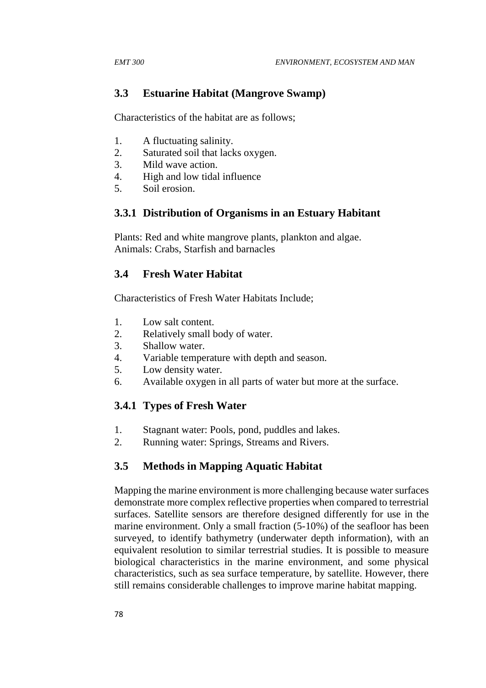## **3.3 Estuarine Habitat (Mangrove Swamp)**

Characteristics of the habitat are as follows;

- 1. A fluctuating salinity.
- 2. Saturated soil that lacks oxygen.
- 3. Mild wave action.
- 4. High and low tidal influence
- 5. Soil erosion.

## **3.3.1 Distribution of Organisms in an Estuary Habitant**

Plants: Red and white mangrove plants, plankton and algae. Animals: Crabs, Starfish and barnacles

## **3.4 Fresh Water Habitat**

Characteristics of Fresh Water Habitats Include;

- 1. Low salt content.
- 2. Relatively small body of water.
- 3. Shallow water.
- 4. Variable temperature with depth and season.
- 5. Low density water.
- 6. Available oxygen in all parts of water but more at the surface.

## **3.4.1 Types of Fresh Water**

- 1. Stagnant water: Pools, pond, puddles and lakes.
- 2. Running water: Springs, Streams and Rivers.

## **3.5 Methods in Mapping Aquatic Habitat**

Mapping the marine environment is more challenging because water surfaces demonstrate more complex reflective properties when compared to terrestrial surfaces. Satellite sensors are therefore designed differently for use in the marine environment. Only a small fraction (5-10%) of the seafloor has been surveyed, to identify bathymetry (underwater depth information), with an equivalent resolution to similar terrestrial studies. It is possible to measure biological characteristics in the marine environment, and some physical characteristics, such as sea surface temperature, by satellite. However, there still remains considerable challenges to improve marine habitat mapping.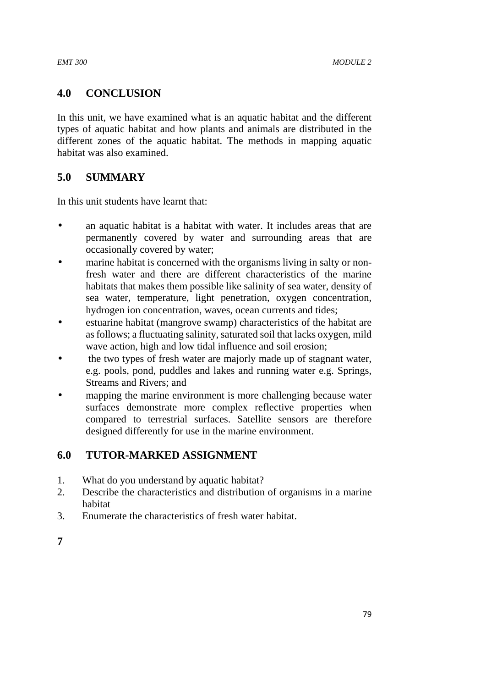## **4.0 CONCLUSION**

In this unit, we have examined what is an aquatic habitat and the different types of aquatic habitat and how plants and animals are distributed in the different zones of the aquatic habitat. The methods in mapping aquatic habitat was also examined.

## **5.0 SUMMARY**

In this unit students have learnt that:

- an aquatic habitat is a habitat with water. It includes areas that are permanently covered by water and surrounding areas that are occasionally covered by water;
- marine habitat is concerned with the organisms living in salty or nonfresh water and there are different characteristics of the marine habitats that makes them possible like salinity of sea water, density of sea water, temperature, light penetration, oxygen concentration, hydrogen ion concentration, waves, ocean currents and tides;
- estuarine habitat (mangrove swamp) characteristics of the habitat are as follows; a fluctuating salinity, saturated soil that lacks oxygen, mild wave action, high and low tidal influence and soil erosion;
- the two types of fresh water are majorly made up of stagnant water, e.g. pools, pond, puddles and lakes and running water e.g. Springs, Streams and Rivers; and
- mapping the marine environment is more challenging because water surfaces demonstrate more complex reflective properties when compared to terrestrial surfaces. Satellite sensors are therefore designed differently for use in the marine environment.

## **6.0 TUTOR-MARKED ASSIGNMENT**

- 1. What do you understand by aquatic habitat?
- 2. Describe the characteristics and distribution of organisms in a marine habitat
- 3. Enumerate the characteristics of fresh water habitat.
- **7**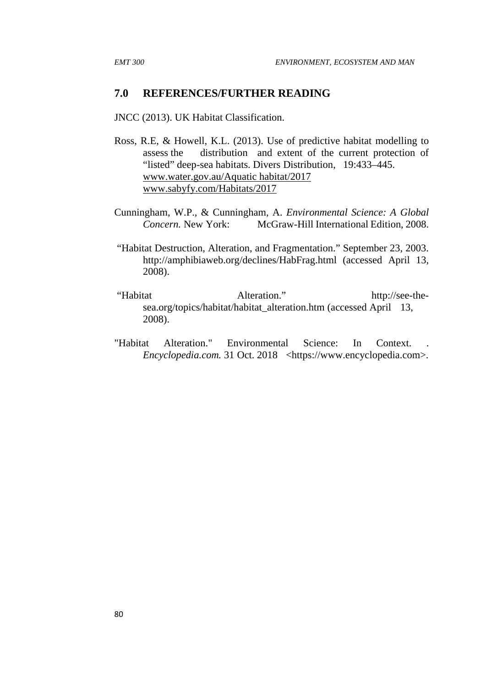#### **7.0 REFERENCES/FURTHER READING**

JNCC (2013). UK Habitat Classification.

- Ross, R.E, & Howell, K.L. (2013). Use of predictive habitat modelling to assess the distribution and extent of the current protection of "listed" deep-sea habitats. Divers Distribution, 19:433–445. www.water.gov.au/Aquatic habitat/2017 www.sabyfy.com/Habitats/2017
- Cunningham, W.P., & Cunningham, A. *Environmental Science: A Global Concern.* New York: McGraw-Hill International Edition, 2008.
- "Habitat Destruction, Alteration, and Fragmentation." September 23, 2003. http://amphibiaweb.org/declines/HabFrag.html (accessed April 13, 2008).
- "Habitat Alteration." http://see-the sea.org/topics/habitat/habitat\_alteration.htm (accessed April 13, 2008).
- "Habitat Alteration." Environmental Science: In Context. . *Encyclopedia.com.* 31 Oct. 2018 <https://www.encyclopedia.com>.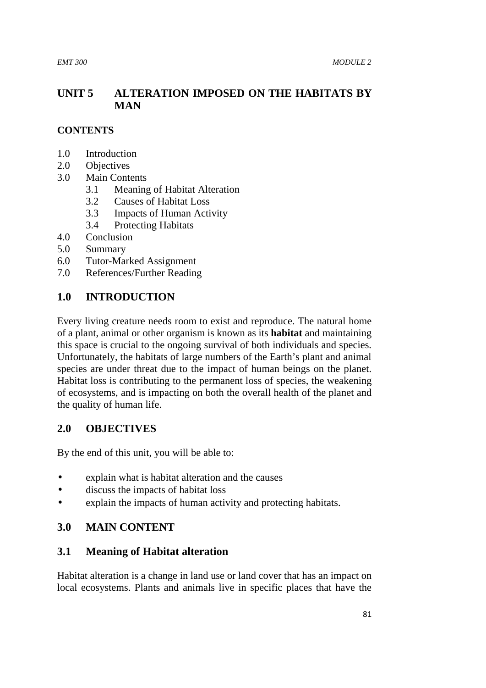## **UNIT 5 ALTERATION IMPOSED ON THE HABITATS BY MAN**

## **CONTENTS**

- 1.0 Introduction
- 2.0 Objectives
- 3.0 Main Contents
	- 3.1 Meaning of Habitat Alteration
	- 3.2 Causes of Habitat Loss
	- 3.3 Impacts of Human Activity
	- 3.4 Protecting Habitats
- 4.0 Conclusion
- 5.0 Summary
- 6.0 Tutor-Marked Assignment
- 7.0 References/Further Reading

## **1.0 INTRODUCTION**

Every living creature needs room to exist and reproduce. The natural home of a plant, animal or other organism is known as its **habitat** and maintaining this space is crucial to the ongoing survival of both individuals and species. Unfortunately, the habitats of large numbers of the Earth's plant and animal species are under threat due to the impact of human beings on the planet. Habitat loss is contributing to the permanent loss of species, the weakening of ecosystems, and is impacting on both the overall health of the planet and the quality of human life.

## **2.0 OBJECTIVES**

By the end of this unit, you will be able to:

- explain what is habitat alteration and the causes
- discuss the impacts of habitat loss
- explain the impacts of human activity and protecting habitats.

## **3.0 MAIN CONTENT**

## **3.1 Meaning of Habitat alteration**

Habitat alteration is a change in land use or land cover that has an impact on local ecosystems. Plants and animals live in specific places that have the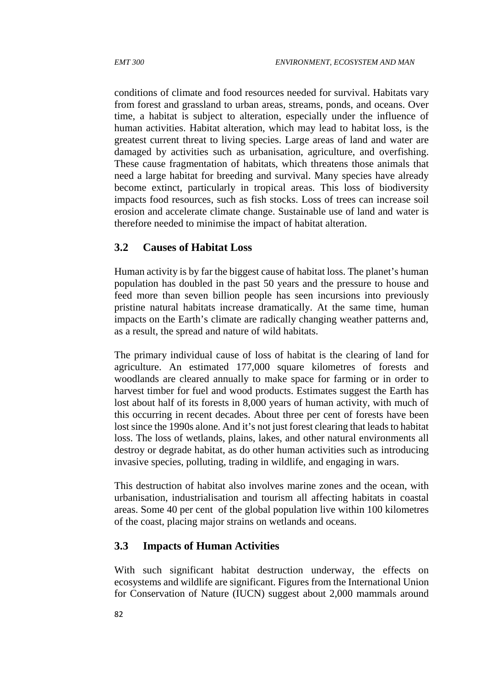conditions of climate and food resources needed for survival. Habitats vary from forest and grassland to urban areas, streams, ponds, and oceans. Over time, a habitat is subject to alteration, especially under the influence of human activities. Habitat alteration, which may lead to habitat loss, is the greatest current threat to living species. Large areas of land and water are damaged by activities such as urbanisation, agriculture, and overfishing. These cause fragmentation of habitats, which threatens those animals that need a large habitat for breeding and survival. Many species have already become extinct, particularly in tropical areas. This loss of biodiversity impacts food resources, such as fish stocks. Loss of trees can increase soil erosion and accelerate climate change. Sustainable use of land and water is therefore needed to minimise the impact of habitat alteration.

## **3.2 Causes of Habitat Loss**

Human activity is by far the biggest cause of habitat loss. The planet's human population has doubled in the past 50 years and the pressure to house and feed more than seven billion people has seen incursions into previously pristine natural habitats increase dramatically. At the same time, human impacts on the Earth's climate are radically changing weather patterns and, as a result, the spread and nature of wild habitats.

The primary individual cause of loss of habitat is the clearing of land for agriculture. An estimated 177,000 square kilometres of forests and woodlands are cleared annually to make space for farming or in order to harvest timber for fuel and wood products. Estimates suggest the Earth has lost about half of its forests in 8,000 years of human activity, with much of this occurring in recent decades. About three per cent of forests have been lost since the 1990s alone. And it's not just forest clearing that leads to habitat loss. The loss of wetlands, plains, lakes, and other natural environments all destroy or degrade habitat, as do other human activities such as introducing invasive species, polluting, trading in wildlife, and engaging in wars.

This destruction of habitat also involves marine zones and the ocean, with urbanisation, industrialisation and tourism all affecting habitats in coastal areas. Some 40 per cent of the global population live within 100 kilometres of the coast, placing major strains on wetlands and oceans.

## **3.3 Impacts of Human Activities**

With such significant habitat destruction underway, the effects on ecosystems and wildlife are significant. Figures from the International Union for Conservation of Nature (IUCN) suggest about 2,000 mammals around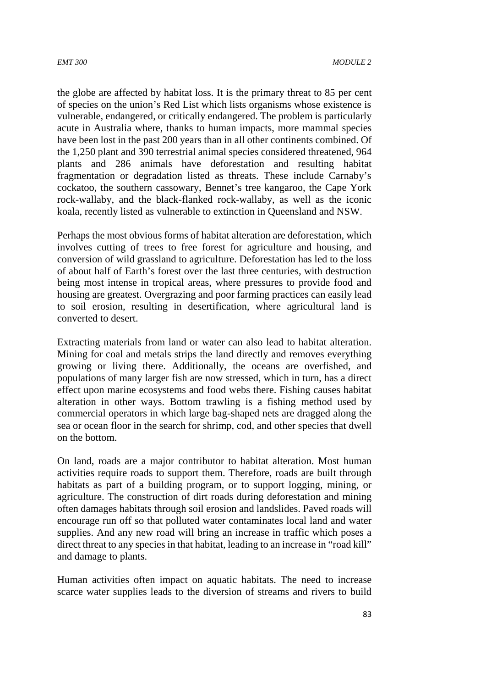the globe are affected by habitat loss. It is the primary threat to 85 per cent of species on the union's Red List which lists organisms whose existence is vulnerable, endangered, or critically endangered. The problem is particularly acute in Australia where, thanks to human impacts, more mammal species have been lost in the past 200 years than in all other continents combined. Of the 1,250 plant and 390 terrestrial animal species considered threatened, 964 plants and 286 animals have deforestation and resulting habitat fragmentation or degradation listed as threats. These include Carnaby's cockatoo, the southern cassowary, Bennet's tree kangaroo, the Cape York rock-wallaby, and the black-flanked rock-wallaby, as well as the iconic koala, recently listed as vulnerable to extinction in Queensland and NSW.

Perhaps the most obvious forms of habitat alteration are deforestation, which involves cutting of trees to free forest for agriculture and housing, and conversion of wild grassland to agriculture. Deforestation has led to the loss of about half of Earth's forest over the last three centuries, with destruction being most intense in tropical areas, where pressures to provide food and housing are greatest. Overgrazing and poor farming practices can easily lead to soil erosion, resulting in desertification, where agricultural land is converted to desert.

Extracting materials from land or water can also lead to habitat alteration. Mining for coal and metals strips the land directly and removes everything growing or living there. Additionally, the oceans are overfished, and populations of many larger fish are now stressed, which in turn, has a direct effect upon marine ecosystems and food webs there. Fishing causes habitat alteration in other ways. Bottom trawling is a fishing method used by commercial operators in which large bag-shaped nets are dragged along the sea or ocean floor in the search for shrimp, cod, and other species that dwell on the bottom.

On land, roads are a major contributor to habitat alteration. Most human activities require roads to support them. Therefore, roads are built through habitats as part of a building program, or to support logging, mining, or agriculture. The construction of dirt roads during deforestation and mining often damages habitats through soil erosion and landslides. Paved roads will encourage run off so that polluted water contaminates local land and water supplies. And any new road will bring an increase in traffic which poses a direct threat to any species in that habitat, leading to an increase in "road kill" and damage to plants.

Human activities often impact on aquatic habitats. The need to increase scarce water supplies leads to the diversion of streams and rivers to build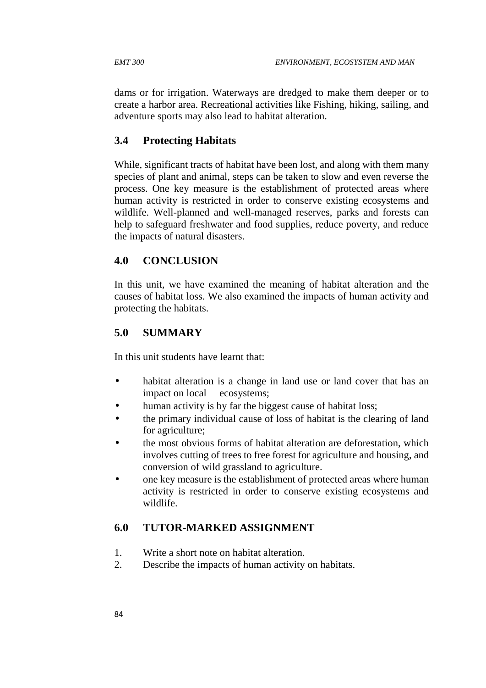dams or for irrigation. Waterways are dredged to make them deeper or to create a harbor area. Recreational activities like Fishing, hiking, sailing, and adventure sports may also lead to habitat alteration.

## **3.4 Protecting Habitats**

While, significant tracts of habitat have been lost, and along with them many species of plant and animal, steps can be taken to slow and even reverse the process. One key measure is the establishment of protected areas where human activity is restricted in order to conserve existing ecosystems and wildlife. Well-planned and well-managed reserves, parks and forests can help to safeguard freshwater and food supplies, reduce poverty, and reduce the impacts of natural disasters.

## **4.0 CONCLUSION**

In this unit, we have examined the meaning of habitat alteration and the causes of habitat loss. We also examined the impacts of human activity and protecting the habitats.

## **5.0 SUMMARY**

In this unit students have learnt that:

- habitat alteration is a change in land use or land cover that has an impact on local ecosystems;
- human activity is by far the biggest cause of habitat loss;
- the primary individual cause of loss of habitat is the clearing of land for agriculture;
- the most obvious forms of habitat alteration are deforestation, which involves cutting of trees to free forest for agriculture and housing, and conversion of wild grassland to agriculture.
- one key measure is the establishment of protected areas where human activity is restricted in order to conserve existing ecosystems and wildlife.

## **6.0 TUTOR-MARKED ASSIGNMENT**

- 1. Write a short note on habitat alteration.
- 2. Describe the impacts of human activity on habitats.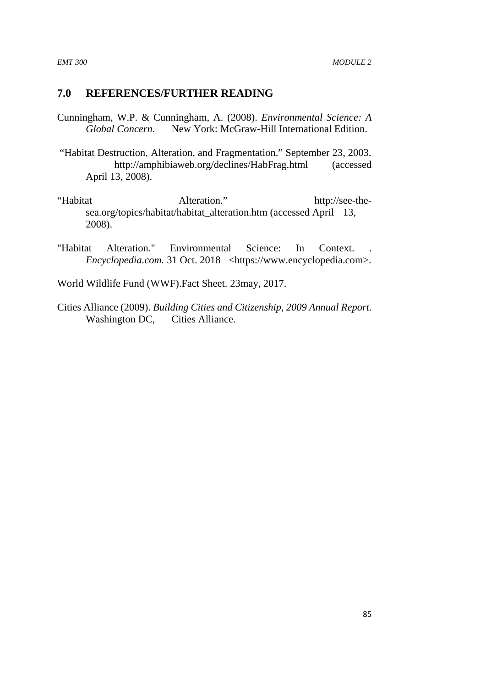### **7.0 REFERENCES/FURTHER READING**

- Cunningham, W.P. & Cunningham, A. (2008). *Environmental Science: A Global Concern.* New York: McGraw-Hill International Edition.
- "Habitat Destruction, Alteration, and Fragmentation." September 23, 2003. http://amphibiaweb.org/declines/HabFrag.html (accessed April 13, 2008).
- "Habitat Alteration." http://see-the sea.org/topics/habitat/habitat\_alteration.htm (accessed April 13, 2008).
- "Habitat Alteration." Environmental Science: In Context. . *Encyclopedia.com.* 31 Oct. 2018 <https://www.encyclopedia.com>.

World Wildlife Fund (WWF).Fact Sheet. 23may, 2017.

Cities Alliance (2009). *Building Cities and Citizenship, 2009 Annual Report*. Washington DC, Cities Alliance.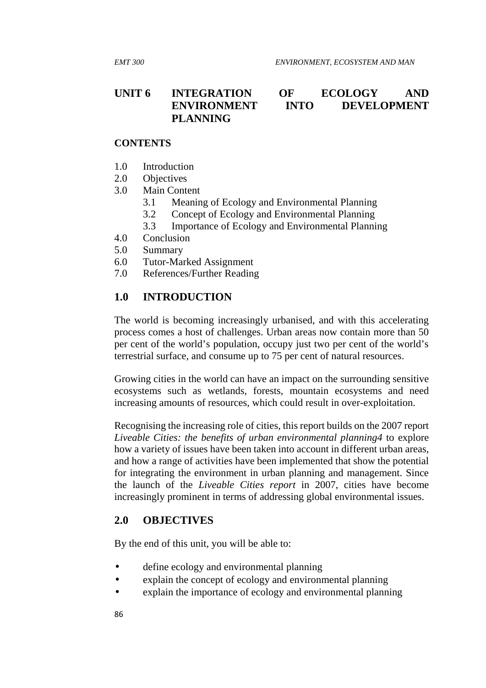## **UNIT 6 INTEGRATION OF ECOLOGY AND ENVIRONMENT INTO DEVELOPMENT PLANNING**

#### **CONTENTS**

- 1.0 Introduction
- 2.0 Objectives
- 3.0 Main Content
	- 3.1 Meaning of Ecology and Environmental Planning
	- 3.2 Concept of Ecology and Environmental Planning
	- 3.3 Importance of Ecology and Environmental Planning
- 4.0 Conclusion
- 5.0 Summary
- 6.0 Tutor-Marked Assignment
- 7.0 References/Further Reading

## **1.0 INTRODUCTION**

The world is becoming increasingly urbanised, and with this accelerating process comes a host of challenges. Urban areas now contain more than 50 per cent of the world's population, occupy just two per cent of the world's terrestrial surface, and consume up to 75 per cent of natural resources.

Growing cities in the world can have an impact on the surrounding sensitive ecosystems such as wetlands, forests, mountain ecosystems and need increasing amounts of resources, which could result in over-exploitation.

Recognising the increasing role of cities, this report builds on the 2007 report *Liveable Cities: the benefits of urban environmental planning4* to explore how a variety of issues have been taken into account in different urban areas, and how a range of activities have been implemented that show the potential for integrating the environment in urban planning and management. Since the launch of the *Liveable Cities report* in 2007, cities have become increasingly prominent in terms of addressing global environmental issues.

#### **2.0 OBJECTIVES**

By the end of this unit, you will be able to:

- define ecology and environmental planning
- explain the concept of ecology and environmental planning
- explain the importance of ecology and environmental planning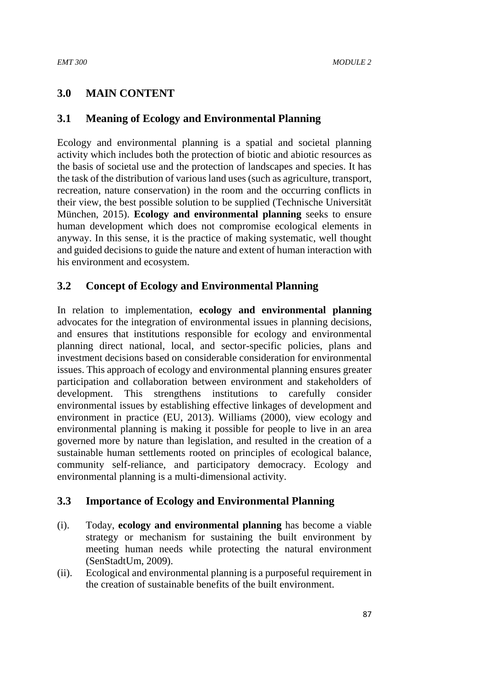## **3.0 MAIN CONTENT**

## **3.1 Meaning of Ecology and Environmental Planning**

Ecology and environmental planning is a spatial and societal planning activity which includes both the protection of biotic and abiotic resources as the basis of societal use and the protection of landscapes and species. It has the task of the distribution of various land uses (such as agriculture, transport, recreation, nature conservation) in the room and the occurring conflicts in their view, the best possible solution to be supplied (Technische Universität München, 2015). **Ecology and environmental planning** seeks to ensure human development which does not compromise ecological elements in anyway. In this sense, it is the practice of making systematic, well thought and guided decisions to guide the nature and extent of human interaction with his environment and ecosystem.

## **3.2 Concept of Ecology and Environmental Planning**

In relation to implementation, **ecology and environmental planning** advocates for the integration of environmental issues in planning decisions, and ensures that institutions responsible for ecology and environmental planning direct national, local, and sector-specific policies, plans and investment decisions based on considerable consideration for environmental issues. This approach of ecology and environmental planning ensures greater participation and collaboration between environment and stakeholders of development. This strengthens institutions to carefully consider environmental issues by establishing effective linkages of development and environment in practice (EU, 2013). Williams (2000), view ecology and environmental planning is making it possible for people to live in an area governed more by nature than legislation, and resulted in the creation of a sustainable human settlements rooted on principles of ecological balance, community self-reliance, and participatory democracy. Ecology and environmental planning is a multi-dimensional activity.

## **3.3 Importance of Ecology and Environmental Planning**

- (i). Today, **ecology and environmental planning** has become a viable strategy or mechanism for sustaining the built environment by meeting human needs while protecting the natural environment (SenStadtUm, 2009).
- (ii). Ecological and environmental planning is a purposeful requirement in the creation of sustainable benefits of the built environment.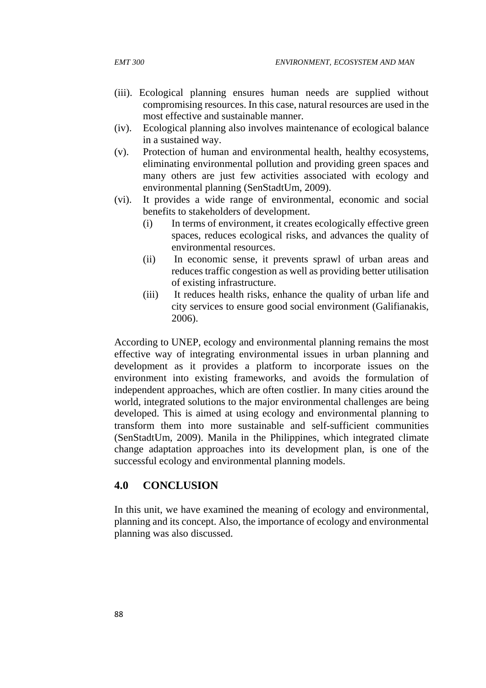- (iii). Ecological planning ensures human needs are supplied without compromising resources. In this case, natural resources are used in the most effective and sustainable manner.
- (iv). Ecological planning also involves maintenance of ecological balance in a sustained way.
- (v). Protection of human and environmental health, healthy ecosystems, eliminating environmental pollution and providing green spaces and many others are just few activities associated with ecology and environmental planning (SenStadtUm, 2009).
- (vi). It provides a wide range of environmental, economic and social benefits to stakeholders of development.
	- (i) In terms of environment, it creates ecologically effective green spaces, reduces ecological risks, and advances the quality of environmental resources.
	- (ii) In economic sense, it prevents sprawl of urban areas and reduces traffic congestion as well as providing better utilisation of existing infrastructure.
	- (iii) It reduces health risks, enhance the quality of urban life and city services to ensure good social environment (Galifianakis, 2006).

According to UNEP, ecology and environmental planning remains the most effective way of integrating environmental issues in urban planning and development as it provides a platform to incorporate issues on the environment into existing frameworks, and avoids the formulation of independent approaches, which are often costlier. In many cities around the world, integrated solutions to the major environmental challenges are being developed. This is aimed at using ecology and environmental planning to transform them into more sustainable and self-sufficient communities (SenStadtUm, 2009). Manila in the Philippines, which integrated climate change adaptation approaches into its development plan, is one of the successful ecology and environmental planning models.

## **4.0 CONCLUSION**

In this unit, we have examined the meaning of ecology and environmental, planning and its concept. Also, the importance of ecology and environmental planning was also discussed.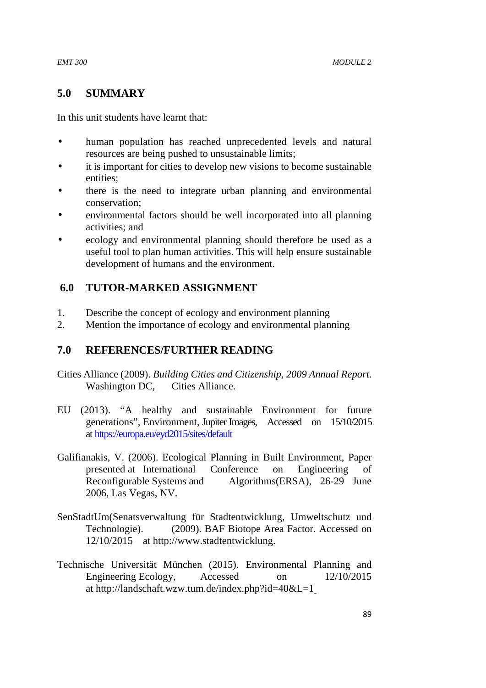## **5.0 SUMMARY**

In this unit students have learnt that:

- human population has reached unprecedented levels and natural resources are being pushed to unsustainable limits;
- it is important for cities to develop new visions to become sustainable entities;
- there is the need to integrate urban planning and environmental conservation;
- environmental factors should be well incorporated into all planning activities; and
- ecology and environmental planning should therefore be used as a useful tool to plan human activities. This will help ensure sustainable development of humans and the environment.

## **6.0 TUTOR-MARKED ASSIGNMENT**

- 1. Describe the concept of ecology and environment planning
- 2. Mention the importance of ecology and environmental planning

#### **7.0 REFERENCES/FURTHER READING**

- Cities Alliance (2009). *Building Cities and Citizenship, 2009 Annual Report*. Washington DC, Cities Alliance.
- EU (2013). "A healthy and sustainable Environment for future generations", Environment, Jupiter Images, Accessed on 15/10/2015 at https://europa.eu/eyd2015/sites/default
- Galifianakis, V. (2006). Ecological Planning in Built Environment, Paper presented at International Conference on Engineering of Reconfigurable Systems and Algorithms(ERSA), 26-29 June 2006, Las Vegas, NV.
- SenStadtUm(Senatsverwaltung für Stadtentwicklung, Umweltschutz und Technologie). (2009). BAF Biotope Area Factor. Accessed on 12/10/2015 at http://www.stadtentwicklung.
- Technische Universität München (2015). Environmental Planning and Engineering Ecology, Accessed on 12/10/2015 at http://landschaft.wzw.tum.de/index.php?id=40&L=1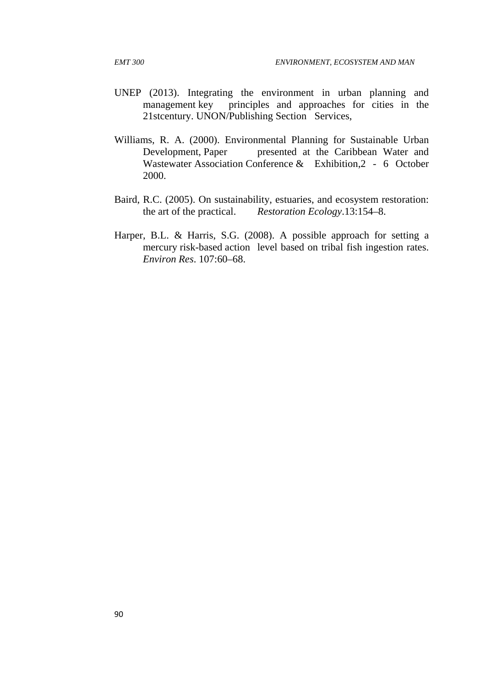- UNEP (2013). Integrating the environment in urban planning and management key principles and approaches for cities in the 21stcentury. UNON/Publishing Section Services,
- Williams, R. A. (2000). Environmental Planning for Sustainable Urban Development, Paper presented at the Caribbean Water and Wastewater Association Conference & Exhibition,2 - 6 October 2000.
- Baird, R.C. (2005). On sustainability, estuaries, and ecosystem restoration: the art of the practical. *Restoration Ecology*.13:154–8.
- Harper, B.L. & Harris, S.G. (2008). A possible approach for setting a mercury risk-based action level based on tribal fish ingestion rates. *Environ Res*. 107:60–68.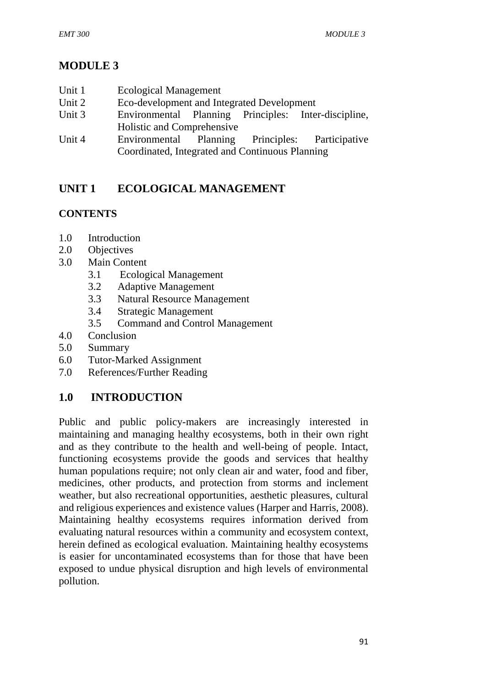# **MODULE 3**

- Unit 1 Ecological Management Unit 2 Eco-development and Integrated Development
- Unit 3 Environmental Planning Principles: Inter-discipline, Holistic and Comprehensive
- Unit 4 Environmental Planning Principles: Participative Coordinated, Integrated and Continuous Planning

# **UNIT 1 ECOLOGICAL MANAGEMENT**

# **CONTENTS**

- 1.0 Introduction
- 2.0 Objectives
- 3.0 Main Content
	- 3.1 Ecological Management
	- 3.2 Adaptive Management
	- 3.3 Natural Resource Management
	- 3.4 Strategic Management
	- 3.5 Command and Control Management
- 4.0 Conclusion
- 5.0 Summary
- 6.0 Tutor-Marked Assignment
- 7.0 References/Further Reading

# **1.0 INTRODUCTION**

Public and public policy-makers are increasingly interested in maintaining and managing healthy ecosystems, both in their own right and as they contribute to the health and well-being of people. Intact, functioning ecosystems provide the goods and services that healthy human populations require; not only clean air and water, food and fiber, medicines, other products, and protection from storms and inclement weather, but also recreational opportunities, aesthetic pleasures, cultural and religious experiences and existence values (Harper and Harris, 2008). Maintaining healthy ecosystems requires information derived from evaluating natural resources within a community and ecosystem context, herein defined as ecological evaluation. Maintaining healthy ecosystems is easier for uncontaminated ecosystems than for those that have been exposed to undue physical disruption and high levels of environmental pollution.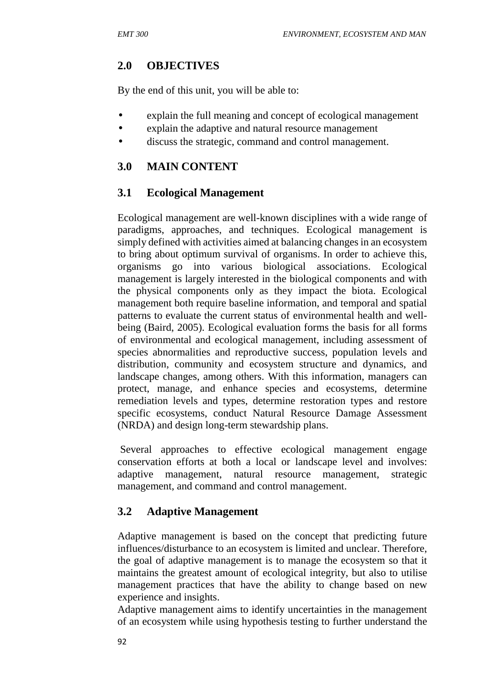# **2.0 OBJECTIVES**

By the end of this unit, you will be able to:

- explain the full meaning and concept of ecological management
- explain the adaptive and natural resource management
- discuss the strategic, command and control management.

# **3.0 MAIN CONTENT**

## **3.1 Ecological Management**

Ecological management are well-known disciplines with a wide range of paradigms, approaches, and techniques. Ecological management is simply defined with activities aimed at balancing changes in an ecosystem to bring about optimum survival of organisms. In order to achieve this, organisms go into various biological associations. Ecological management is largely interested in the biological components and with the physical components only as they impact the biota. Ecological management both require baseline information, and temporal and spatial patterns to evaluate the current status of environmental health and well being (Baird, 2005). Ecological evaluation forms the basis for all forms of environmental and ecological management, including assessment of species abnormalities and reproductive success, population levels and distribution, community and ecosystem structure and dynamics, and landscape changes, among others. With this information, managers can protect, manage, and enhance species and ecosystems, determine remediation levels and types, determine restoration types and restore specific ecosystems, conduct Natural Resource Damage Assessment (NRDA) and design long-term stewardship plans.

Several approaches to effective ecological management engage conservation efforts at both a local or landscape level and involves: adaptive management, natural resource management, strategic management, and command and control management.

# **3.2 Adaptive Management**

Adaptive management is based on the concept that predicting future influences/disturbance to an ecosystem is limited and unclear. Therefore, the goal of adaptive management is to manage the ecosystem so that it maintains the greatest amount of ecological integrity, but also to utilise management practices that have the ability to change based on new experience and insights.

Adaptive management aims to identify uncertainties in the management of an ecosystem while using hypothesis testing to further understand the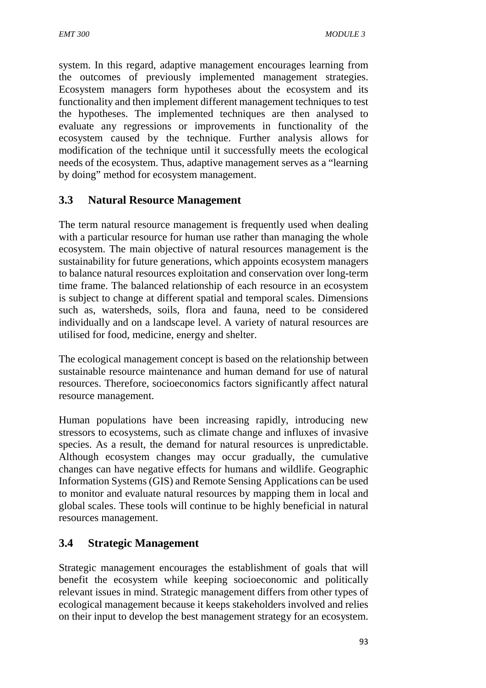system. In this regard, adaptive management encourages learning from the outcomes of previously implemented management strategies. Ecosystem managers form hypotheses about the ecosystem and its functionality and then implement different management techniques to test the hypotheses. The implemented techniques are then analysed to evaluate any regressions or improvements in functionality of the ecosystem caused by the technique. Further analysis allows for modification of the technique until it successfully meets the ecological needs of the ecosystem. Thus, adaptive management serves as a "learning by doing" method for ecosystem management.

# **3.3 Natural Resource Management**

The term natural resource management is frequently used when dealing with a particular resource for human use rather than managing the whole ecosystem. The main objective of natural resources management is the sustainability for future generations, which appoints ecosystem managers to balance natural resources exploitation and conservation over long-term time frame. The balanced relationship of each resource in an ecosystem is subject to change at different spatial and temporal scales. Dimensions such as, watersheds, soils, flora and fauna, need to be considered individually and on a landscape level. A variety of natural resources are utilised for food, medicine, energy and shelter.

The ecological management concept is based on the relationship between sustainable resource maintenance and human demand for use of natural resources. Therefore, socioeconomics factors significantly affect natural resource management.

Human populations have been increasing rapidly, introducing new stressors to ecosystems, such as climate change and influxes of invasive species. As a result, the demand for natural resources is unpredictable. Although ecosystem changes may occur gradually, the cumulative changes can have negative effects for humans and wildlife. Geographic Information Systems (GIS) and Remote Sensing Applications can be used to monitor and evaluate natural resources by mapping them in local and global scales. These tools will continue to be highly beneficial in natural resources management.

# **3.4 Strategic Management**

Strategic management encourages the establishment of goals that will benefit the ecosystem while keeping socioeconomic and politically relevant issues in mind. Strategic management differs from other types of ecological management because it keeps stakeholders involved and relies on their input to develop the best management strategy for an ecosystem.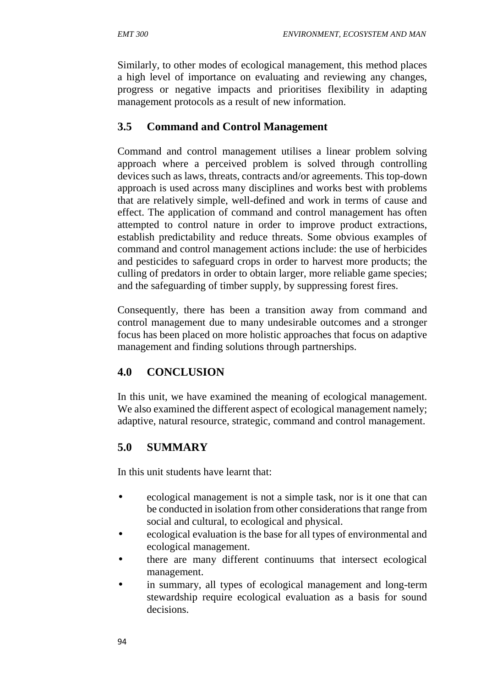Similarly, to other modes of ecological management, this method places a high level of importance on evaluating and reviewing any changes, progress or negative impacts and prioritises flexibility in adapting management protocols as a result of new information.

# **3.5 Command and Control Management**

Command and control management utilises a linear problem solving approach where a perceived problem is solved through controlling devices such as laws, threats, contracts and/or agreements. This top-down approach is used across many disciplines and works best with problems that are relatively simple, well-defined and work in terms of cause and effect. The application of command and control management has often attempted to control nature in order to improve product extractions, establish predictability and reduce threats. Some obvious examples of command and control management actions include: the use of herbicides and pesticides to safeguard crops in order to harvest more products; the culling of predators in order to obtain larger, more reliable game species; and the safeguarding of timber supply, by suppressing forest fires.

Consequently, there has been a transition away from command and control management due to many undesirable outcomes and a stronger focus has been placed on more holistic approaches that focus on adaptive management and finding solutions through partnerships.

# **4.0 CONCLUSION**

In this unit, we have examined the meaning of ecological management. We also examined the different aspect of ecological management namely; adaptive, natural resource, strategic, command and control management.

# **5.0 SUMMARY**

In this unit students have learnt that:

- ecological management is not a simple task, nor is it one that can be conducted in isolation from other considerations that range from social and cultural, to ecological and physical.
- ecological evaluation is the base for all types of environmental and ecological management.
- there are many different continuums that intersect ecological management.
- in summary, all types of ecological management and long-term stewardship require ecological evaluation as a basis for sound decisions.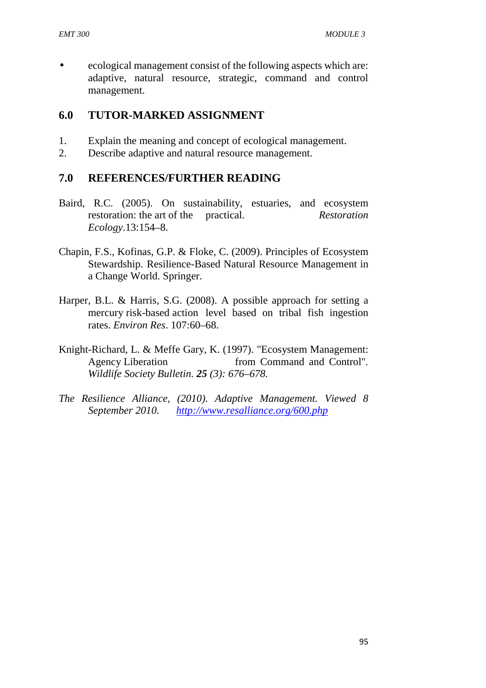ecological management consist of the following aspects which are: adaptive, natural resource, strategic, command and control management.

## **6.0 TUTOR-MARKED ASSIGNMENT**

- 1. Explain the meaning and concept of ecological management.
- 2. Describe adaptive and natural resource management.

## **7.0 REFERENCES/FURTHER READING**

- Baird, R.C. (2005). On sustainability, estuaries, and ecosystem restoration: the art of the practical. *Restoration Ecology*.13:154–8.
- Chapin, F.S., Kofinas, G.P. & Floke, C. (2009). Principles of Ecosystem Stewardship. Resilience-Based Natural Resource Management in a Change World. Springer.
- Harper, B.L. & Harris, S.G. (2008). A possible approach for setting a mercury risk-based action level based on tribal fish ingestion rates. *Environ Res*. 107:60–68.
- Knight-Richard, L. & Meffe Gary, K. (1997). "Ecosystem Management: Agency Liberation from Command and Control". *Wildlife Society Bulletin. 25 (3): 676–678.*
- *The Resilience Alliance, (2010). Adaptive Management. Viewed 8 September 2010. http://www.resalliance.org/600.php*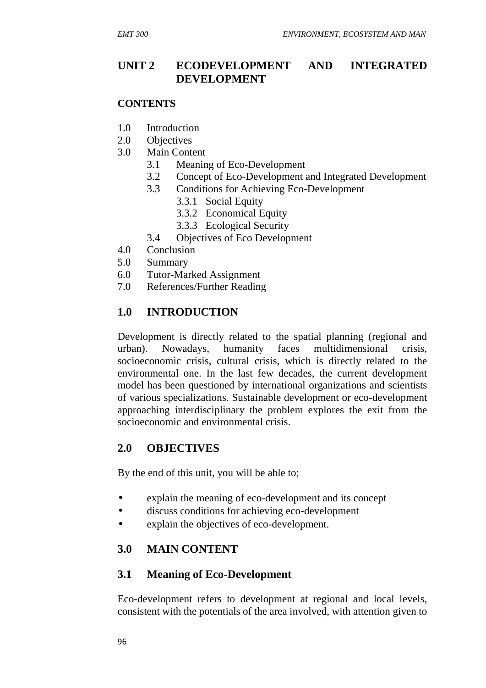## **UNIT 2 ECODEVELOPMENT AND INTEGRATED DEVELOPMENT**

## **CONTENTS**

- 1.0 Introduction
- 2.0 Objectives
- 3.0 Main Content
	- 3.1 Meaning of Eco-Development
	- 3.2 Concept of Eco-Development and Integrated Development
	- 3.3 Conditions for Achieving Eco-Development
		- 3.3.1 Social Equity
		- 3.3.2 Economical Equity
		- 3.3.3 Ecological Security
	- 3.4 Objectives of Eco Development
- 4.0 Conclusion
- 5.0 Summary
- 6.0 Tutor-Marked Assignment
- 7.0 References/Further Reading

## **1.0 INTRODUCTION**

Development is directly related to the spatial planning (regional and urban). Nowadays, humanity faces multidimensional crisis, socioeconomic crisis, cultural crisis, which is directly related to the environmental one. In the last few decades, the current development model has been questioned by international organizations and scientists of various specializations. Sustainable development or eco-development approaching interdisciplinary the problem explores the exit from the socioeconomic and environmental crisis.

## **2.0 OBJECTIVES**

By the end of this unit, you will be able to;

- explain the meaning of eco-development and its concept
- discuss conditions for achieving eco-development
- explain the objectives of eco-development.

# **3.0 MAIN CONTENT**

## **3.1 Meaning of Eco-Development**

Eco-development refers to development at regional and local levels, consistent with the potentials of the area involved, with attention given to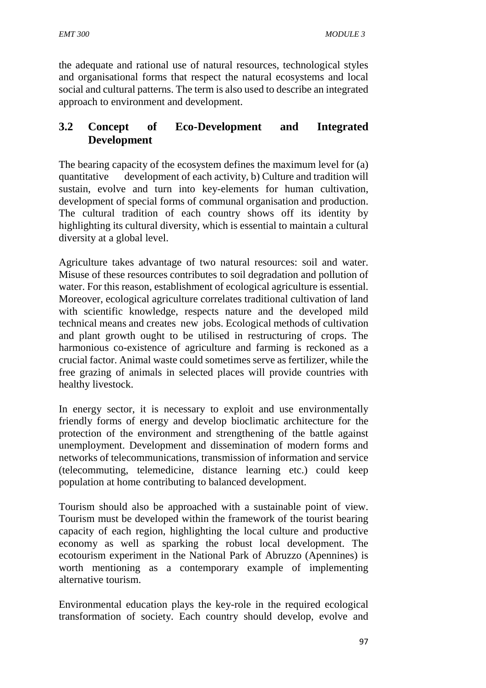the adequate and rational use of natural resources, technological styles and organisational forms that respect the natural ecosystems and local social and cultural patterns. The term is also used to describe an integrated approach to environment and development.

# **3.2 Concept of Eco-Development and Integrated Development**

The bearing capacity of the ecosystem defines the maximum level for (a) quantitative development of each activity, b) Culture and tradition will sustain, evolve and turn into key-elements for human cultivation, development of special forms of communal organisation and production. The cultural tradition of each country shows off its identity by highlighting its cultural diversity, which is essential to maintain a cultural diversity at a global level.

Agriculture takes advantage of two natural resources: soil and water. Misuse of these resources contributes to soil degradation and pollution of water. For this reason, establishment of ecological agriculture is essential. Moreover, ecological agriculture correlates traditional cultivation of land with scientific knowledge, respects nature and the developed mild technical means and creates new jobs. Ecological methods of cultivation and plant growth ought to be utilised in restructuring of crops. The harmonious co-existence of agriculture and farming is reckoned as a crucial factor. Animal waste could sometimes serve as fertilizer, while the free grazing of animals in selected places will provide countries with healthy livestock.

In energy sector, it is necessary to exploit and use environmentally friendly forms of energy and develop bioclimatic architecture for the protection of the environment and strengthening of the battle against unemployment. Development and dissemination of modern forms and networks of telecommunications, transmission of information and service (telecommuting, telemedicine, distance learning etc.) could keep population at home contributing to balanced development.

Tourism should also be approached with a sustainable point of view. Tourism must be developed within the framework of the tourist bearing capacity of each region, highlighting the local culture and productive economy as well as sparking the robust local development. The ecotourism experiment in the National Park of Abruzzo (Apennines) is worth mentioning as a contemporary example of implementing alternative tourism.

Environmental education plays the key-role in the required ecological transformation of society. Each country should develop, evolve and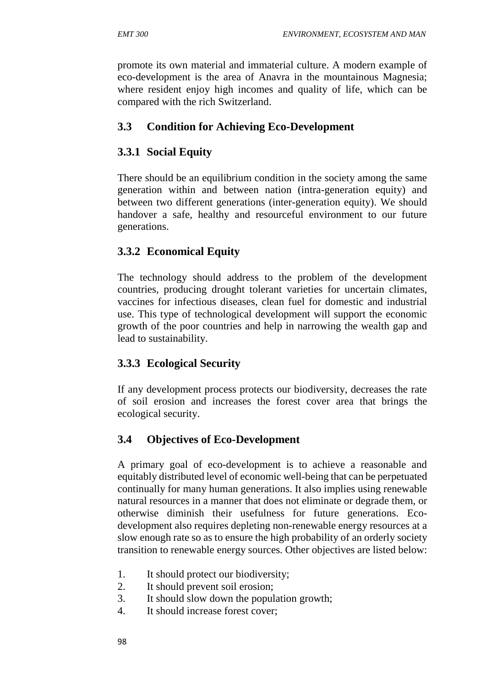promote its own material and immaterial culture. A modern example of eco-development is the area of Anavra in the mountainous Magnesia; where resident enjoy high incomes and quality of life, which can be compared with the rich Switzerland.

# **3.3 Condition for Achieving Eco-Development**

# **3.3.1 Social Equity**

There should be an equilibrium condition in the society among the same generation within and between nation (intra-generation equity) and between two different generations (inter-generation equity). We should handover a safe, healthy and resourceful environment to our future generations.

# **3.3.2 Economical Equity**

The technology should address to the problem of the development countries, producing drought tolerant varieties for uncertain climates, vaccines for infectious diseases, clean fuel for domestic and industrial use. This type of technological development will support the economic growth of the poor countries and help in narrowing the wealth gap and lead to sustainability.

# **3.3.3 Ecological Security**

If any development process protects our biodiversity, decreases the rate of soil erosion and increases the forest cover area that brings the ecological security.

# **3.4 Objectives of Eco-Development**

A primary goal of eco-development is to achieve a reasonable and equitably distributed level of economic well-being that can be perpetuated continually for many human generations. It also implies using renewable natural resources in a manner that does not eliminate or degrade them, or otherwise diminish their usefulness for future generations. Eco development also requires depleting non-renewable energy resources at a slow enough rate so as to ensure the high probability of an orderly society transition to renewable energy sources. Other objectives are listed below:

- 1. It should protect our biodiversity;
- 2. It should prevent soil erosion;
- 3. It should slow down the population growth;
- 4. It should increase forest cover;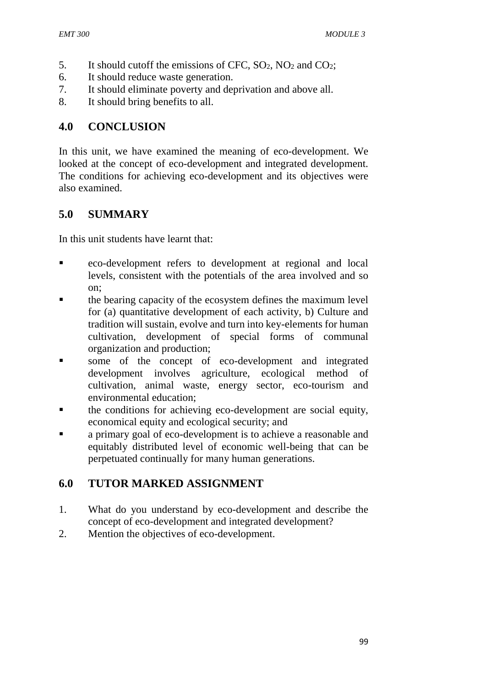- 5. It should cutoff the emissions of CFC,  $SO_2$ ,  $NO_2$  and  $CO_2$ ;
- 6. It should reduce waste generation.
- 7. It should eliminate poverty and deprivation and above all.
- 8. It should bring benefits to all.

# **4.0 CONCLUSION**

In this unit, we have examined the meaning of eco-development. We looked at the concept of eco-development and integrated development. The conditions for achieving eco-development and its objectives were also examined.

# **5.0 SUMMARY**

In this unit students have learnt that:

- eco-development refers to development at regional and local levels, consistent with the potentials of the area involved and so on;
- **the bearing capacity of the ecosystem defines the maximum level** for (a) quantitative development of each activity, b) Culture and tradition will sustain, evolve and turn into key-elements for human cultivation, development of special forms of communal organization and production;
- some of the concept of eco-development and integrated development involves agriculture, ecological method of cultivation, animal waste, energy sector, eco-tourism and environmental education;
- $\blacksquare$  the conditions for achieving eco-development are social equity, economical equity and ecological security; and
- a primary goal of eco-development is to achieve a reasonable and equitably distributed level of economic well-being that can be perpetuated continually for many human generations.

# **6.0 TUTOR MARKED ASSIGNMENT**

- 1. What do you understand by eco-development and describe the concept of eco-development and integrated development?
- 2. Mention the objectives of eco-development.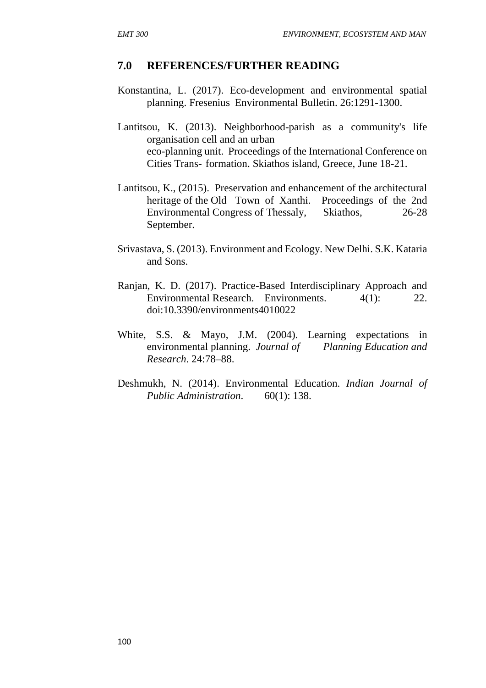## **7.0 REFERENCES/FURTHER READING**

- Konstantina, L. (2017). Eco-development and environmental spatial planning. Fresenius Environmental Bulletin. 26:1291-1300.
- Lantitsou, . (2013). Neighborhood-parish as a community's life organisation cell and an urban eco-planning unit. Proceedings of the International Conference on Cities Trans- formation. Skiathos island, Greece, June 18-21.
- Lantitsou, K., (2015). Preservation and enhancement of the architectural heritage of the Old Town of Xanthi. Proceedings of the 2nd Environmental Congress of Thessaly, Skiathos, 26-28 September.
- Srivastava, S. (2013). Environment and Ecology. New Delhi. S.K. Kataria and Sons.
- Ranjan, K. D. (2017). Practice-Based Interdisciplinary Approach and Environmental Research. Environments. 4(1): 22. doi:10.3390/environments4010022
- White, S.S. & Mayo, J.M. (2004). Learning expectations in environmental planning. *Journal of Planning Education and Research*. 24:78–88.
- Deshmukh, N. (2014). Environmental Education. *Indian Journal of Public Administration.* 60(1): 138.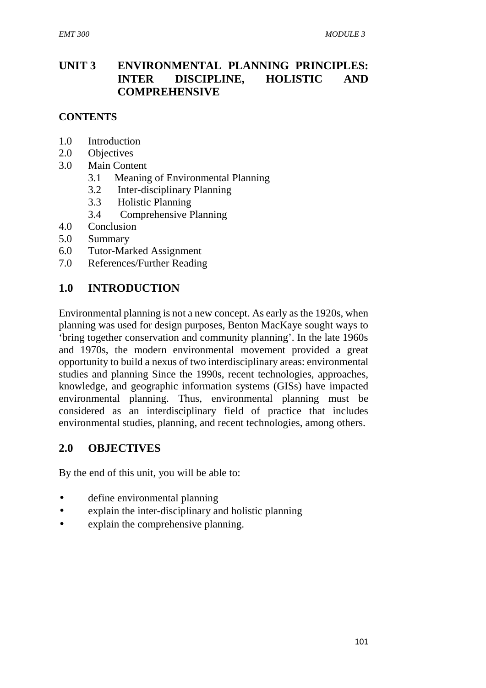## **UNIT 3 ENVIRONMENTAL PLANNING PRINCIPLES: INTER DISCIPLINE, HOLISTIC AND COMPREHENSIVE**

## **CONTENTS**

- 1.0 Introduction
- 2.0 Objectives
- 3.0 Main Content
	- 3.1 Meaning of Environmental Planning
	- 3.2 Inter-disciplinary Planning
	- 3.3 Holistic Planning
	- 3.4 Comprehensive Planning
- 4.0 Conclusion
- 5.0 Summary
- 6.0 Tutor-Marked Assignment
- 7.0 References/Further Reading

## **1.0 INTRODUCTION**

Environmental planning is not a new concept. As early as the 1920s, when planning was used for design purposes, Benton MacKaye sought ways to 'bring together conservation and community planning'. In the late 1960s and 1970s, the modern environmental movement provided a great opportunity to build a nexus of two interdisciplinary areas: environmental studies and planning Since the 1990s, recent technologies, approaches, knowledge, and geographic information systems (GISs) have impacted environmental planning. Thus, environmental planning must be considered as an interdisciplinary field of practice that includes environmental studies, planning, and recent technologies, among others.

## **2.0 OBJECTIVES**

By the end of this unit, you will be able to:

- define environmental planning
- explain the inter-disciplinary and holistic planning
- explain the comprehensive planning.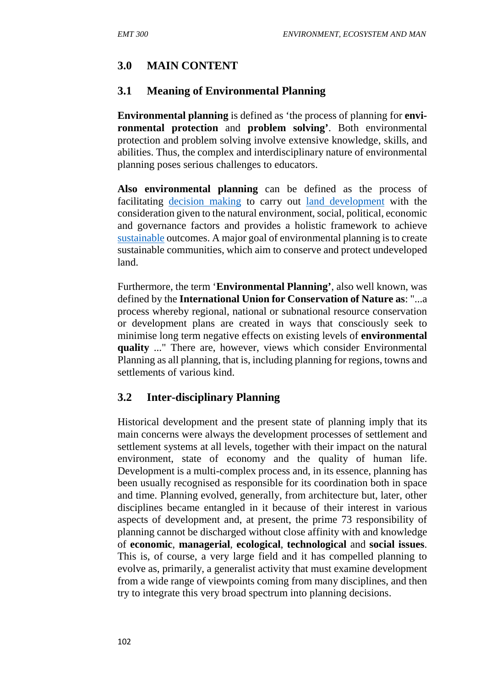# **3.0 MAIN CONTENT**

# **3.1 Meaning of Environmental Planning**

**Environmental planning** is defined as 'the process of planning for **envi ronmental protection** and **problem solving'**. Both environmental protection and problem solving involve extensive knowledge, skills, and abilities. Thus, the complex and interdisciplinary nature of environmental planning poses serious challenges to educators.

**Also environmental planning** can be defined as the process of facilitating decision making to carry out land development with the consideration given to the natural environment, social, political, economic and governance factors and provides a holistic framework to achieve sustainable outcomes. A major goal of environmental planning is to create sustainable communities, which aim to conserve and protect undeveloped land.

Furthermore, the term '**Environmental Planning'**, also well known, was defined by the **International Union for Conservation of Nature as**: "...a process whereby regional, national or subnational resource conservation or development plans are created in ways that consciously seek to minimise long term negative effects on existing levels of **environmental quality** ..." There are, however, views which consider Environmental Planning as all planning, that is, including planning for regions, towns and settlements of various kind.

# **3.2 Inter-disciplinary Planning**

Historical development and the present state of planning imply that its main concerns were always the development processes of settlement and settlement systems at all levels, together with their impact on the natural environment, state of economy and the quality of human life. Development is a multi-complex process and, in its essence, planning has been usually recognised as responsible for its coordination both in space and time. Planning evolved, generally, from architecture but, later, other disciplines became entangled in it because of their interest in various aspects of development and, at present, the prime 73 responsibility of planning cannot be discharged without close affinity with and knowledge of **economic**, **managerial**, **ecological**, **technological** and **social issues**. This is, of course, a very large field and it has compelled planning to evolve as, primarily, a generalist activity that must examine development from a wide range of viewpoints coming from many disciplines, and then try to integrate this very broad spectrum into planning decisions.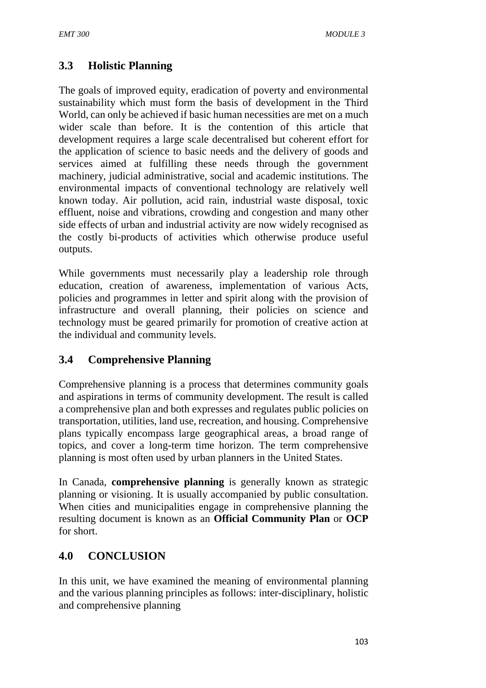# **3.3 Holistic Planning**

The goals of improved equity, eradication of poverty and environmental sustainability which must form the basis of development in the Third World, can only be achieved if basic human necessities are met on a much wider scale than before. It is the contention of this article that development requires a large scale decentralised but coherent effort for the application of science to basic needs and the delivery of goods and services aimed at fulfilling these needs through the government machinery, judicial administrative, social and academic institutions. The environmental impacts of conventional technology are relatively well known today. Air pollution, acid rain, industrial waste disposal, toxic effluent, noise and vibrations, crowding and congestion and many other side effects of urban and industrial activity are now widely recognised as the costly bi-products of activities which otherwise produce useful outputs.

While governments must necessarily play a leadership role through education, creation of awareness, implementation of various Acts, policies and programmes in letter and spirit along with the provision of infrastructure and overall planning, their policies on science and technology must be geared primarily for promotion of creative action at the individual and community levels.

# **3.4 Comprehensive Planning**

Comprehensive planning is a process that determines community goals and aspirations in terms of community development. The result is called a comprehensive plan and both expresses and regulates public policies on transportation, utilities, land use, recreation, and housing. Comprehensive plans typically encompass large geographical areas, a broad range of topics, and cover a long-term time horizon. The term comprehensive planning is most often used by urban planners in the United States.

In Canada, **comprehensive planning** is generally known as strategic planning or visioning. It is usually accompanied by public consultation. When cities and municipalities engage in comprehensive planning the resulting document is known as an **Official Community Plan** or **OCP** for short.

# **4.0 CONCLUSION**

In this unit, we have examined the meaning of environmental planning and the various planning principles as follows: inter-disciplinary, holistic and comprehensive planning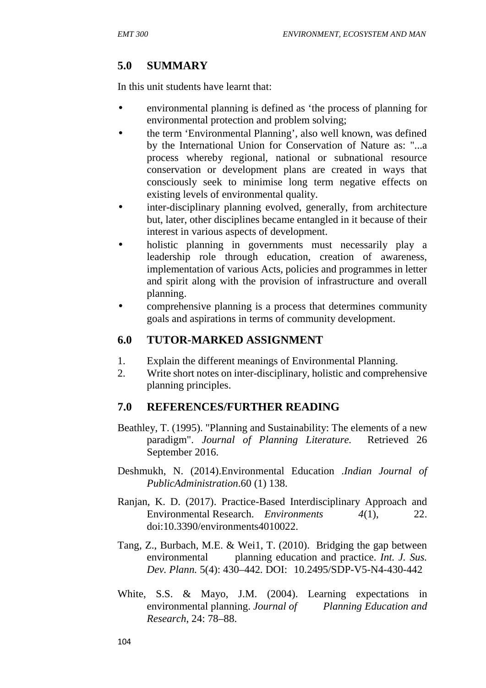# **5.0 SUMMARY**

In this unit students have learnt that:

- environmental planning is defined as 'the process of planning for environmental protection and problem solving;
- the term 'Environmental Planning', also well known, was defined by the International Union for Conservation of Nature as: "...a process whereby regional, national or subnational resource conservation or development plans are created in ways that consciously seek to minimise long term negative effects on existing levels of environmental quality.
- inter-disciplinary planning evolved, generally, from architecture but, later, other disciplines became entangled in it because of their interest in various aspects of development.
- holistic planning in governments must necessarily play a leadership role through education, creation of awareness, implementation of various Acts, policies and programmes in letter and spirit along with the provision of infrastructure and overall planning.
- comprehensive planning is a process that determines community goals and aspirations in terms of community development.

# **6.0 TUTOR-MARKED ASSIGNMENT**

- 1. Explain the different meanings of Environmental Planning.
- 2. Write short notes on inter-disciplinary, holistic and comprehensive planning principles.

# **7.0 REFERENCES/FURTHER READING**

- Beathley, T. (1995). "Planning and Sustainability: The elements of a new paradigm". *Journal of Planning Literature.* Retrieved 26 September 2016.
- Deshmukh, N. (2014).Environmental Education .*Indian Journal of PublicAdministration*.60 (1) 138.
- Ranjan, K. D. (2017). Practice-Based Interdisciplinary Approach and Environmental Research. *Environments 4*(1), 22. doi:10.3390/environments4010022.
- Tang, Z., Burbach, M.E. & Wei1, T. (2010). Bridging the gap between environmental planning education and practice. *Int. J. Sus. Dev. Plann.* 5(4): 430–442*.* DOI: 10.2495/SDP-V5-N4-430-442
- White, S.S. & Mayo, J.M. (2004). Learning expectations in environmental planning. *Journal of Planning Education and Research*, 24: 78–88.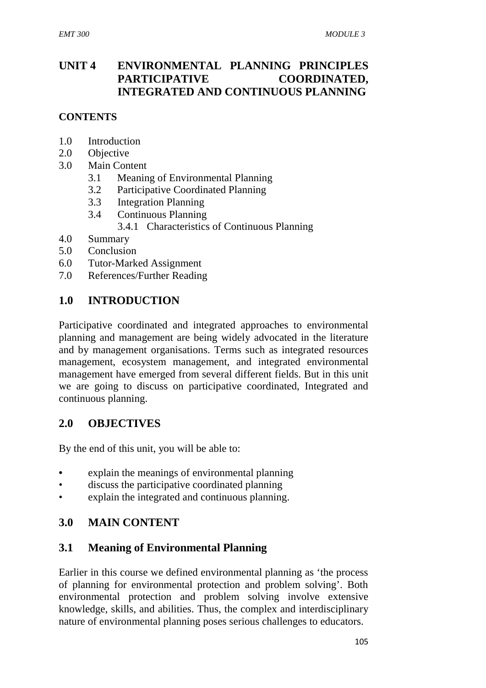# **UNIT 4 ENVIRONMENTAL PLANNING PRINCIPLES PARTICIPATIVE COORDINATED, INTEGRATED AND CONTINUOUS PLANNING**

## **CONTENTS**

- 1.0 Introduction
- 2.0 Objective
- 3.0 Main Content
	- 3.1 Meaning of Environmental Planning
	- 3.2 Participative Coordinated Planning
	- 3.3 Integration Planning
	- 3.4 Continuous Planning
		- 3.4.1 Characteristics of Continuous Planning
- 4.0 Summary
- 5.0 Conclusion
- 6.0 Tutor-Marked Assignment
- 7.0 References/Further Reading

## **1.0 INTRODUCTION**

Participative coordinated and integrated approaches to environmental planning and management are being widely advocated in the literature and by management organisations. Terms such as integrated resources management, ecosystem management, and integrated environmental management have emerged from several different fields. But in this unit we are going to discuss on participative coordinated, Integrated and continuous planning.

## **2.0 OBJECTIVES**

By the end of this unit, you will be able to:

- **•** explain the meanings of environmental planning
- discuss the participative coordinated planning
- explain the integrated and continuous planning.

## **3.0 MAIN CONTENT**

## **3.1 Meaning of Environmental Planning**

Earlier in this course we defined environmental planning as 'the process of planning for environmental protection and problem solving'. Both environmental protection and problem solving involve extensive knowledge, skills, and abilities. Thus, the complex and interdisciplinary nature of environmental planning poses serious challenges to educators.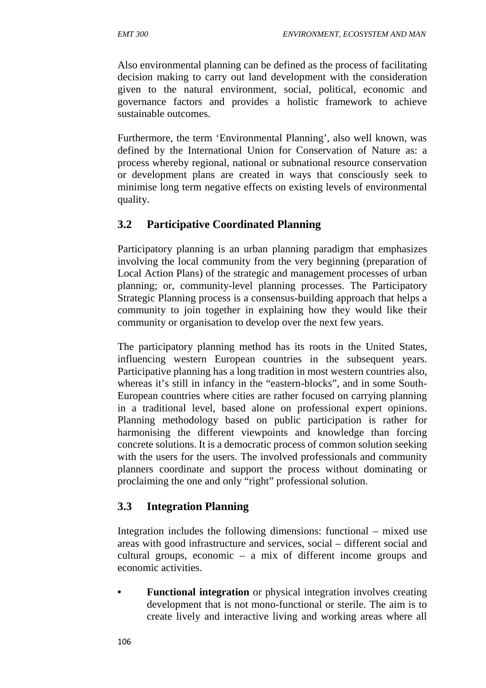Also environmental planning can be defined as the process of facilitating decision making to carry out land development with the consideration given to the natural environment, social, political, economic and governance factors and provides a holistic framework to achieve sustainable outcomes.

Furthermore, the term 'Environmental Planning', also well known, was defined by the International Union for Conservation of Nature as: a process whereby regional, national or subnational resource conservation or development plans are created in ways that consciously seek to minimise long term negative effects on existing levels of environmental quality.

# **3.2 Participative Coordinated Planning**

Participatory planning is an urban planning paradigm that emphasizes involving the local community from the very beginning (preparation of Local Action Plans) of the strategic and management processes of urban planning; or, community-level planning processes. The Participatory Strategic Planning process is a consensus-building approach that helps a community to join together in explaining how they would like their community or organisation to develop over the next few years.

The participatory planning method has its roots in the United States, influencing western European countries in the subsequent years. Participative planning has a long tradition in most western countries also, whereas it's still in infancy in the "eastern-blocks", and in some South- European countries where cities are rather focused on carrying planning in a traditional level, based alone on professional expert opinions. Planning methodology based on public participation is rather for harmonising the different viewpoints and knowledge than forcing concrete solutions. It is a democratic process of common solution seeking with the users for the users. The involved professionals and community planners coordinate and support the process without dominating or proclaiming the one and only "right" professional solution.

# **3.3 Integration Planning**

Integration includes the following dimensions: functional – mixed use areas with good infrastructure and services, social – different social and cultural groups, economic – a mix of different income groups and economic activities.

**• Functional integration** or physical integration involves creating development that is not mono-functional or sterile. The aim is to create lively and interactive living and working areas where all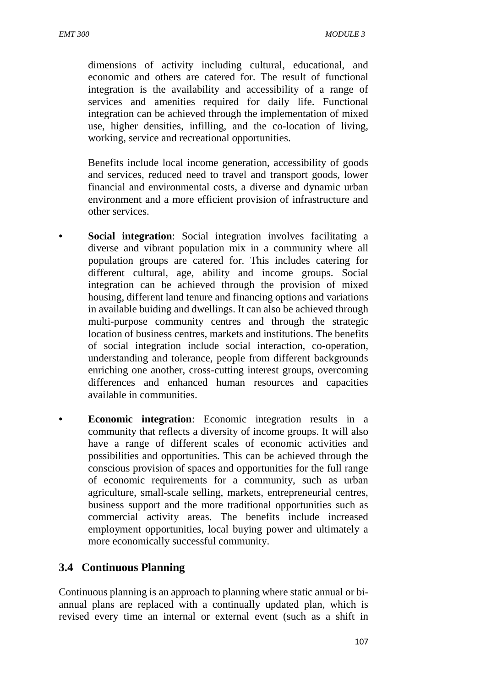dimensions of activity including cultural, educational, and economic and others are catered for. The result of functional integration is the availability and accessibility of a range of services and amenities required for daily life. Functional integration can be achieved through the implementation of mixed use, higher densities, infilling, and the co-location of living, working, service and recreational opportunities.

Benefits include local income generation, accessibility of goods and services, reduced need to travel and transport goods, lower financial and environmental costs, a diverse and dynamic urban environment and a more efficient provision of infrastructure and other services.

- **• Social integration**: Social integration involves facilitating a diverse and vibrant population mix in a community where all population groups are catered for. This includes catering for different cultural, age, ability and income groups. Social integration can be achieved through the provision of mixed housing, different land tenure and financing options and variations in available buiding and dwellings. It can also be achieved through multi-purpose community centres and through the strategic location of business centres, markets and institutions. The benefits of social integration include social interaction, co-operation, understanding and tolerance, people from different backgrounds enriching one another, cross-cutting interest groups, overcoming differences and enhanced human resources and capacities available in communities.
- **• Economic integration**: Economic integration results in a community that reflects a diversity of income groups. It will also have a range of different scales of economic activities and possibilities and opportunities. This can be achieved through the conscious provision of spaces and opportunities for the full range of economic requirements for a community, such as urban agriculture, small-scale selling, markets, entrepreneurial centres, business support and the more traditional opportunities such as commercial activity areas. The benefits include increased employment opportunities, local buying power and ultimately a more economically successful community.

#### **3.4 Continuous Planning**

Continuous planning is an approach to planning where static annual or bi annual plans are replaced with a continually updated plan, which is revised every time an internal or external event (such as a shift in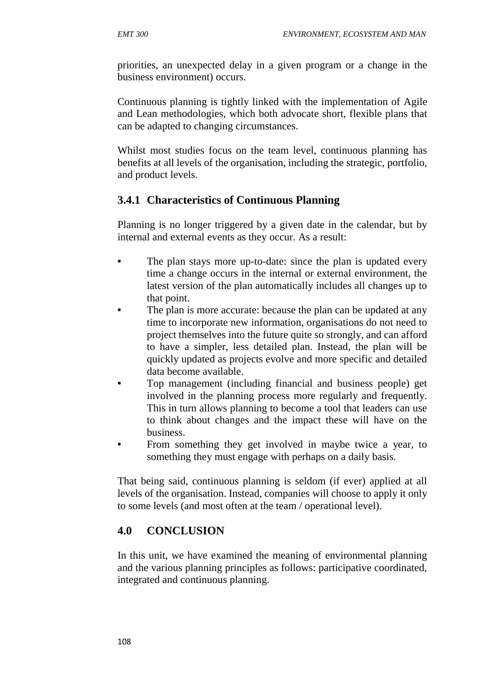priorities, an unexpected delay in a given program or a change in the business environment) occurs.

Continuous planning is tightly linked with the implementation of Agile and Lean methodologies, which both advocate short, flexible plans that can be adapted to changing circumstances.

Whilst most studies focus on the team level, continuous planning has benefits at all levels of the organisation, including the strategic, portfolio, and product levels.

# **3.4.1 Characteristics of Continuous Planning**

Planning is no longer triggered by a given date in the calendar, but by internal and external events as they occur. As a result:

- The plan stays more up-to-date: since the plan is updated every time a change occurs in the internal or external environment, the latest version of the plan automatically includes all changes up to that point.
- The plan is more accurate: because the plan can be updated at any time to incorporate new information, organisations do not need to project themselves into the future quite so strongly, and can afford to have a simpler, less detailed plan. Instead, the plan will be quickly updated as projects evolve and more specific and detailed data become available.
- **•** Top management (including financial and business people) get involved in the planning process more regularly and frequently. This in turn allows planning to become a tool that leaders can use to think about changes and the impact these will have on the business.
- **•** From something they get involved in maybe twice a year, to something they must engage with perhaps on a daily basis.

That being said, continuous planning is seldom (if ever) applied at all levels of the organisation. Instead, companies will choose to apply it only to some levels (and most often at the team / operational level).

# **4.0 CONCLUSION**

In this unit, we have examined the meaning of environmental planning and the various planning principles as follows: participative coordinated, integrated and continuous planning.